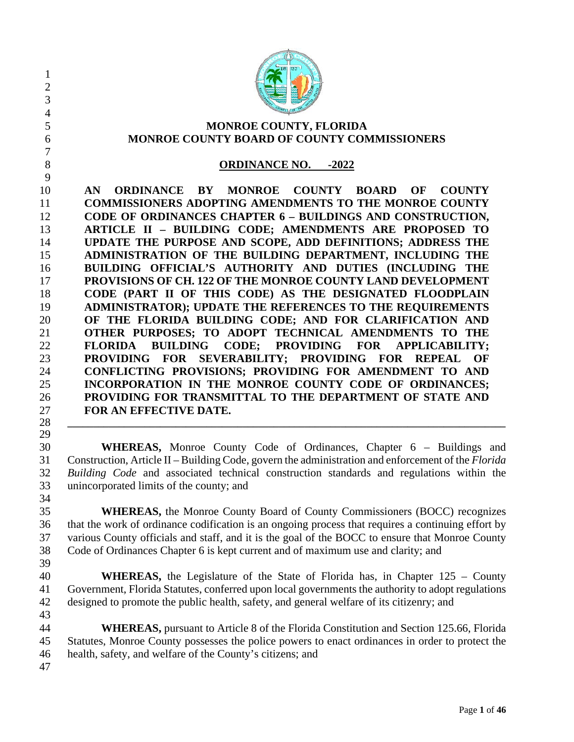| $\mathbf{1}$<br>$\overline{2}$<br>3<br>4<br>5                                                                  | MONROE COUNTY, FLORIDA                                                                                                                                                                                                                                                                                                                                                                                                                                                                                                                                                                                                                                                                                                                                                                                                                                                                                                                                                                                                                                                                       |
|----------------------------------------------------------------------------------------------------------------|----------------------------------------------------------------------------------------------------------------------------------------------------------------------------------------------------------------------------------------------------------------------------------------------------------------------------------------------------------------------------------------------------------------------------------------------------------------------------------------------------------------------------------------------------------------------------------------------------------------------------------------------------------------------------------------------------------------------------------------------------------------------------------------------------------------------------------------------------------------------------------------------------------------------------------------------------------------------------------------------------------------------------------------------------------------------------------------------|
| 6<br>7                                                                                                         | MONROE COUNTY BOARD OF COUNTY COMMISSIONERS                                                                                                                                                                                                                                                                                                                                                                                                                                                                                                                                                                                                                                                                                                                                                                                                                                                                                                                                                                                                                                                  |
| 8<br>9                                                                                                         | <b>ORDINANCE NO.</b> -2022                                                                                                                                                                                                                                                                                                                                                                                                                                                                                                                                                                                                                                                                                                                                                                                                                                                                                                                                                                                                                                                                   |
| 10<br>11<br>12<br>13<br>14<br>15<br>16<br>17<br>18<br>19<br>20<br>21<br>22<br>23<br>24<br>25<br>26<br>27<br>28 | ORDINANCE BY MONROE COUNTY BOARD<br>OF<br><b>COUNTY</b><br>AN.<br><b>COMMISSIONERS ADOPTING AMENDMENTS TO THE MONROE COUNTY</b><br>CODE OF ORDINANCES CHAPTER 6 - BUILDINGS AND CONSTRUCTION,<br>ARTICLE II - BUILDING CODE; AMENDMENTS ARE PROPOSED TO<br>UPDATE THE PURPOSE AND SCOPE, ADD DEFINITIONS; ADDRESS THE<br>ADMINISTRATION OF THE BUILDING DEPARTMENT, INCLUDING THE<br>BUILDING OFFICIAL'S AUTHORITY AND DUTIES (INCLUDING THE<br>PROVISIONS OF CH. 122 OF THE MONROE COUNTY LAND DEVELOPMENT<br>CODE (PART II OF THIS CODE) AS THE DESIGNATED FLOODPLAIN<br>ADMINISTRATOR); UPDATE THE REFERENCES TO THE REQUIREMENTS<br>OF THE FLORIDA BUILDING CODE; AND FOR CLARIFICATION AND<br>OTHER PURPOSES; TO ADOPT TECHNICAL AMENDMENTS TO THE<br><b>FLORIDA BUILDING</b><br>CODE; PROVIDING FOR APPLICABILITY;<br>PROVIDING FOR SEVERABILITY; PROVIDING FOR REPEAL<br>OF<br>CONFLICTING PROVISIONS; PROVIDING FOR AMENDMENT TO AND<br>INCORPORATION IN THE MONROE COUNTY CODE OF ORDINANCES;<br>PROVIDING FOR TRANSMITTAL TO THE DEPARTMENT OF STATE AND<br>FOR AN EFFECTIVE DATE. |
| 29<br>30<br>31<br>32<br>33                                                                                     | <b>WHEREAS,</b> Monroe County Code of Ordinances, Chapter 6 – Buildings and<br>Construction, Article II – Building Code, govern the administration and enforcement of the Florida<br>Building Code and associated technical construction standards and regulations within the<br>unincorporated limits of the county; and                                                                                                                                                                                                                                                                                                                                                                                                                                                                                                                                                                                                                                                                                                                                                                    |
| 34<br>35<br>36<br>37<br>38<br>39                                                                               | <b>WHEREAS,</b> the Monroe County Board of County Commissioners (BOCC) recognizes<br>that the work of ordinance codification is an ongoing process that requires a continuing effort by<br>various County officials and staff, and it is the goal of the BOCC to ensure that Monroe County<br>Code of Ordinances Chapter 6 is kept current and of maximum use and clarity; and                                                                                                                                                                                                                                                                                                                                                                                                                                                                                                                                                                                                                                                                                                               |
| 40<br>41<br>42<br>43                                                                                           | <b>WHEREAS</b> , the Legislature of the State of Florida has, in Chapter 125 – County<br>Government, Florida Statutes, conferred upon local governments the authority to adopt regulations<br>designed to promote the public health, safety, and general welfare of its citizenry; and                                                                                                                                                                                                                                                                                                                                                                                                                                                                                                                                                                                                                                                                                                                                                                                                       |
| 44<br>45<br>46<br>47                                                                                           | <b>WHEREAS</b> , pursuant to Article 8 of the Florida Constitution and Section 125.66, Florida<br>Statutes, Monroe County possesses the police powers to enact ordinances in order to protect the<br>health, safety, and welfare of the County's citizens; and                                                                                                                                                                                                                                                                                                                                                                                                                                                                                                                                                                                                                                                                                                                                                                                                                               |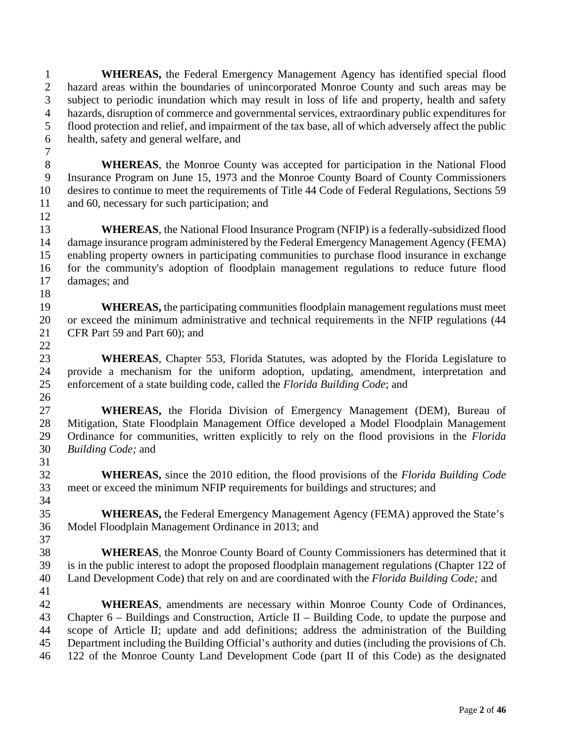**WHEREAS,** the Federal Emergency Management Agency has identified special flood hazard areas within the boundaries of unincorporated Monroe County and such areas may be subject to periodic inundation which may result in loss of life and property, health and safety hazards, disruption of commerce and governmental services, extraordinary public expenditures for flood protection and relief, and impairment of the tax base, all of which adversely affect the public health, safety and general welfare, and

 **WHEREAS**, the Monroe County was accepted for participation in the National Flood Insurance Program on June 15, 1973 and the Monroe County Board of County Commissioners desires to continue to meet the requirements of Title 44 Code of Federal Regulations, Sections 59 11 and 60, necessary for such participation; and 

**WHEREAS**, the National Flood Insurance Program (NFIP) is a federally-subsidized flood damage insurance program administered by the Federal Emergency Management Agency (FEMA) enabling property owners in participating communities to purchase flood insurance in exchange for the community's adoption of floodplain management regulations to reduce future flood damages; and 

 **WHEREAS,** the participating communities floodplain management regulations must meet or exceed the minimum administrative and technical requirements in the NFIP regulations (44 CFR Part 59 and Part 60); and 

 **WHEREAS**, Chapter 553, Florida Statutes, was adopted by the Florida Legislature to provide a mechanism for the uniform adoption, updating, amendment, interpretation and enforcement of a state building code, called the *Florida Building Code*; and 

 **WHEREAS,** the Florida Division of Emergency Management (DEM), Bureau of Mitigation, State Floodplain Management Office developed a Model Floodplain Management Ordinance for communities, written explicitly to rely on the flood provisions in the *Florida Building Code;* and

 **WHEREAS,** since the 2010 edition, the flood provisions of the *Florida Building Code* meet or exceed the minimum NFIP requirements for buildings and structures; and 

 **WHEREAS,** the Federal Emergency Management Agency (FEMA) approved the State's Model Floodplain Management Ordinance in 2013; and 

 **WHEREAS**, the Monroe County Board of County Commissioners has determined that it is in the public interest to adopt the proposed floodplain management regulations (Chapter 122 of Land Development Code) that rely on and are coordinated with the *Florida Building Code;* and 

 **WHEREAS**, amendments are necessary within Monroe County Code of Ordinances, Chapter 6 – Buildings and Construction, Article II – Building Code, to update the purpose and scope of Article II; update and add definitions; address the administration of the Building Department including the Building Official's authority and duties (including the provisions of Ch. 122 of the Monroe County Land Development Code (part II of this Code) as the designated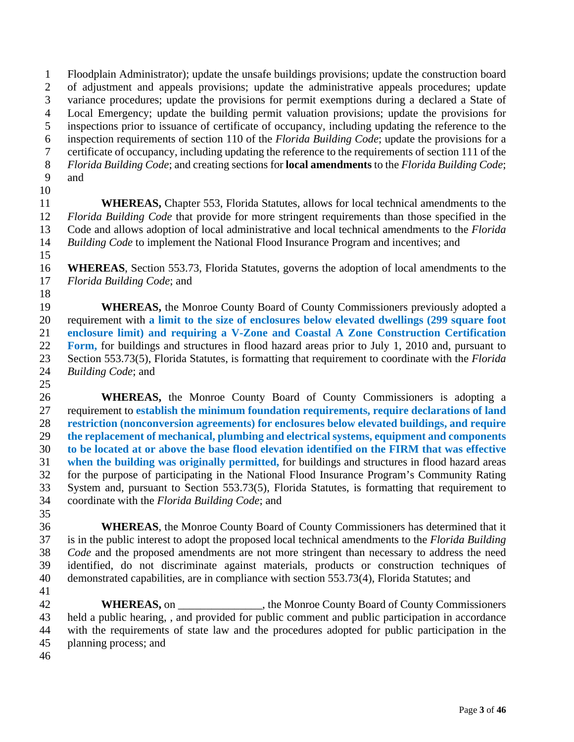Floodplain Administrator); update the unsafe buildings provisions; update the construction board of adjustment and appeals provisions; update the administrative appeals procedures; update variance procedures; update the provisions for permit exemptions during a declared a State of Local Emergency; update the building permit valuation provisions; update the provisions for inspections prior to issuance of certificate of occupancy, including updating the reference to the inspection requirements of section 110 of the *Florida Building Code*; update the provisions for a certificate of occupancy, including updating the reference to the requirements of section 111 of the *Florida Building Code*; and creating sections for **local amendments** to the *Florida Building Code*; and 

 **WHEREAS,** Chapter 553, Florida Statutes, allows for local technical amendments to the *Florida Building Code* that provide for more stringent requirements than those specified in the Code and allows adoption of local administrative and local technical amendments to the *Florida Building Code* to implement the National Flood Insurance Program and incentives; and

 **WHEREAS**, Section 553.73, Florida Statutes, governs the adoption of local amendments to the *Florida Building Code*; and

**WHEREAS**, the Monroe County Board of County Commissioners previously adopted a requirement with **a limit to the size of enclosures below elevated dwellings (299 square foot enclosure limit) and requiring a V-Zone and Coastal A Zone Construction Certification Form,** for buildings and structures in flood hazard areas prior to July 1, 2010 and, pursuant to Section 553.73(5), Florida Statutes, is formatting that requirement to coordinate with the *Florida Building Code*; and

 **WHEREAS,** the Monroe County Board of County Commissioners is adopting a requirement to **establish the minimum foundation requirements, require declarations of land restriction (nonconversion agreements) for enclosures below elevated buildings, and require the replacement of mechanical, plumbing and electrical systems, equipment and components to be located at or above the base flood elevation identified on the FIRM that was effective when the building was originally permitted,** for buildings and structures in flood hazard areas for the purpose of participating in the National Flood Insurance Program's Community Rating System and, pursuant to Section 553.73(5), Florida Statutes, is formatting that requirement to coordinate with the *Florida Building Code*; and

 **WHEREAS**, the Monroe County Board of County Commissioners has determined that it is in the public interest to adopt the proposed local technical amendments to the *Florida Building Code* and the proposed amendments are not more stringent than necessary to address the need identified, do not discriminate against materials, products or construction techniques of demonstrated capabilities, are in compliance with section 553.73(4), Florida Statutes; and

**WHEREAS,** on the Monroe County Board of County Commissioners held a public hearing, , and provided for public comment and public participation in accordance with the requirements of state law and the procedures adopted for public participation in the planning process; and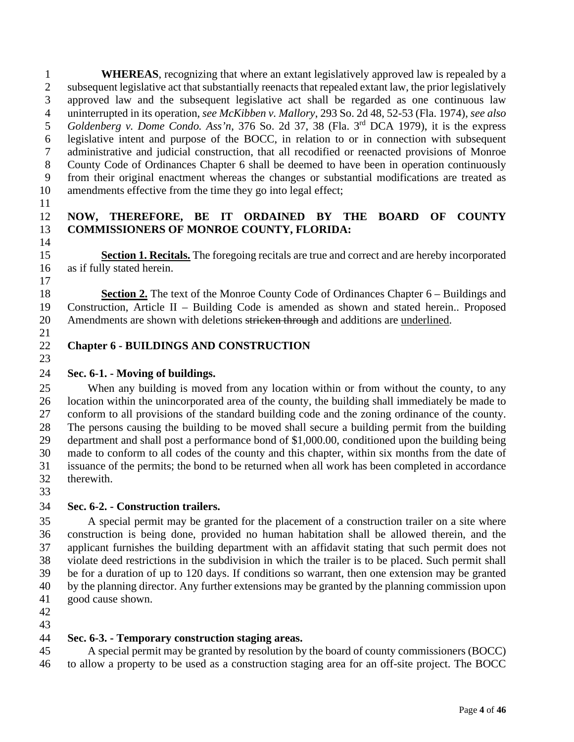**WHEREAS**, recognizing that where an extant legislatively approved law is repealed by a subsequent legislative act that substantially reenacts that repealed extant law, the prior legislatively approved law and the subsequent legislative act shall be regarded as one continuous law uninterrupted in its operation, *see McKibben v. Mallory*, 293 So. 2d 48, 52-53 (Fla. 1974), *see also* 5 Goldenberg v. Dome Condo. Ass'n, 376 So. 2d 37, 38 (Fla. 3<sup>rd</sup> DCA 1979), it is the express legislative intent and purpose of the BOCC, in relation to or in connection with subsequent administrative and judicial construction, that all recodified or reenacted provisions of Monroe County Code of Ordinances Chapter 6 shall be deemed to have been in operation continuously from their original enactment whereas the changes or substantial modifications are treated as amendments effective from the time they go into legal effect;

#### **NOW, THEREFORE, BE IT ORDAINED BY THE BOARD OF COUNTY COMMISSIONERS OF MONROE COUNTY, FLORIDA:**

 **Section 1. Recitals.** The foregoing recitals are true and correct and are hereby incorporated as if fully stated herein.

 **Section 2.** The text of the Monroe County Code of Ordinances Chapter 6 – Buildings and Construction, Article II – Building Code is amended as shown and stated herein.. Proposed Amendments are shown with deletions stricken through and additions are underlined.

## **Chapter 6 - BUILDINGS AND CONSTRUCTION**

## **Sec. 6-1. - Moving of buildings.**

 When any building is moved from any location within or from without the county, to any location within the unincorporated area of the county, the building shall immediately be made to conform to all provisions of the standard building code and the zoning ordinance of the county. The persons causing the building to be moved shall secure a building permit from the building department and shall post a performance bond of \$1,000.00, conditioned upon the building being made to conform to all codes of the county and this chapter, within six months from the date of issuance of the permits; the bond to be returned when all work has been completed in accordance therewith.

## **Sec. 6-2. - Construction trailers.**

 A special permit may be granted for the placement of a construction trailer on a site where construction is being done, provided no human habitation shall be allowed therein, and the applicant furnishes the building department with an affidavit stating that such permit does not violate deed restrictions in the subdivision in which the trailer is to be placed. Such permit shall be for a duration of up to 120 days. If conditions so warrant, then one extension may be granted by the planning director. Any further extensions may be granted by the planning commission upon good cause shown.

 

## **Sec. 6-3. - Temporary construction staging areas.**

 A special permit may be granted by resolution by the board of county commissioners (BOCC) to allow a property to be used as a construction staging area for an off-site project. The BOCC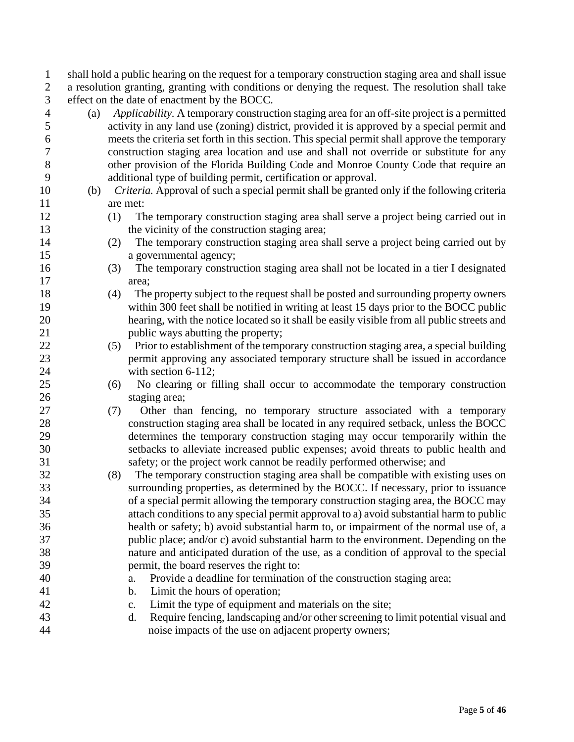shall hold a public hearing on the request for a temporary construction staging area and shall issue a resolution granting, granting with conditions or denying the request. The resolution shall take effect on the date of enactment by the BOCC.

 (a) *Applicability.* A temporary construction staging area for an off-site project is a permitted activity in any land use (zoning) district, provided it is approved by a special permit and meets the criteria set forth in this section. This special permit shall approve the temporary construction staging area location and use and shall not override or substitute for any other provision of the Florida Building Code and Monroe County Code that require an additional type of building permit, certification or approval. (b) *Criteria.* Approval of such a special permit shall be granted only if the following criteria are met: (1) The temporary construction staging area shall serve a project being carried out in 13 the vicinity of the construction staging area; (2) The temporary construction staging area shall serve a project being carried out by 15 a governmental agency; (3) The temporary construction staging area shall not be located in a tier I designated area; (4) The property subject to the request shall be posted and surrounding property owners within 300 feet shall be notified in writing at least 15 days prior to the BOCC public hearing, with the notice located so it shall be easily visible from all public streets and 21 public ways abutting the property; (5) Prior to establishment of the temporary construction staging area, a special building permit approving any associated temporary structure shall be issued in accordance 24 with section 6-112; (6) No clearing or filling shall occur to accommodate the temporary construction staging area; (7) Other than fencing, no temporary structure associated with a temporary construction staging area shall be located in any required setback, unless the BOCC determines the temporary construction staging may occur temporarily within the setbacks to alleviate increased public expenses; avoid threats to public health and safety; or the project work cannot be readily performed otherwise; and (8) The temporary construction staging area shall be compatible with existing uses on surrounding properties, as determined by the BOCC. If necessary, prior to issuance of a special permit allowing the temporary construction staging area, the BOCC may attach conditions to any special permit approval to a) avoid substantial harm to public health or safety; b) avoid substantial harm to, or impairment of the normal use of, a public place; and/or c) avoid substantial harm to the environment. Depending on the nature and anticipated duration of the use, as a condition of approval to the special permit, the board reserves the right to: a. Provide a deadline for termination of the construction staging area; b. Limit the hours of operation; c. Limit the type of equipment and materials on the site; d. Require fencing, landscaping and/or other screening to limit potential visual and noise impacts of the use on adjacent property owners;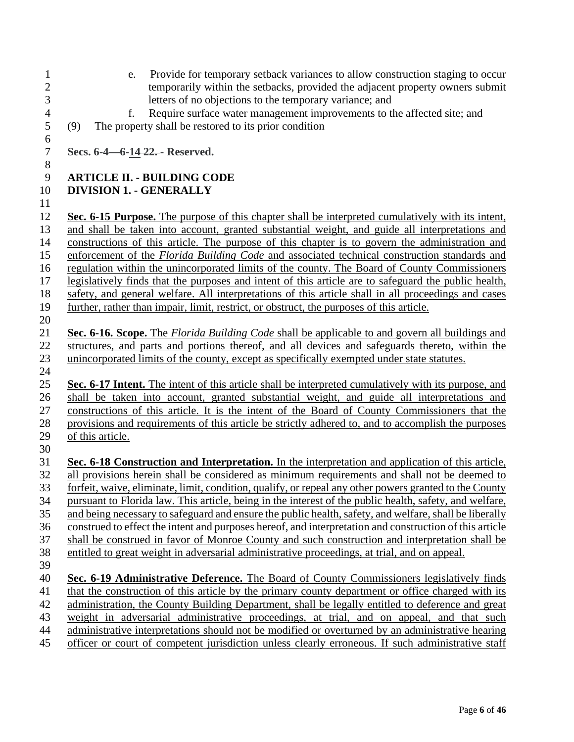- e. Provide for temporary setback variances to allow construction staging to occur 2 temporarily within the setbacks, provided the adjacent property owners submit<br>3 letters of no objections to the temporary variance; and letters of no objections to the temporary variance; and 4 f. Require surface water management improvements to the affected site; and (9) The property shall be restored to its prior condition (9) The property shall be restored to its prior condition **Secs. 6-4—6-14 22. - Reserved. ARTICLE II. - BUILDING CODE DIVISION 1. - GENERALLY Sec. 6-15 Purpose.** The purpose of this chapter shall be interpreted cumulatively with its intent, and shall be taken into account, granted substantial weight, and guide all interpretations and constructions of this article. The purpose of this chapter is to govern the administration and enforcement of the *Florida Building Code* and associated technical construction standards and regulation within the unincorporated limits of the county. The Board of County Commissioners legislatively finds that the purposes and intent of this article are to safeguard the public health, safety, and general welfare. All interpretations of this article shall in all proceedings and cases further, rather than impair, limit, restrict, or obstruct, the purposes of this article. **Sec. 6-16. Scope.** The *Florida Building Code* shall be applicable to and govern all buildings and structures, and parts and portions thereof, and all devices and safeguards thereto, within the unincorporated limits of the county, except as specifically exempted under state statutes. **Sec. 6-17 Intent.** The intent of this article shall be interpreted cumulatively with its purpose, and shall be taken into account, granted substantial weight, and guide all interpretations and constructions of this article. It is the intent of the Board of County Commissioners that the provisions and requirements of this article be strictly adhered to, and to accomplish the purposes of this article. **Sec. 6-18 Construction and Interpretation.** In the interpretation and application of this article, all provisions herein shall be considered as minimum requirements and shall not be deemed to forfeit, waive, eliminate, limit, condition, qualify, or repeal any other powers granted to the County pursuant to Florida law. This article, being in the interest of the public health, safety, and welfare, and being necessary to safeguard and ensure the public health, safety, and welfare, shall be liberally construed to effect the intent and purposes hereof, and interpretation and construction of this article shall be construed in favor of Monroe County and such construction and interpretation shall be entitled to great weight in adversarial administrative proceedings, at trial, and on appeal. **Sec. 6-19 Administrative Deference.** The Board of County Commissioners legislatively finds 41 that the construction of this article by the primary county department or office charged with its administration, the County Building Department, shall be legally entitled to deference and great weight in adversarial administrative proceedings, at trial, and on appeal, and that such administrative interpretations should not be modified or overturned by an administrative hearing
- officer or court of competent jurisdiction unless clearly erroneous. If such administrative staff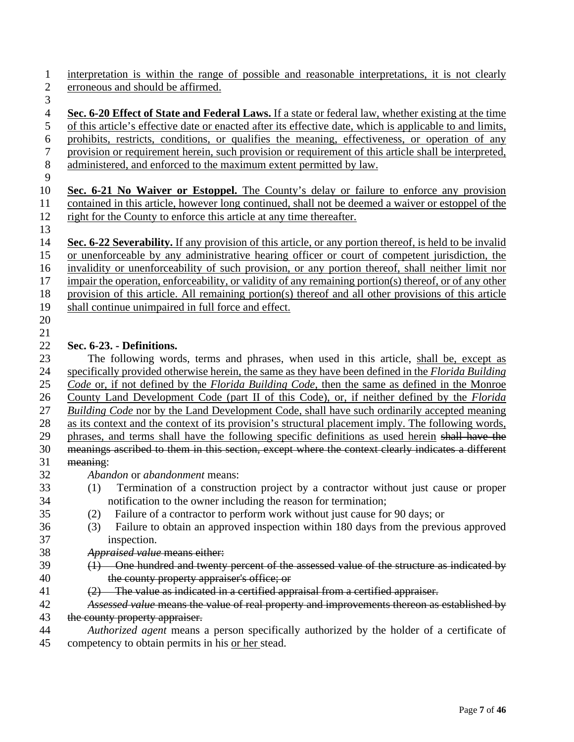interpretation is within the range of possible and reasonable interpretations, it is not clearly erroneous and should be affirmed.

 **Sec. 6-20 Effect of State and Federal Laws.** If a state or federal law, whether existing at the time of this article's effective date or enacted after its effective date, which is applicable to and limits, prohibits, restricts, conditions, or qualifies the meaning, effectiveness, or operation of any provision or requirement herein, such provision or requirement of this article shall be interpreted, administered, and enforced to the maximum extent permitted by law.

 **Sec. 6-21 No Waiver or Estoppel.** The County's delay or failure to enforce any provision contained in this article, however long continued, shall not be deemed a waiver or estoppel of the right for the County to enforce this article at any time thereafter.

 **Sec. 6-22 Severability.** If any provision of this article, or any portion thereof, is held to be invalid or unenforceable by any administrative hearing officer or court of competent jurisdiction, the invalidity or unenforceability of such provision, or any portion thereof, shall neither limit nor impair the operation, enforceability, or validity of any remaining portion(s) thereof, or of any other provision of this article. All remaining portion(s) thereof and all other provisions of this article shall continue unimpaired in full force and effect.

 

## **Sec. 6-23. - Definitions.**

23 The following words, terms and phrases, when used in this article, shall be, except as specifically provided otherwise herein, the same as they have been defined in the *Florida Building Code* or, if not defined by the *Florida Building Code*, then the same as defined in the Monroe County Land Development Code (part II of this Code), or, if neither defined by the *Florida Building Code* nor by the Land Development Code, shall have such ordinarily accepted meaning as its context and the context of its provision's structural placement imply. The following words, phrases, and terms shall have the following specific definitions as used herein shall have the meanings ascribed to them in this section, except where the context clearly indicates a different meaning: *Abandon* or *abandonment* means:

- (1) Termination of a construction project by a contractor without just cause or proper notification to the owner including the reason for termination;
- (2) Failure of a contractor to perform work without just cause for 90 days; or
- (3) Failure to obtain an approved inspection within 180 days from the previous approved inspection.
- *Appraised value* means either:
- (1) One hundred and twenty percent of the assessed value of the structure as indicated by the county property appraiser's office; or
- 41  $(2)$  The value as indicated in a certified appraisal from a certified appraiser.
- *Assessed value* means the value of real property and improvements thereon as established by 43 the county property appraiser.
- *Authorized agent* means a person specifically authorized by the holder of a certificate of competency to obtain permits in his or her stead.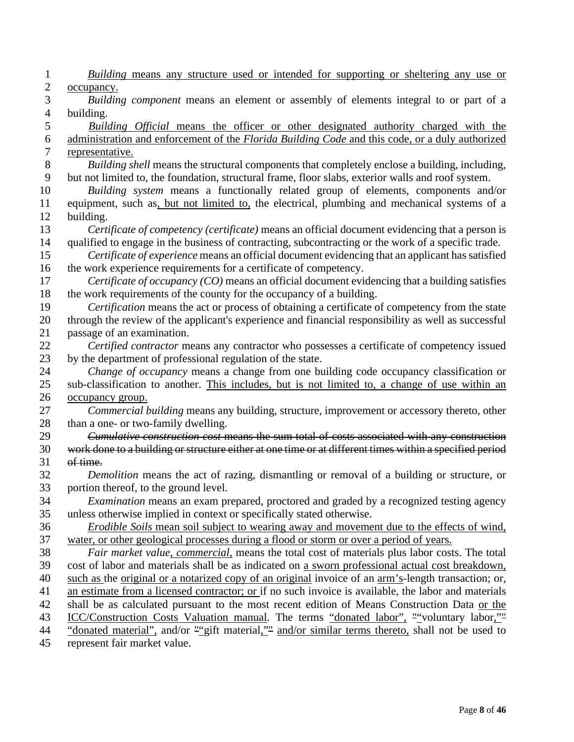| 1              | Building means any structure used or intended for supporting or sheltering any use or                                                                                                               |
|----------------|-----------------------------------------------------------------------------------------------------------------------------------------------------------------------------------------------------|
| $\overline{c}$ | occupancy.                                                                                                                                                                                          |
| 3              | Building component means an element or assembly of elements integral to or part of a                                                                                                                |
| $\overline{4}$ | building.                                                                                                                                                                                           |
| 5              | Building Official means the officer or other designated authority charged with the                                                                                                                  |
| 6              | administration and enforcement of the Florida Building Code and this code, or a duly authorized                                                                                                     |
| 7              | representative.                                                                                                                                                                                     |
| 8<br>9         | Building shell means the structural components that completely enclose a building, including,<br>but not limited to, the foundation, structural frame, floor slabs, exterior walls and roof system. |
| 10             | Building system means a functionally related group of elements, components and/or                                                                                                                   |
| 11             | equipment, such as, but not limited to, the electrical, plumbing and mechanical systems of a                                                                                                        |
| 12             | building.                                                                                                                                                                                           |
| 13             | Certificate of competency (certificate) means an official document evidencing that a person is                                                                                                      |
| 14             | qualified to engage in the business of contracting, subcontracting or the work of a specific trade.                                                                                                 |
| 15             | Certificate of experience means an official document evidencing that an applicant has satisfied                                                                                                     |
| 16             | the work experience requirements for a certificate of competency.                                                                                                                                   |
| 17             | Certificate of occupancy (CO) means an official document evidencing that a building satisfies                                                                                                       |
| 18             | the work requirements of the county for the occupancy of a building.                                                                                                                                |
| 19             | Certification means the act or process of obtaining a certificate of competency from the state                                                                                                      |
| 20             | through the review of the applicant's experience and financial responsibility as well as successful                                                                                                 |
| 21             | passage of an examination.                                                                                                                                                                          |
| 22             | Certified contractor means any contractor who possesses a certificate of competency issued                                                                                                          |
| 23             | by the department of professional regulation of the state.                                                                                                                                          |
| 24             | Change of occupancy means a change from one building code occupancy classification or                                                                                                               |
| 25             | sub-classification to another. This includes, but is not limited to, a change of use within an                                                                                                      |
| 26             | occupancy group.                                                                                                                                                                                    |
| 27             | Commercial building means any building, structure, improvement or accessory thereto, other                                                                                                          |
| 28             | than a one- or two-family dwelling.                                                                                                                                                                 |
| 29             | Cumulative construction cost means the sum total of costs associated with any construction                                                                                                          |
| 30             | work done to a building or structure either at one time or at different times within a specified period                                                                                             |
| 31             | of time.                                                                                                                                                                                            |
| 32             | <i>Demolition</i> means the act of razing, dismantling or removal of a building or structure, or                                                                                                    |
| 33             | portion thereof, to the ground level.                                                                                                                                                               |
| 34             | Examination means an exam prepared, proctored and graded by a recognized testing agency                                                                                                             |
| 35             | unless otherwise implied in context or specifically stated otherwise.                                                                                                                               |
| 36             | <i>Erodible Soils</i> mean soil subject to wearing away and movement due to the effects of wind,                                                                                                    |
| 37             | water, or other geological processes during a flood or storm or over a period of years.                                                                                                             |
| 38             | Fair market value, commercial, means the total cost of materials plus labor costs. The total                                                                                                        |
| 39             | cost of labor and materials shall be as indicated on a sworn professional actual cost breakdown,                                                                                                    |
| 40             | such as the original or a notarized copy of an original invoice of an arm's-length transaction; or,                                                                                                 |
| 41             | an estimate from a licensed contractor; or if no such invoice is available, the labor and materials                                                                                                 |
| 42             | shall be as calculated pursuant to the most recent edition of Means Construction Data or the                                                                                                        |
| 43             | ICC/Construction Costs Valuation manual. The terms "donated labor", ""voluntary labor,""                                                                                                            |
| 44             | "donated material", and/or ""gift material,"" and/or similar terms thereto, shall not be used to                                                                                                    |
| 45             | represent fair market value.                                                                                                                                                                        |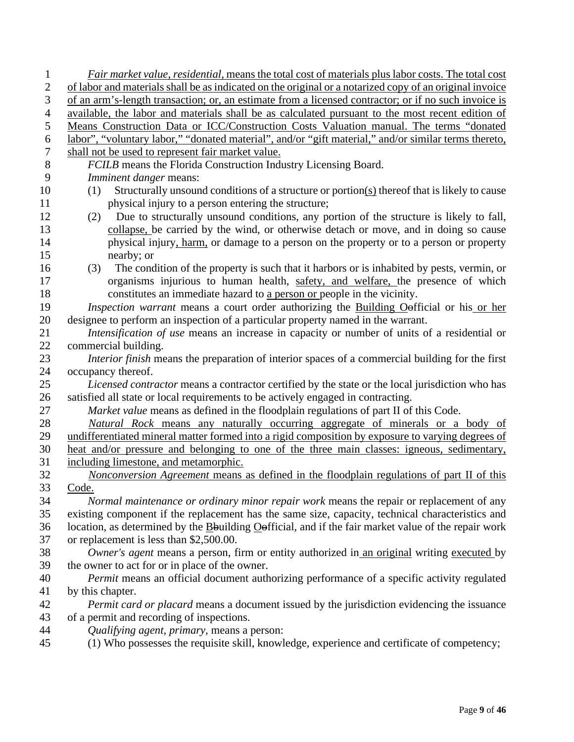| 1              | Fair market value, residential, means the total cost of materials plus labor costs. The total cost                                                                                          |
|----------------|---------------------------------------------------------------------------------------------------------------------------------------------------------------------------------------------|
| $\mathbf{2}$   | of labor and materials shall be as indicated on the original or a notarized copy of an original invoice                                                                                     |
| 3              | of an arm's-length transaction; or, an estimate from a licensed contractor; or if no such invoice is                                                                                        |
| $\overline{4}$ | available, the labor and materials shall be as calculated pursuant to the most recent edition of                                                                                            |
| 5              | Means Construction Data or ICC/Construction Costs Valuation manual. The terms "donated                                                                                                      |
| 6              | labor", "voluntary labor," "donated material", and/or "gift material," and/or similar terms thereto,                                                                                        |
| 7              | shall not be used to represent fair market value.                                                                                                                                           |
| 8              | FCILB means the Florida Construction Industry Licensing Board.                                                                                                                              |
| 9              | Imminent danger means:                                                                                                                                                                      |
| 10             | Structurally unsound conditions of a structure or portion $(s)$ thereof that is likely to cause<br>(1)                                                                                      |
| 11             | physical injury to a person entering the structure;                                                                                                                                         |
| 12             | Due to structurally unsound conditions, any portion of the structure is likely to fall,<br>(2)                                                                                              |
| 13             | collapse, be carried by the wind, or otherwise detach or move, and in doing so cause                                                                                                        |
| 14             | physical injury, harm, or damage to a person on the property or to a person or property                                                                                                     |
| 15             | nearby; or                                                                                                                                                                                  |
| 16             | The condition of the property is such that it harbors or is inhabited by pests, vermin, or<br>(3)                                                                                           |
| 17             | organisms injurious to human health, safety, and welfare, the presence of which                                                                                                             |
| 18             | constitutes an immediate hazard to a person or people in the vicinity.                                                                                                                      |
| 19             | Inspection warrant means a court order authorizing the Building Oefficial or his or her                                                                                                     |
| 20             | designee to perform an inspection of a particular property named in the warrant.                                                                                                            |
| 21             | Intensification of use means an increase in capacity or number of units of a residential or                                                                                                 |
| 22             | commercial building.                                                                                                                                                                        |
| 23             | Interior finish means the preparation of interior spaces of a commercial building for the first                                                                                             |
| 24             | occupancy thereof.                                                                                                                                                                          |
| 25             | Licensed contractor means a contractor certified by the state or the local jurisdiction who has                                                                                             |
| 26             | satisfied all state or local requirements to be actively engaged in contracting.                                                                                                            |
| 27             | Market value means as defined in the floodplain regulations of part II of this Code.                                                                                                        |
| 28             | Natural Rock means any naturally occurring aggregate of minerals or a body of                                                                                                               |
| 29             | undifferentiated mineral matter formed into a rigid composition by exposure to varying degrees of                                                                                           |
| 30             | heat and/or pressure and belonging to one of the three main classes: igneous, sedimentary,                                                                                                  |
| 31             | including limestone, and metamorphic.                                                                                                                                                       |
| 32             | Nonconversion Agreement means as defined in the floodplain regulations of part II of this                                                                                                   |
| 33<br>34       | Code.                                                                                                                                                                                       |
| 35             | Normal maintenance or ordinary minor repair work means the repair or replacement of any<br>existing component if the replacement has the same size, capacity, technical characteristics and |
| 36             | location, as determined by the Bouilding Oofficial, and if the fair market value of the repair work                                                                                         |
| 37             | or replacement is less than \$2,500.00.                                                                                                                                                     |
| 38             | Owner's agent means a person, firm or entity authorized in an original writing executed by                                                                                                  |
| 39             | the owner to act for or in place of the owner.                                                                                                                                              |
| 40             | Permit means an official document authorizing performance of a specific activity regulated                                                                                                  |
| 41             | by this chapter.                                                                                                                                                                            |
| 42             | <i>Permit card or placard</i> means a document issued by the jurisdiction evidencing the issuance                                                                                           |
| 43             | of a permit and recording of inspections.                                                                                                                                                   |
| 44             | Qualifying agent, primary, means a person:                                                                                                                                                  |
| 45             | (1) Who possesses the requisite skill, knowledge, experience and certificate of competency;                                                                                                 |
|                |                                                                                                                                                                                             |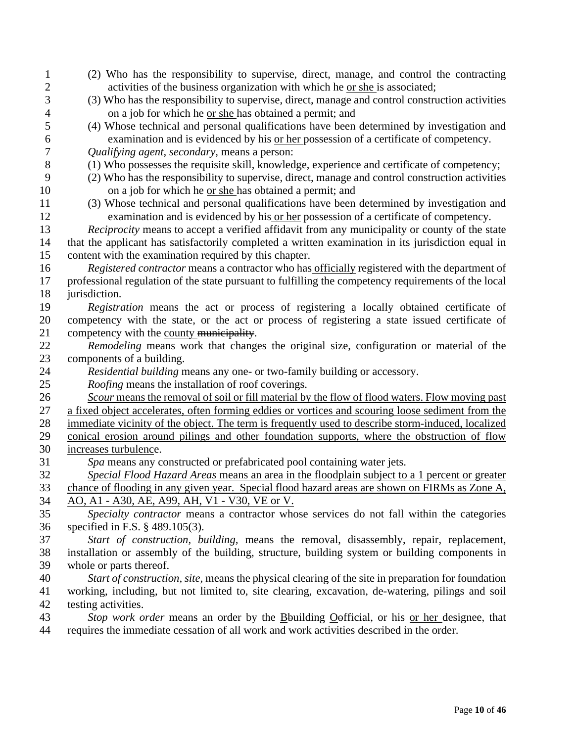| $\mathbf{1}$     | (2) Who has the responsibility to supervise, direct, manage, and control the contracting             |
|------------------|------------------------------------------------------------------------------------------------------|
| $\overline{2}$   | activities of the business organization with which he or she is associated;                          |
| 3                | (3) Who has the responsibility to supervise, direct, manage and control construction activities      |
| $\overline{4}$   | on a job for which he or she has obtained a permit; and                                              |
| 5                | (4) Whose technical and personal qualifications have been determined by investigation and            |
| 6                | examination and is evidenced by his or her possession of a certificate of competency.                |
| $\boldsymbol{7}$ | Qualifying agent, secondary, means a person:                                                         |
| 8                | (1) Who possesses the requisite skill, knowledge, experience and certificate of competency;          |
| 9                | (2) Who has the responsibility to supervise, direct, manage and control construction activities      |
| 10               | on a job for which he or she has obtained a permit; and                                              |
| 11               | (3) Whose technical and personal qualifications have been determined by investigation and            |
| 12               | examination and is evidenced by his or her possession of a certificate of competency.                |
| 13               | Reciprocity means to accept a verified affidavit from any municipality or county of the state        |
| 14               | that the applicant has satisfactorily completed a written examination in its jurisdiction equal in   |
| 15               | content with the examination required by this chapter.                                               |
| 16               | Registered contractor means a contractor who has officially registered with the department of        |
| 17               | professional regulation of the state pursuant to fulfilling the competency requirements of the local |
| 18               | jurisdiction.                                                                                        |
| 19               | Registration means the act or process of registering a locally obtained certificate of               |
| 20               | competency with the state, or the act or process of registering a state issued certificate of        |
| 21               | competency with the county municipality.                                                             |
| 22               | Remodeling means work that changes the original size, configuration or material of the               |
|                  |                                                                                                      |
| 23               | components of a building.                                                                            |
| 24               | Residential building means any one- or two-family building or accessory.                             |
| 25               | <i>Roofing</i> means the installation of roof coverings.                                             |
| 26               | Scour means the removal of soil or fill material by the flow of flood waters. Flow moving past       |
| 27               | a fixed object accelerates, often forming eddies or vortices and scouring loose sediment from the    |
| 28               | immediate vicinity of the object. The term is frequently used to describe storm-induced, localized   |
| 29               | conical erosion around pilings and other foundation supports, where the obstruction of flow          |
| 30               | increases turbulence.                                                                                |
| 31               | Spa means any constructed or prefabricated pool containing water jets.                               |
| 32               | Special Flood Hazard Areas means an area in the floodplain subject to a 1 percent or greater         |
| 33               | chance of flooding in any given year. Special flood hazard areas are shown on FIRMs as Zone A,       |
| 34               | AO, A1 - A30, AE, A99, AH, V1 - V30, VE or V.                                                        |
| 35               | Specialty contractor means a contractor whose services do not fall within the categories             |
| 36               | specified in F.S. $\S$ 489.105(3).                                                                   |
| 37               | Start of construction, building, means the removal, disassembly, repair, replacement,                |
| 38               | installation or assembly of the building, structure, building system or building components in       |
| 39               | whole or parts thereof.                                                                              |
| 40               | Start of construction, site, means the physical clearing of the site in preparation for foundation   |
| 41               | working, including, but not limited to, site clearing, excavation, de-watering, pilings and soil     |
| 42               | testing activities.                                                                                  |
| 43               | Stop work order means an order by the Bouilding Oefficial, or his or her designee, that              |
| 44               | requires the immediate cessation of all work and work activities described in the order.             |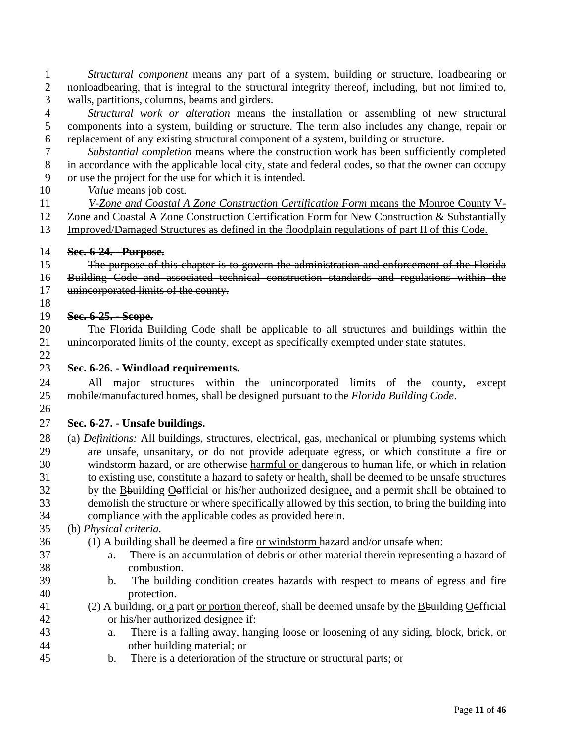*Structural component* means any part of a system, building or structure, loadbearing or nonloadbearing, that is integral to the structural integrity thereof, including, but not limited to, walls, partitions, columns, beams and girders.

 *Structural work or alteration* means the installation or assembling of new structural components into a system, building or structure. The term also includes any change, repair or replacement of any existing structural component of a system, building or structure.

 *Substantial completion* means where the construction work has been sufficiently completed 8 in accordance with the applicable local city, state and federal codes, so that the owner can occupy or use the project for the use for which it is intended.

*Value* means job cost.

 *V-Zone and Coastal A Zone Construction Certification Form* means the Monroe County V- Zone and Coastal A Zone Construction Certification Form for New Construction & Substantially Improved/Damaged Structures as defined in the floodplain regulations of part II of this Code.

#### **Sec. 6-24. - Purpose.**

 The purpose of this chapter is to govern the administration and enforcement of the Florida Building Code and associated technical construction standards and regulations within the 17 unincorporated limits of the county.

#### **Sec. 6-25. - Scope.**

 The Florida Building Code shall be applicable to all structures and buildings within the 21 unincorporated limits of the county, except as specifically exempted under state statutes.

**Sec. 6-26. - Windload requirements.** 

 All major structures within the unincorporated limits of the county, except mobile/manufactured homes, shall be designed pursuant to the *Florida Building Code*. 

## **Sec. 6-27. - Unsafe buildings.**

 (a) *Definitions:* All buildings, structures, electrical, gas, mechanical or plumbing systems which are unsafe, unsanitary, or do not provide adequate egress, or which constitute a fire or windstorm hazard, or are otherwise harmful or dangerous to human life, or which in relation to existing use, constitute a hazard to safety or health, shall be deemed to be unsafe structures by the Bbuilding Oofficial or his/her authorized designee, and a permit shall be obtained to demolish the structure or where specifically allowed by this section, to bring the building into compliance with the applicable codes as provided herein.

## (b) *Physical criteria.*

- (1) A building shall be deemed a fire or windstorm hazard and/or unsafe when:
- a. There is an accumulation of debris or other material therein representing a hazard of combustion.
- b. The building condition creates hazards with respect to means of egress and fire protection.
- (2) A building, or a part or portion thereof, shall be deemed unsafe by the Bbuilding Oofficial or his/her authorized designee if:
- a. There is a falling away, hanging loose or loosening of any siding, block, brick, or other building material; or
- b. There is a deterioration of the structure or structural parts; or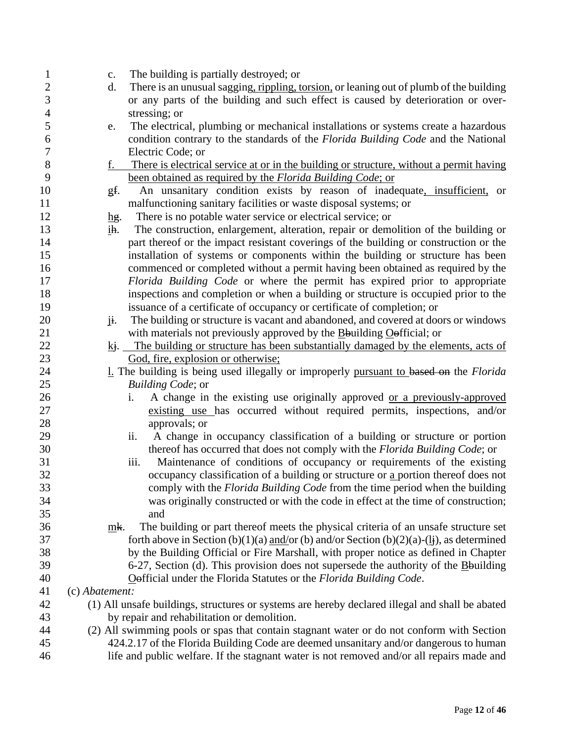| $\mathbf{1}$     | $\mathbf{c}$ .           | The building is partially destroyed; or                                                                 |
|------------------|--------------------------|---------------------------------------------------------------------------------------------------------|
| $\mathbf{2}$     | d.                       | There is an unusual sagging, rippling, torsion, or leaning out of plumb of the building                 |
| $\mathfrak{Z}$   |                          | or any parts of the building and such effect is caused by deterioration or over-                        |
| $\overline{4}$   |                          | stressing; or                                                                                           |
| 5                | e.                       | The electrical, plumbing or mechanical installations or systems create a hazardous                      |
| 6                |                          | condition contrary to the standards of the Florida Building Code and the National                       |
| $\boldsymbol{7}$ |                          | Electric Code; or                                                                                       |
| $8\,$            | f.                       | There is electrical service at or in the building or structure, without a permit having                 |
| 9                |                          | been obtained as required by the Florida Building Code; or                                              |
| 10               | gf.                      | An unsanitary condition exists by reason of inadequate, insufficient, or                                |
| 11               |                          | malfunctioning sanitary facilities or waste disposal systems; or                                        |
| 12               | $\mathbf{h}\mathbf{g}$ . | There is no potable water service or electrical service; or                                             |
| 13               | ih.                      | The construction, enlargement, alteration, repair or demolition of the building or                      |
| 14               |                          | part thereof or the impact resistant coverings of the building or construction or the                   |
| 15               |                          | installation of systems or components within the building or structure has been                         |
| 16               |                          | commenced or completed without a permit having been obtained as required by the                         |
| 17               |                          | Florida Building Code or where the permit has expired prior to appropriate                              |
| 18               |                          | inspections and completion or when a building or structure is occupied prior to the                     |
| 19               |                          | issuance of a certificate of occupancy or certificate of completion; or                                 |
| 20               | ji.                      | The building or structure is vacant and abandoned, and covered at doors or windows                      |
| 21               |                          | with materials not previously approved by the $\underline{B}$ building $\underline{O}$ efficial; or     |
| 22               |                          | $k$ j. The building or structure has been substantially damaged by the elements, acts of                |
| 23               |                          | God, fire, explosion or otherwise;                                                                      |
| 24               |                          | 1. The building is being used illegally or improperly pursuant to based on the Florida                  |
| 25               |                          | Building Code; or                                                                                       |
| 26               |                          | A change in the existing use originally approved or a previously-approved<br>i.                         |
| 27               |                          | existing use has occurred without required permits, inspections, and/or                                 |
| 28               |                          | approvals; or                                                                                           |
| 29               |                          | A change in occupancy classification of a building or structure or portion<br>ii.                       |
| 30               |                          | thereof has occurred that does not comply with the Florida Building Code; or                            |
| 31               |                          | Maintenance of conditions of occupancy or requirements of the existing<br>iii.                          |
| 32               |                          | occupancy classification of a building or structure or a portion thereof does not                       |
| 33               |                          | comply with the <i>Florida Building Code</i> from the time period when the building                     |
| 34               |                          | was originally constructed or with the code in effect at the time of construction;                      |
| 35               |                          | and                                                                                                     |
| 36               | mk.                      | The building or part thereof meets the physical criteria of an unsafe structure set                     |
| 37               |                          | forth above in Section (b)(1)(a) and/or (b) and/or Section (b)(2)(a)-( $\underline{I}$ ), as determined |
| 38               |                          | by the Building Official or Fire Marshall, with proper notice as defined in Chapter                     |
| 39               |                          | 6-27, Section (d). This provision does not supersede the authority of the $B$ building                  |
| 40               |                          | Oefficial under the Florida Statutes or the Florida Building Code.                                      |
| 41               | (c) Abatement:           |                                                                                                         |
| 42               |                          | (1) All unsafe buildings, structures or systems are hereby declared illegal and shall be abated         |
| 43               |                          | by repair and rehabilitation or demolition.                                                             |
| 44               |                          | (2) All swimming pools or spas that contain stagnant water or do not conform with Section               |
| 45               |                          | 424.2.17 of the Florida Building Code are deemed unsanitary and/or dangerous to human                   |
| 46               |                          | life and public welfare. If the stagnant water is not removed and/or all repairs made and               |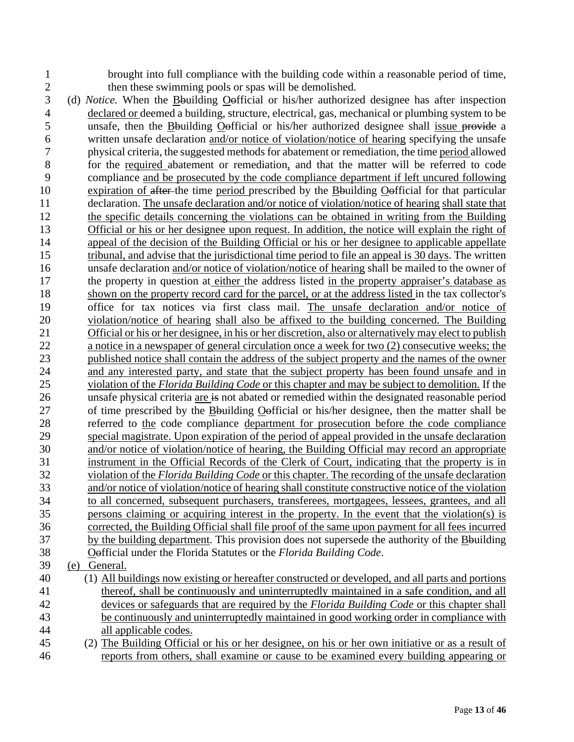brought into full compliance with the building code within a reasonable period of time,

- 2 then these swimming pools or spas will be demolished.<br>3 (d) *Notice*. When the Bbuilding Oefficial or his/her authorize (d) *Notice.* When the Bbuilding Oofficial or his/her authorized designee has after inspection declared or deemed a building, structure, electrical, gas, mechanical or plumbing system to be unsafe, then the Bbuilding Oofficial or his/her authorized designee shall issue provide a written unsafe declaration and/or notice of violation/notice of hearing specifying the unsafe physical criteria, the suggested methods for abatement or remediation, the time period allowed for the required abatement or remediation, and that the matter will be referred to code compliance and be prosecuted by the code compliance department if left uncured following expiration of after the time period prescribed by the Bbuilding Oofficial for that particular declaration. The unsafe declaration and/or notice of violation/notice of hearing shall state that the specific details concerning the violations can be obtained in writing from the Building Official or his or her designee upon request. In addition, the notice will explain the right of appeal of the decision of the Building Official or his or her designee to applicable appellate tribunal, and advise that the jurisdictional time period to file an appeal is 30 days. The written unsafe declaration and/or notice of violation/notice of hearing shall be mailed to the owner of the property in question at either the address listed in the property appraiser's database as shown on the property record card for the parcel, or at the address listed in the tax collector's office for tax notices via first class mail. The unsafe declaration and/or notice of violation/notice of hearing shall also be affixed to the building concerned. The Building Official or his or her designee, in his or her discretion, also or alternatively may elect to publish a notice in a newspaper of general circulation once a week for two (2) consecutive weeks; the published notice shall contain the address of the subject property and the names of the owner and any interested party, and state that the subject property has been found unsafe and in violation of the *Florida Building Code* or this chapter and may be subject to demolition. If the 26 unsafe physical criteria are is not abated or remedied within the designated reasonable period of time prescribed by the Bbuilding Oofficial or his/her designee, then the matter shall be referred to the code compliance department for prosecution before the code compliance special magistrate. Upon expiration of the period of appeal provided in the unsafe declaration and/or notice of violation/notice of hearing, the Building Official may record an appropriate instrument in the Official Records of the Clerk of Court, indicating that the property is in violation of the *Florida Building Code* or this chapter. The recording of the unsafe declaration and/or notice of violation/notice of hearing shall constitute constructive notice of the violation to all concerned, subsequent purchasers, transferees, mortgagees, lessees, grantees, and all persons claiming or acquiring interest in the property. In the event that the violation(s) is corrected, the Building Official shall file proof of the same upon payment for all fees incurred by the building department. This provision does not supersede the authority of the Bbuilding Oofficial under the Florida Statutes or the *Florida Building Code*. (e) General. (1) All buildings now existing or hereafter constructed or developed, and all parts and portions thereof, shall be continuously and uninterruptedly maintained in a safe condition, and all devices or safeguards that are required by the *Florida Building Code* or this chapter shall
- be continuously and uninterruptedly maintained in good working order in compliance with all applicable codes.
- (2) The Building Official or his or her designee, on his or her own initiative or as a result of reports from others, shall examine or cause to be examined every building appearing or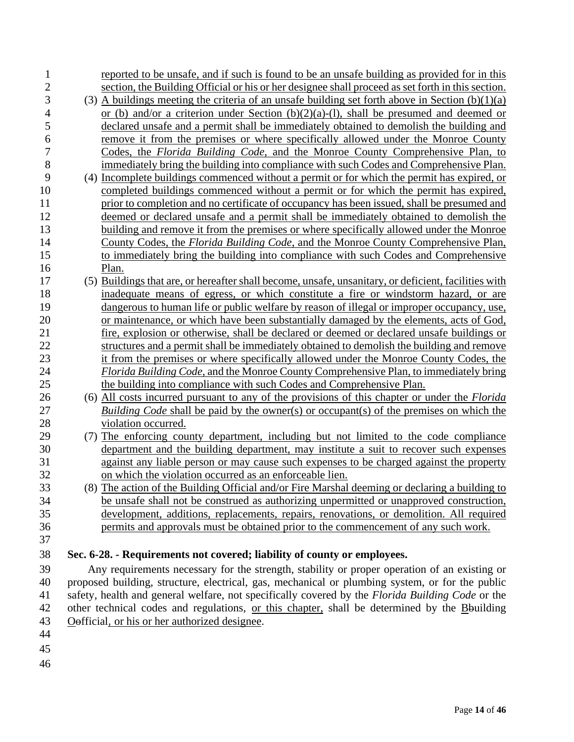| 1              | reported to be unsafe, and if such is found to be an unsafe building as provided for in this         |
|----------------|------------------------------------------------------------------------------------------------------|
| $\overline{c}$ | section, the Building Official or his or her designee shall proceed as set forth in this section.    |
| 3              | (3) A buildings meeting the criteria of an unsafe building set forth above in Section $(b)(1)(a)$    |
| $\overline{4}$ | or (b) and/or a criterion under Section (b)(2)(a)-(l), shall be presumed and deemed or               |
| 5              | declared unsafe and a permit shall be immediately obtained to demolish the building and              |
| 6              | remove it from the premises or where specifically allowed under the Monroe County                    |
| $\overline{7}$ | Codes, the Florida Building Code, and the Monroe County Comprehensive Plan, to                       |
| 8              | immediately bring the building into compliance with such Codes and Comprehensive Plan.               |
| 9              | (4) Incomplete buildings commenced without a permit or for which the permit has expired, or          |
| 10             | completed buildings commenced without a permit or for which the permit has expired,                  |
| 11             | prior to completion and no certificate of occupancy has been issued, shall be presumed and           |
| 12             | deemed or declared unsafe and a permit shall be immediately obtained to demolish the                 |
| 13             | building and remove it from the premises or where specifically allowed under the Monroe              |
| 14             | County Codes, the Florida Building Code, and the Monroe County Comprehensive Plan,                   |
| 15             | to immediately bring the building into compliance with such Codes and Comprehensive                  |
| 16             | Plan.                                                                                                |
| 17             | (5) Buildings that are, or hereafter shall become, unsafe, unsanitary, or deficient, facilities with |
| 18             | inadequate means of egress, or which constitute a fire or windstorm hazard, or are                   |
| 19             | dangerous to human life or public welfare by reason of illegal or improper occupancy, use,           |
| 20             | or maintenance, or which have been substantially damaged by the elements, acts of God,               |
| 21             | fire, explosion or otherwise, shall be declared or deemed or declared unsafe buildings or            |
| 22             | structures and a permit shall be immediately obtained to demolish the building and remove            |
| 23             | it from the premises or where specifically allowed under the Monroe County Codes, the                |
| 24             | Florida Building Code, and the Monroe County Comprehensive Plan, to immediately bring                |
| 25             | the building into compliance with such Codes and Comprehensive Plan.                                 |
| 26             | (6) All costs incurred pursuant to any of the provisions of this chapter or under the <i>Florida</i> |
| 27             | <i>Building Code</i> shall be paid by the owner(s) or occupant(s) of the premises on which the       |
| 28             | violation occurred.                                                                                  |
| 29             | (7) The enforcing county department, including but not limited to the code compliance                |
| 30             | department and the building department, may institute a suit to recover such expenses                |
| 31             | against any liable person or may cause such expenses to be charged against the property              |
| 32             | on which the violation occurred as an enforceable lien.                                              |
| 33             | (8) The action of the Building Official and/or Fire Marshal deeming or declaring a building to       |
| 34             | be unsafe shall not be construed as authorizing unpermitted or unapproved construction,              |
| 35             | development, additions, replacements, repairs, renovations, or demolition. All required              |
| 36             | permits and approvals must be obtained prior to the commencement of any such work.                   |
| 37             |                                                                                                      |
| 38             | Sec. 6-28. - Requirements not covered; liability of county or employees.                             |
| 39             | Any requirements necessary for the strength, stability or proper operation of an existing or         |
| 40             | proposed building, structure, electrical, gas, mechanical or plumbing system, or for the public      |
| 41             | safety, health and general welfare, not specifically covered by the Florida Building Code or the     |
| 42             | other technical codes and regulations, or this chapter, shall be determined by the Bouilding         |
| 43             | Oefficial, or his or her authorized designee.                                                        |
| 44             |                                                                                                      |
|                |                                                                                                      |

- 
-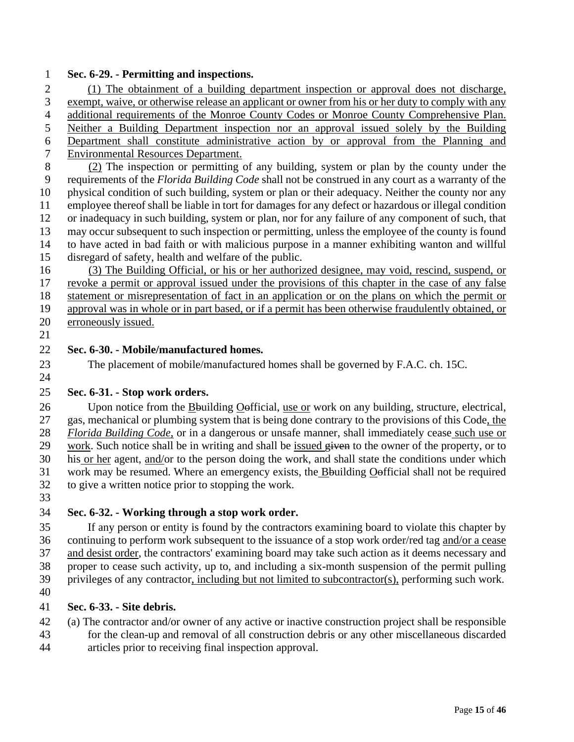#### **Sec. 6-29. - Permitting and inspections.**

 (1) The obtainment of a building department inspection or approval does not discharge, exempt, waive, or otherwise release an applicant or owner from his or her duty to comply with any additional requirements of the Monroe County Codes or Monroe County Comprehensive Plan. Neither a Building Department inspection nor an approval issued solely by the Building Department shall constitute administrative action by or approval from the Planning and Environmental Resources Department.

 (2) The inspection or permitting of any building, system or plan by the county under the requirements of the *Florida Building Code* shall not be construed in any court as a warranty of the physical condition of such building, system or plan or their adequacy. Neither the county nor any employee thereof shall be liable in tort for damages for any defect or hazardous or illegal condition or inadequacy in such building, system or plan, nor for any failure of any component of such, that may occur subsequent to such inspection or permitting, unless the employee of the county is found to have acted in bad faith or with malicious purpose in a manner exhibiting wanton and willful disregard of safety, health and welfare of the public.

 (3) The Building Official, or his or her authorized designee, may void, rescind, suspend, or revoke a permit or approval issued under the provisions of this chapter in the case of any false statement or misrepresentation of fact in an application or on the plans on which the permit or approval was in whole or in part based, or if a permit has been otherwise fraudulently obtained, or erroneously issued.

## **Sec. 6-30. - Mobile/manufactured homes.**

The placement of mobile/manufactured homes shall be governed by F.A.C. ch. 15C.

## **Sec. 6-31. - Stop work orders.**

 Upon notice from the Bbuilding Oofficial, use or work on any building, structure, electrical, gas, mechanical or plumbing system that is being done contrary to the provisions of this Code, the *Florida Building Code*, or in a dangerous or unsafe manner, shall immediately cease such use or 29 work. Such notice shall be in writing and shall be issued  $\frac{dy}{dx}$  to the owner of the property, or to his or her agent, and/or to the person doing the work, and shall state the conditions under which work may be resumed. Where an emergency exists, the Bbuilding Oofficial shall not be required to give a written notice prior to stopping the work.

## **Sec. 6-32. - Working through a stop work order.**

 If any person or entity is found by the contractors examining board to violate this chapter by continuing to perform work subsequent to the issuance of a stop work order/red tag and/or a cease and desist order, the contractors' examining board may take such action as it deems necessary and proper to cease such activity, up to, and including a six-month suspension of the permit pulling privileges of any contractor, including but not limited to subcontractor(s), performing such work.

## **Sec. 6-33. - Site debris.**

 (a) The contractor and/or owner of any active or inactive construction project shall be responsible for the clean-up and removal of all construction debris or any other miscellaneous discarded

articles prior to receiving final inspection approval.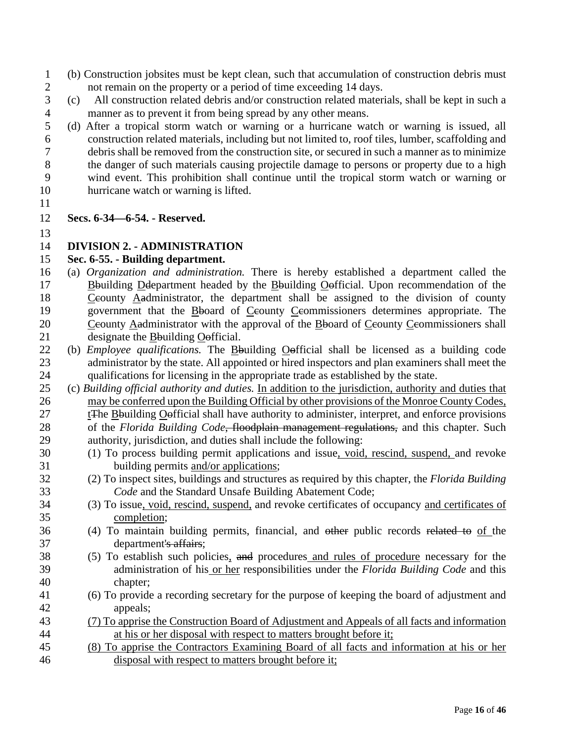- (b) Construction jobsites must be kept clean, such that accumulation of construction debris must 2 not remain on the property or a period of time exceeding 14 days.
- (c) All construction related debris and/or construction related materials, shall be kept in such a manner as to prevent it from being spread by any other means.
- (d) After a tropical storm watch or warning or a hurricane watch or warning is issued, all construction related materials, including but not limited to, roof tiles, lumber, scaffolding and debris shall be removed from the construction site, or secured in such a manner as to minimize the danger of such materials causing projectile damage to persons or property due to a high wind event. This prohibition shall continue until the tropical storm watch or warning or hurricane watch or warning is lifted.
- 

## **Secs. 6-34—6-54. - Reserved.**

## **DIVISION 2. - ADMINISTRATION**

#### **Sec. 6-55. - Building department.**

- (a) *Organization and administration.* There is hereby established a department called the Bbuilding Ddepartment headed by the Bbuilding Oofficial. Upon recommendation of the 18 Ceounty Aadministrator, the department shall be assigned to the division of county 19 government that the Bboard of Ceounty Ceommissioners determines appropriate. The 20 Ceounty Aadministrator with the approval of the Board of Ceounty Ceommissioners shall designate the Bbuilding Oofficial.
- (b) *Employee qualifications.* The Bbuilding Oofficial shall be licensed as a building code 23 administrator by the state. All appointed or hired inspectors and plan examiners shall meet the qualifications for licensing in the appropriate trade as established by the state.
- (c) *Building official authority and duties.* In addition to the jurisdiction, authority and duties that may be conferred upon the Building Official by other provisions of the Monroe County Codes, tThe Bbuilding Oofficial shall have authority to administer, interpret, and enforce provisions of the *Florida Building Code*, floodplain management regulations, and this chapter. Such authority, jurisdiction, and duties shall include the following:
- (1) To process building permit applications and issue, void, rescind, suspend, and revoke building permits and/or applications;
- (2) To inspect sites, buildings and structures as required by this chapter, the *Florida Building Code* and the Standard Unsafe Building Abatement Code;
- (3) To issue, void, rescind, suspend, and revoke certificates of occupancy and certificates of completion;
- (4) To maintain building permits, financial, and other public records related to of the department's affairs;
- (5) To establish such policies, and procedures and rules of procedure necessary for the administration of his or her responsibilities under the *Florida Building Code* and this chapter;
- (6) To provide a recording secretary for the purpose of keeping the board of adjustment and appeals;
- (7) To apprise the Construction Board of Adjustment and Appeals of all facts and information at his or her disposal with respect to matters brought before it;
- (8) To apprise the Contractors Examining Board of all facts and information at his or her disposal with respect to matters brought before it;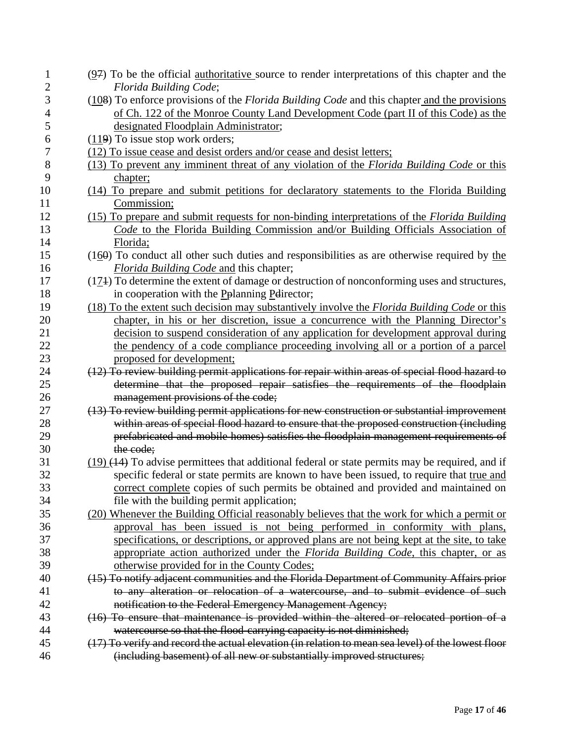| 1              | $(97)$ To be the official <u>authoritative</u> source to render interpretations of this chapter and the |
|----------------|---------------------------------------------------------------------------------------------------------|
| $\overline{c}$ | Florida Building Code;                                                                                  |
| 3              | $(108)$ To enforce provisions of the <i>Florida Building Code</i> and this chapter and the provisions   |
| 4              | of Ch. 122 of the Monroe County Land Development Code (part II of this Code) as the                     |
| 5              | designated Floodplain Administrator;                                                                    |
| 6              | $(119)$ To issue stop work orders;                                                                      |
| 7              | (12) To issue cease and desist orders and/or cease and desist letters;                                  |
| 8              | (13) To prevent any imminent threat of any violation of the Florida Building Code or this               |
| 9              | chapter;                                                                                                |
| 10             | (14) To prepare and submit petitions for declaratory statements to the Florida Building                 |
| 11             | Commission;                                                                                             |
| 12             | (15) To prepare and submit requests for non-binding interpretations of the <i>Florida Building</i>      |
| 13             | Code to the Florida Building Commission and/or Building Officials Association of                        |
| 14             | Florida;                                                                                                |
| 15             | $(160)$ To conduct all other such duties and responsibilities as are otherwise required by the          |
| 16             | <i>Florida Building Code and this chapter;</i>                                                          |
| 17             | $(174)$ To determine the extent of damage or destruction of nonconforming uses and structures,          |
| 18             | in cooperation with the Pplanning Pedirector;                                                           |
| 19             | (18) To the extent such decision may substantively involve the Florida Building Code or this            |
| 20             | chapter, in his or her discretion, issue a concurrence with the Planning Director's                     |
| 21             | decision to suspend consideration of any application for development approval during                    |
| 22             | the pendency of a code compliance proceeding involving all or a portion of a parcel                     |
| 23             | proposed for development;                                                                               |
| 24             | (12) To review building permit applications for repair within areas of special flood hazard to          |
| 25             | determine that the proposed repair satisfies the requirements of the floodplain                         |
| 26             | management provisions of the code;                                                                      |
| 27             | (13) To review building permit applications for new construction or substantial improvement             |
| 28             | within areas of special flood hazard to ensure that the proposed construction (including                |
| 29             | prefabricated and mobile homes) satisfies the floodplain management requirements of                     |
| 30             | the code;                                                                                               |
| 31             | $(19)$ $(14)$ To advise permittees that additional federal or state permits may be required, and if     |
| 32             | specific federal or state permits are known to have been issued, to require that true and               |
| 33             | correct complete copies of such permits be obtained and provided and maintained on                      |
| 34             | file with the building permit application;                                                              |
| 35             | (20) Whenever the Building Official reasonably believes that the work for which a permit or             |
| 36             | approval has been issued is not being performed in conformity with plans,                               |
| 37             | specifications, or descriptions, or approved plans are not being kept at the site, to take              |
| 38             | appropriate action authorized under the Florida Building Code, this chapter, or as                      |
| 39             | otherwise provided for in the County Codes;                                                             |
| 40             | (15) To notify adjacent communities and the Florida Department of Community Affairs prior               |
| 41             | to any alteration or relocation of a watercourse, and to submit evidence of such                        |
| 42             | notification to the Federal Emergency Management Agency;                                                |
| 43             | (16) To ensure that maintenance is provided within the altered or relocated portion of a                |
| 44             | watercourse so that the flood-carrying capacity is not diminished;                                      |
| 45             | (17) To verify and record the actual elevation (in relation to mean sea level) of the lowest floor      |
| 46             | (including basement) of all new or substantially improved structures;                                   |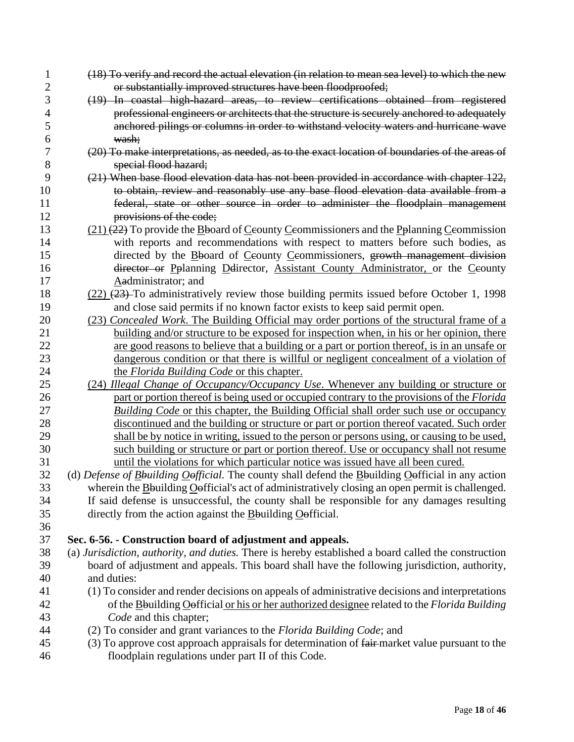| 1              | (18) To verify and record the actual elevation (in relation to mean sea level) to which the new      |
|----------------|------------------------------------------------------------------------------------------------------|
| $\overline{c}$ | or substantially improved structures have been floodproofed;                                         |
| 3              | (19) In coastal high-hazard areas, to review certifications obtained from registered                 |
| 4              | professional engineers or architects that the structure is securely anchored to adequately           |
| 5              | anchored pilings or columns in order to withstand velocity waters and hurricane wave                 |
| 6              | wash;                                                                                                |
| 7              | (20) To make interpretations, as needed, as to the exact location of boundaries of the areas of      |
| 8              | special flood hazard;                                                                                |
| 9              | (21) When base flood elevation data has not been provided in accordance with chapter 122,            |
| 10             | to obtain, review and reasonably use any base flood elevation data available from a                  |
| 11             | federal, state or other source in order to administer the floodplain management                      |
| 12             | provisions of the code;                                                                              |
| 13             | $(21)$ (22) To provide the B board of Ceounty Ceommissioners and the P planning C eommission         |
| 14             | with reports and recommendations with respect to matters before such bodies, as                      |
| 15             | directed by the Bboard of Ceounty Ceommissioners, growth management division                         |
| 16             | director or Pplanning Delirector, Assistant County Administrator, or the Ceounty                     |
| 17             | Aadministrator; and                                                                                  |
| 18             | $(22)$ $(23)$ To administratively review those building permits issued before October 1, 1998        |
| 19             | and close said permits if no known factor exists to keep said permit open.                           |
| 20             | (23) Concealed Work. The Building Official may order portions of the structural frame of a           |
| 21             | building and/or structure to be exposed for inspection when, in his or her opinion, there            |
| 22             | are good reasons to believe that a building or a part or portion thereof, is in an unsafe or         |
| 23             | dangerous condition or that there is willful or negligent concealment of a violation of              |
| 24             | the Florida Building Code or this chapter.                                                           |
| 25             | (24) Illegal Change of Occupancy/Occupancy Use. Whenever any building or structure or                |
| 26             | part or portion thereof is being used or occupied contrary to the provisions of the Florida          |
| 27             | <b>Building Code or this chapter, the Building Official shall order such use or occupancy</b>        |
| 28             | discontinued and the building or structure or part or portion thereof vacated. Such order            |
| 29             | shall be by notice in writing, issued to the person or persons using, or causing to be used,         |
| 30             | such building or structure or part or portion thereof. Use or occupancy shall not resume             |
| 31             | until the violations for which particular notice was issued have all been cured.                     |
| 32             | (d) Defense of Bouilding Oofficial. The county shall defend the Bouilding Oofficial in any action    |
| 33             | wherein the Bouilding Oefficial's act of administratively closing an open permit is challenged.      |
| 34             | If said defense is unsuccessful, the county shall be responsible for any damages resulting           |
| 35             | directly from the action against the $\underline{B}$ building $\underline{O}$ efficial.              |
| 36             |                                                                                                      |
| 37             | Sec. 6-56. - Construction board of adjustment and appeals.                                           |
| 38             | (a) Jurisdiction, authority, and duties. There is hereby established a board called the construction |
| 39             | board of adjustment and appeals. This board shall have the following jurisdiction, authority,        |
| 40             | and duties:                                                                                          |
| 41             | (1) To consider and render decisions on appeals of administrative decisions and interpretations      |
| 42             | of the Bouilding O efficial or his or her authorized designee related to the Florida Building        |
| 43             | Code and this chapter;                                                                               |
| 44             | (2) To consider and grant variances to the Florida Building Code; and                                |
| 45             | (3) To approve cost approach appraisals for determination of fair-market value pursuant to the       |
| 46             | floodplain regulations under part II of this Code.                                                   |
|                |                                                                                                      |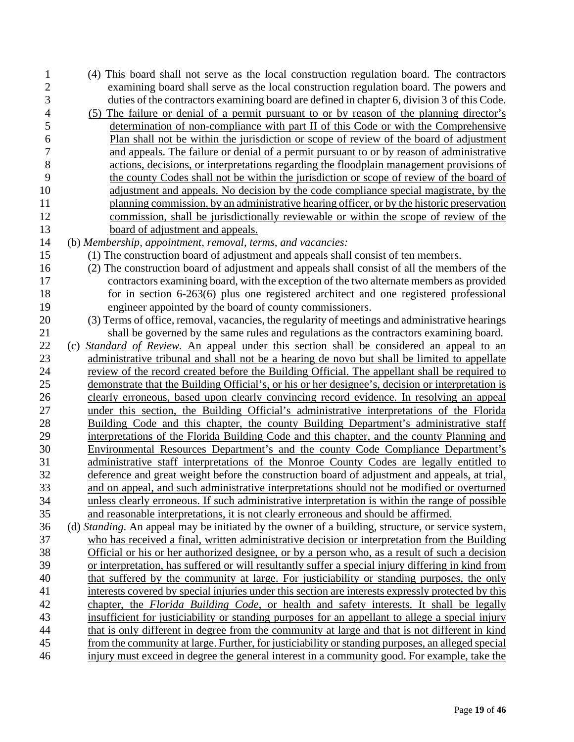(4) This board shall not serve as the local construction regulation board. The contractors examining board shall serve as the local construction regulation board. The powers and duties of the contractors examining board are defined in chapter 6, division 3 of this Code. (5) The failure or denial of a permit pursuant to or by reason of the planning director's determination of non-compliance with part II of this Code or with the Comprehensive Plan shall not be within the jurisdiction or scope of review of the board of adjustment and appeals. The failure or denial of a permit pursuant to or by reason of administrative actions, decisions, or interpretations regarding the floodplain management provisions of the county Codes shall not be within the jurisdiction or scope of review of the board of adjustment and appeals. No decision by the code compliance special magistrate, by the planning commission, by an administrative hearing officer, or by the historic preservation commission, shall be jurisdictionally reviewable or within the scope of review of the board of adjustment and appeals. (b) *Membership, appointment, removal, terms, and vacancies:* (1) The construction board of adjustment and appeals shall consist of ten members. (2) The construction board of adjustment and appeals shall consist of all the members of the contractors examining board, with the exception of the two alternate members as provided for in section 6-263(6) plus one registered architect and one registered professional engineer appointed by the board of county commissioners. (3) Terms of office, removal, vacancies, the regularity of meetings and administrative hearings shall be governed by the same rules and regulations as the contractors examining board. (c) *Standard of Review.* An appeal under this section shall be considered an appeal to an administrative tribunal and shall not be a hearing de novo but shall be limited to appellate review of the record created before the Building Official. The appellant shall be required to demonstrate that the Building Official's, or his or her designee's, decision or interpretation is clearly erroneous, based upon clearly convincing record evidence. In resolving an appeal under this section, the Building Official's administrative interpretations of the Florida Building Code and this chapter, the county Building Department's administrative staff interpretations of the Florida Building Code and this chapter, and the county Planning and Environmental Resources Department's and the county Code Compliance Department's administrative staff interpretations of the Monroe County Codes are legally entitled to deference and great weight before the construction board of adjustment and appeals, at trial, and on appeal, and such administrative interpretations should not be modified or overturned unless clearly erroneous. If such administrative interpretation is within the range of possible and reasonable interpretations, it is not clearly erroneous and should be affirmed. (d) *Standing*. An appeal may be initiated by the owner of a building, structure, or service system, who has received a final, written administrative decision or interpretation from the Building Official or his or her authorized designee, or by a person who, as a result of such a decision or interpretation, has suffered or will resultantly suffer a special injury differing in kind from that suffered by the community at large. For justiciability or standing purposes, the only interests covered by special injuries under this section are interests expressly protected by this chapter, the *Florida Building Code*, or health and safety interests. It shall be legally insufficient for justiciability or standing purposes for an appellant to allege a special injury that is only different in degree from the community at large and that is not different in kind from the community at large. Further, for justiciability or standing purposes, an alleged special injury must exceed in degree the general interest in a community good. For example, take the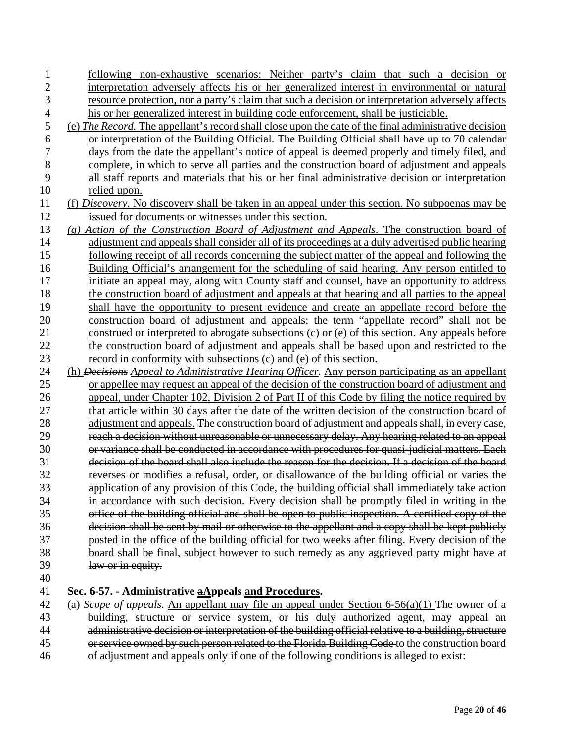| 1              | following non-exhaustive scenarios: Neither party's claim that such a decision or                        |
|----------------|----------------------------------------------------------------------------------------------------------|
| $\overline{c}$ | interpretation adversely affects his or her generalized interest in environmental or natural             |
| 3              | resource protection, nor a party's claim that such a decision or interpretation adversely affects        |
| $\overline{4}$ | his or her generalized interest in building code enforcement, shall be justiciable.                      |
| 5              | (e) The Record. The appellant's record shall close upon the date of the final administrative decision    |
| 6              | or interpretation of the Building Official. The Building Official shall have up to 70 calendar           |
| 7              | days from the date the appellant's notice of appeal is deemed properly and timely filed, and             |
| $8\,$          | complete, in which to serve all parties and the construction board of adjustment and appeals             |
| 9              | all staff reports and materials that his or her final administrative decision or interpretation          |
| 10             | relied upon.                                                                                             |
| 11             | (f) Discovery. No discovery shall be taken in an appeal under this section. No subpoenas may be          |
| 12             | issued for documents or witnesses under this section.                                                    |
| 13             | (g) Action of the Construction Board of Adjustment and Appeals. The construction board of                |
| 14             | adjustment and appeals shall consider all of its proceedings at a duly advertised public hearing         |
| 15             | following receipt of all records concerning the subject matter of the appeal and following the           |
| 16             | Building Official's arrangement for the scheduling of said hearing. Any person entitled to               |
| 17             | initiate an appeal may, along with County staff and counsel, have an opportunity to address              |
| 18             | the construction board of adjustment and appeals at that hearing and all parties to the appeal           |
| 19             | shall have the opportunity to present evidence and create an appellate record before the                 |
| 20             | construction board of adjustment and appeals; the term "appellate record" shall not be                   |
| 21             | construed or interpreted to abrogate subsections (c) or (e) of this section. Any appeals before          |
| 22             | the construction board of adjustment and appeals shall be based upon and restricted to the               |
| 23             | record in conformity with subsections (c) and (e) of this section.                                       |
| 24             | (h) <i>Decisions Appeal to Administrative Hearing Officer</i> . Any person participating as an appellant |
| 25             | or appellee may request an appeal of the decision of the construction board of adjustment and            |
| 26             | appeal, under Chapter 102, Division 2 of Part II of this Code by filing the notice required by           |
| 27             | that article within 30 days after the date of the written decision of the construction board of          |
| 28             | adjustment and appeals. The construction board of adjustment and appeals shall, in every case,           |
| 29             | reach a decision without unreasonable or unnecessary delay. Any hearing related to an appeal             |
| 30             | or variance shall be conducted in accordance with procedures for quasi-judicial matters. Each            |
| 31             | decision of the board shall also include the reason for the decision. If a decision of the board         |
| 32             | reverses or modifies a refusal, order, or disallowance of the building official or varies the            |
| 33             | application of any provision of this Code, the building official shall immediately take action           |
| 34             | in accordance with such decision. Every decision shall be promptly filed in writing in the               |
| 35             | office of the building official and shall be open to public inspection. A certified copy of the          |
| 36             | decision shall be sent by mail or otherwise to the appellant and a copy shall be kept publicly           |
| 37             | posted in the office of the building official for two weeks after filing. Every decision of the          |
| 38             | board shall be final, subject however to such remedy as any aggrieved party might have at                |
| 39             | law or in equity.                                                                                        |
| 40             |                                                                                                          |

40

## 41 **Sec. 6-57. - Administrative aAppeals and Procedures.**

 (a) *Scope of appeals.* An appellant may file an appeal under Section 6-56(a)(1) The owner of a building, structure or service system, or his duly authorized agent, may appeal an administrative decision or interpretation of the building official relative to a building, structure 45 or service owned by such person related to the Florida Building Code to the construction board of adjustment and appeals only if one of the following conditions is alleged to exist:

Page **20** of **46**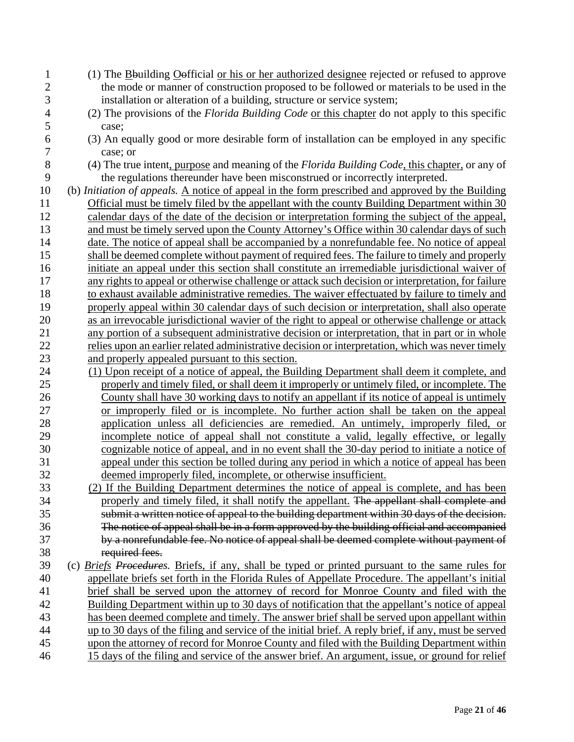| 1              | (1) The Bouilding Oefficial or his or her authorized designee rejected or refused to approve        |
|----------------|-----------------------------------------------------------------------------------------------------|
| $\overline{2}$ | the mode or manner of construction proposed to be followed or materials to be used in the           |
| 3              | installation or alteration of a building, structure or service system;                              |
| $\overline{4}$ | (2) The provisions of the Florida Building Code or this chapter do not apply to this specific       |
| 5              | case;                                                                                               |
| 6              | (3) An equally good or more desirable form of installation can be employed in any specific          |
| 7              | case; or                                                                                            |
| 8              | (4) The true intent, purpose and meaning of the Florida Building Code, this chapter, or any of      |
| 9              | the regulations thereunder have been misconstrued or incorrectly interpreted.                       |
| 10             | (b) Initiation of appeals. A notice of appeal in the form prescribed and approved by the Building   |
| 11             | Official must be timely filed by the appellant with the county Building Department within 30        |
| 12             | calendar days of the date of the decision or interpretation forming the subject of the appeal,      |
| 13             | and must be timely served upon the County Attorney's Office within 30 calendar days of such         |
| 14             | date. The notice of appeal shall be accompanied by a nonrefundable fee. No notice of appeal         |
| 15             | shall be deemed complete without payment of required fees. The failure to timely and properly       |
| 16             | initiate an appeal under this section shall constitute an irremediable jurisdictional waiver of     |
| 17             | any rights to appeal or otherwise challenge or attack such decision or interpretation, for failure  |
| 18             | to exhaust available administrative remedies. The waiver effectuated by failure to timely and       |
| 19             | properly appeal within 30 calendar days of such decision or interpretation, shall also operate      |
| 20             | as an irrevocable jurisdictional wavier of the right to appeal or otherwise challenge or attack     |
| 21             | any portion of a subsequent administrative decision or interpretation, that in part or in whole     |
| 22             | relies upon an earlier related administrative decision or interpretation, which was never timely    |
| 23             | and properly appealed pursuant to this section.                                                     |
| 24             | (1) Upon receipt of a notice of appeal, the Building Department shall deem it complete, and         |
| 25             | properly and timely filed, or shall deem it improperly or untimely filed, or incomplete. The        |
| 26             | County shall have 30 working days to notify an appellant if its notice of appeal is untimely        |
| 27             | or improperly filed or is incomplete. No further action shall be taken on the appeal                |
| 28             | application unless all deficiencies are remedied. An untimely, improperly filed, or                 |
| 29             | incomplete notice of appeal shall not constitute a valid, legally effective, or legally             |
| 30             | cognizable notice of appeal, and in no event shall the 30-day period to initiate a notice of        |
| 31             | appeal under this section be tolled during any period in which a notice of appeal has been          |
| 32             | deemed improperly filed, incomplete, or otherwise insufficient.                                     |
| 33             | (2) If the Building Department determines the notice of appeal is complete, and has been            |
| 34             | properly and timely filed, it shall notify the appellant. The appellant shall complete and          |
| 35             | submit a written notice of appeal to the building department within 30 days of the decision.        |
| 36             | The notice of appeal shall be in a form approved by the building official and accompanied           |
| 37             | by a nonrefundable fee. No notice of appeal shall be deemed complete without payment of             |
| 38             | required fees.                                                                                      |
| 39             | (c) Briefs Procedures. Briefs, if any, shall be typed or printed pursuant to the same rules for     |
| 40             | appellate briefs set forth in the Florida Rules of Appellate Procedure. The appellant's initial     |
| 41             | brief shall be served upon the attorney of record for Monroe County and filed with the              |
| 42             | Building Department within up to 30 days of notification that the appellant's notice of appeal      |
| 43             | has been deemed complete and timely. The answer brief shall be served upon appellant within         |
| 44             | up to 30 days of the filing and service of the initial brief. A reply brief, if any, must be served |
| 45             | upon the attorney of record for Monroe County and filed with the Building Department within         |
| 46             | 15 days of the filing and service of the answer brief. An argument, issue, or ground for relief     |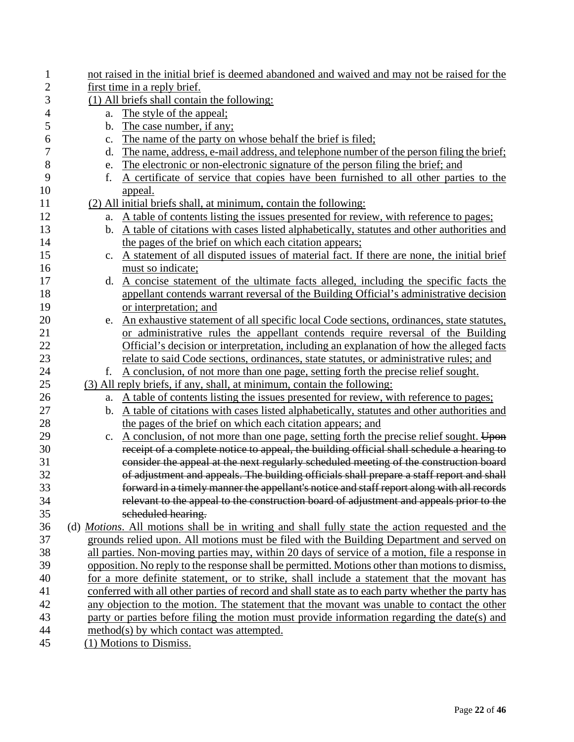| $\mathbf{1}$   |               | not raised in the initial brief is deemed abandoned and waived and may not be raised for the                                                                                          |
|----------------|---------------|---------------------------------------------------------------------------------------------------------------------------------------------------------------------------------------|
| $\overline{c}$ |               | first time in a reply brief.                                                                                                                                                          |
| 3              |               | (1) All briefs shall contain the following:                                                                                                                                           |
| 4              | a.            | The style of the appeal;                                                                                                                                                              |
| 5              | $\mathbf b$ . | The case number, if any;                                                                                                                                                              |
| 6              | c.            | The name of the party on whose behalf the brief is filed;                                                                                                                             |
| $\overline{7}$ | d.            | The name, address, e-mail address, and telephone number of the person filing the brief;                                                                                               |
| 8              | e.            | The electronic or non-electronic signature of the person filing the brief; and                                                                                                        |
| 9              | f.            | A certificate of service that copies have been furnished to all other parties to the                                                                                                  |
| 10             |               | <u>appeal.</u>                                                                                                                                                                        |
| 11             |               | (2) All initial briefs shall, at minimum, contain the following:                                                                                                                      |
| 12             | a.            | A table of contents listing the issues presented for review, with reference to pages;                                                                                                 |
| 13             |               | b. A table of citations with cases listed alphabetically, statutes and other authorities and                                                                                          |
| 14             |               | the pages of the brief on which each citation appears;                                                                                                                                |
| 15             | $c_{\cdot}$   | A statement of all disputed issues of material fact. If there are none, the initial brief                                                                                             |
| 16             |               | must so indicate;                                                                                                                                                                     |
| 17             |               | d. A concise statement of the ultimate facts alleged, including the specific facts the                                                                                                |
| 18             |               | appellant contends warrant reversal of the Building Official's administrative decision                                                                                                |
| 19             |               | or interpretation; and                                                                                                                                                                |
| 20             |               | e. An exhaustive statement of all specific local Code sections, ordinances, state statutes,                                                                                           |
| 21             |               | or administrative rules the appellant contends require reversal of the Building                                                                                                       |
| 22             |               | Official's decision or interpretation, including an explanation of how the alleged facts                                                                                              |
| 23             |               | relate to said Code sections, ordinances, state statutes, or administrative rules; and                                                                                                |
| 24             | f.            | A conclusion, of not more than one page, setting forth the precise relief sought.                                                                                                     |
| 25             |               | (3) All reply briefs, if any, shall, at minimum, contain the following:                                                                                                               |
| 26             | a.            | A table of contents listing the issues presented for review, with reference to pages;                                                                                                 |
| 27             |               | b. A table of citations with cases listed alphabetically, statutes and other authorities and                                                                                          |
| 28             |               | the pages of the brief on which each citation appears; and                                                                                                                            |
| 29             |               | c. A conclusion, of not more than one page, setting forth the precise relief sought. Upon                                                                                             |
| 30             |               | receipt of a complete notice to appeal, the building official shall schedule a hearing to                                                                                             |
| 31<br>32       |               | consider the appeal at the next regularly scheduled meeting of the construction board                                                                                                 |
| 33             |               | of adjustment and appeals. The building officials shall prepare a staff report and shall<br>forward in a timely manner the appellant's notice and staff report along with all records |
| 34             |               | relevant to the appeal to the construction board of adjustment and appeals prior to the                                                                                               |
| 35             |               | scheduled hearing.                                                                                                                                                                    |
| 36             |               | (d) <i>Motions.</i> All motions shall be in writing and shall fully state the action requested and the                                                                                |
| 37             |               | grounds relied upon. All motions must be filed with the Building Department and served on                                                                                             |
| 38             |               | all parties. Non-moving parties may, within 20 days of service of a motion, file a response in                                                                                        |
| 39             |               | opposition. No reply to the response shall be permitted. Motions other than motions to dismiss,                                                                                       |
| 40             |               | for a more definite statement, or to strike, shall include a statement that the movant has                                                                                            |
| 41             |               | conferred with all other parties of record and shall state as to each party whether the party has                                                                                     |
| 42             |               | any objection to the motion. The statement that the movant was unable to contact the other                                                                                            |
| 43             |               | party or parties before filing the motion must provide information regarding the date(s) and                                                                                          |
| 44             |               | method(s) by which contact was attempted.                                                                                                                                             |
| 45             |               | (1) Motions to Dismiss.                                                                                                                                                               |
|                |               |                                                                                                                                                                                       |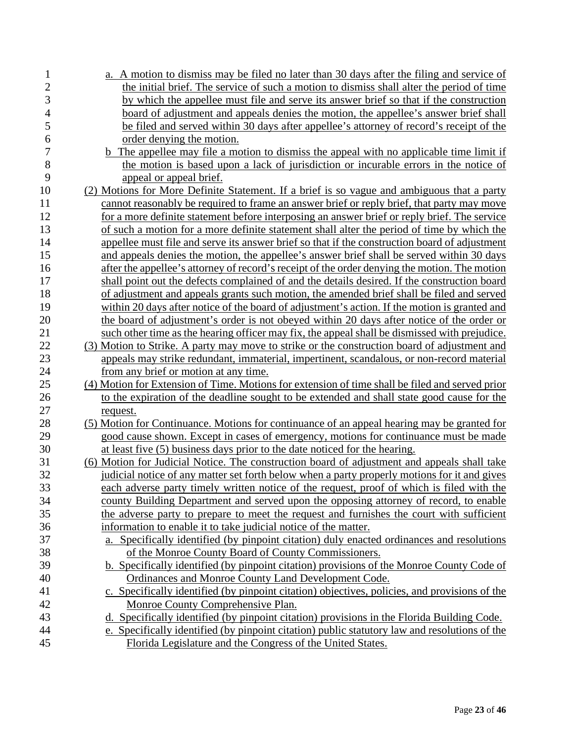| 1                        | a. A motion to dismiss may be filed no later than 30 days after the filing and service of       |
|--------------------------|-------------------------------------------------------------------------------------------------|
| $\overline{c}$           | the initial brief. The service of such a motion to dismiss shall alter the period of time       |
| 3                        | by which the appellee must file and serve its answer brief so that if the construction          |
| $\overline{\mathcal{L}}$ | board of adjustment and appeals denies the motion, the appellee's answer brief shall            |
| 5                        | be filed and served within 30 days after appellee's attorney of record's receipt of the         |
| 6                        | order denying the motion.                                                                       |
| $\overline{7}$           | <b>b</b> The appellee may file a motion to dismiss the appeal with no applicable time limit if  |
| 8                        | the motion is based upon a lack of jurisdiction or incurable errors in the notice of            |
| 9                        | appeal or appeal brief.                                                                         |
| 10                       | (2) Motions for More Definite Statement. If a brief is so vague and ambiguous that a party      |
| 11                       | cannot reasonably be required to frame an answer brief or reply brief, that party may move      |
| 12                       | for a more definite statement before interposing an answer brief or reply brief. The service    |
| 13                       | of such a motion for a more definite statement shall alter the period of time by which the      |
| 14                       | appellee must file and serve its answer brief so that if the construction board of adjustment   |
| 15                       | and appeals denies the motion, the appellee's answer brief shall be served within 30 days       |
| 16                       | after the appellee's attorney of record's receipt of the order denying the motion. The motion   |
| 17                       | shall point out the defects complained of and the details desired. If the construction board    |
| 18                       | of adjustment and appeals grants such motion, the amended brief shall be filed and served       |
| 19                       | within 20 days after notice of the board of adjustment's action. If the motion is granted and   |
| 20                       | the board of adjustment's order is not obeyed within 20 days after notice of the order or       |
| 21                       | such other time as the hearing officer may fix, the appeal shall be dismissed with prejudice.   |
| 22                       | (3) Motion to Strike. A party may move to strike or the construction board of adjustment and    |
| 23                       | appeals may strike redundant, immaterial, impertinent, scandalous, or non-record material       |
| 24                       | from any brief or motion at any time.                                                           |
| 25                       | (4) Motion for Extension of Time. Motions for extension of time shall be filed and served prior |
| 26                       | to the expiration of the deadline sought to be extended and shall state good cause for the      |
| 27                       | request.                                                                                        |
| 28                       | (5) Motion for Continuance. Motions for continuance of an appeal hearing may be granted for     |
| 29                       | good cause shown. Except in cases of emergency, motions for continuance must be made            |
| 30                       | at least five (5) business days prior to the date noticed for the hearing.                      |
| 31                       | (6) Motion for Judicial Notice. The construction board of adjustment and appeals shall take     |
| 32                       | judicial notice of any matter set forth below when a party properly motions for it and gives    |
| 33                       | each adverse party timely written notice of the request, proof of which is filed with the       |
| 34                       | county Building Department and served upon the opposing attorney of record, to enable           |
| 35                       | the adverse party to prepare to meet the request and furnishes the court with sufficient        |
| 36                       | information to enable it to take judicial notice of the matter.                                 |
| 37                       | a. Specifically identified (by pinpoint citation) duly enacted ordinances and resolutions       |
| 38                       | of the Monroe County Board of County Commissioners.                                             |
| 39                       | b. Specifically identified (by pinpoint citation) provisions of the Monroe County Code of       |
| 40                       | Ordinances and Monroe County Land Development Code.                                             |
| 41                       | c. Specifically identified (by pinpoint citation) objectives, policies, and provisions of the   |
| 42                       | Monroe County Comprehensive Plan.                                                               |
| 43                       | d. Specifically identified (by pinpoint citation) provisions in the Florida Building Code.      |
| 44                       | e. Specifically identified (by pinpoint citation) public statutory law and resolutions of the   |
| 45                       | Florida Legislature and the Congress of the United States.                                      |
|                          |                                                                                                 |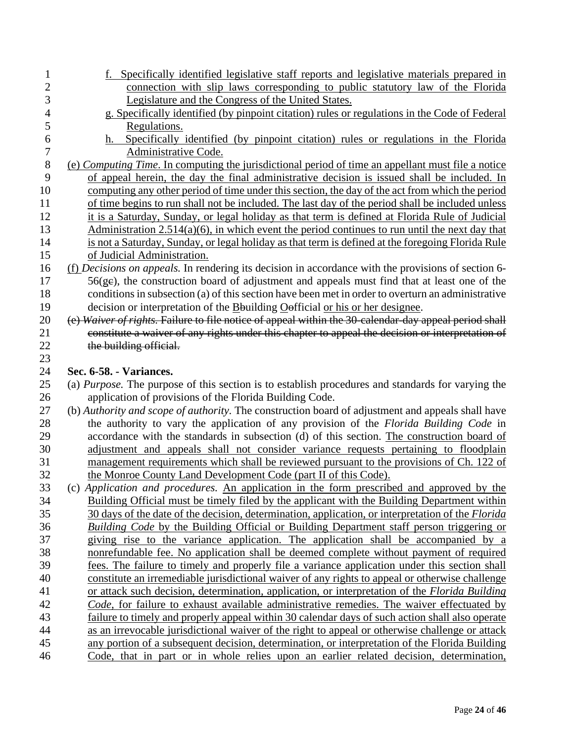| 1              | f. Specifically identified legislative staff reports and legislative materials prepared in                                                                                       |
|----------------|----------------------------------------------------------------------------------------------------------------------------------------------------------------------------------|
| $\overline{c}$ | connection with slip laws corresponding to public statutory law of the Florida                                                                                                   |
| 3              | Legislature and the Congress of the United States.                                                                                                                               |
| $\overline{4}$ | g. Specifically identified (by pinpoint citation) rules or regulations in the Code of Federal                                                                                    |
| 5              | Regulations.                                                                                                                                                                     |
| 6              | Specifically identified (by pinpoint citation) rules or regulations in the Florida<br>$h_{-}$                                                                                    |
| $\tau$         | Administrative Code.                                                                                                                                                             |
| $\,8\,$        | (e) Computing Time. In computing the jurisdictional period of time an appellant must file a notice                                                                               |
| 9              | of appeal herein, the day the final administrative decision is issued shall be included. In                                                                                      |
| 10             | computing any other period of time under this section, the day of the act from which the period                                                                                  |
| 11             | of time begins to run shall not be included. The last day of the period shall be included unless                                                                                 |
| 12             | it is a Saturday, Sunday, or legal holiday as that term is defined at Florida Rule of Judicial                                                                                   |
| 13             | Administration $2.514(a)(6)$ , in which event the period continues to run until the next day that                                                                                |
| 14             | is not a Saturday, Sunday, or legal holiday as that term is defined at the foregoing Florida Rule                                                                                |
| 15             | of Judicial Administration.                                                                                                                                                      |
| 16             | (f) Decisions on appeals. In rendering its decision in accordance with the provisions of section 6-                                                                              |
| 17             | $56(ge)$ , the construction board of adjustment and appeals must find that at least one of the                                                                                   |
| 18             | conditions in subsection (a) of this section have been met in order to overturn an administrative                                                                                |
| 19             | decision or interpretation of the Bouilding Oefficial or his or her designee.                                                                                                    |
| 20             | (e) Waiver of rights. Failure to file notice of appeal within the 30-calendar day appeal period shall                                                                            |
| 21             | constitute a waiver of any rights under this chapter to appeal the decision or interpretation of                                                                                 |
| 22             | the building official.                                                                                                                                                           |
| 23             |                                                                                                                                                                                  |
| 24             | Sec. 6-58. - Variances.                                                                                                                                                          |
| 25             | (a) <i>Purpose</i> . The purpose of this section is to establish procedures and standards for varying the                                                                        |
| 26             | application of provisions of the Florida Building Code.                                                                                                                          |
| 27<br>28       | (b) Authority and scope of authority. The construction board of adjustment and appeals shall have                                                                                |
| 29             | the authority to vary the application of any provision of the Florida Building Code in                                                                                           |
| 30             | accordance with the standards in subsection (d) of this section. The construction board of                                                                                       |
| 31             | adjustment and appeals shall not consider variance requests pertaining to floodplain<br>management requirements which shall be reviewed pursuant to the provisions of Ch. 122 of |
| 32             | the Monroe County Land Development Code (part II of this Code).                                                                                                                  |
| 33             | (c) Application and procedures. An application in the form prescribed and approved by the                                                                                        |
| 34             | Building Official must be timely filed by the applicant with the Building Department within                                                                                      |
| 35             | 30 days of the date of the decision, determination, application, or interpretation of the Florida                                                                                |
| 36             | <b>Building Code by the Building Official or Building Department staff person triggering or</b>                                                                                  |
| 37             | giving rise to the variance application. The application shall be accompanied by a                                                                                               |
| 38             | nonrefundable fee. No application shall be deemed complete without payment of required                                                                                           |
| 39             | fees. The failure to timely and properly file a variance application under this section shall                                                                                    |
| 40             | constitute an irremediable jurisdictional waiver of any rights to appeal or otherwise challenge                                                                                  |
| 41             | or attack such decision, determination, application, or interpretation of the Florida Building                                                                                   |
| 42             | Code, for failure to exhaust available administrative remedies. The waiver effectuated by                                                                                        |
| 43             | failure to timely and properly appeal within 30 calendar days of such action shall also operate                                                                                  |
| 44             | as an irrevocable jurisdictional waiver of the right to appeal or otherwise challenge or attack                                                                                  |
| 45             | any portion of a subsequent decision, determination, or interpretation of the Florida Building                                                                                   |
| 46             | Code, that in part or in whole relies upon an earlier related decision, determination,                                                                                           |
|                |                                                                                                                                                                                  |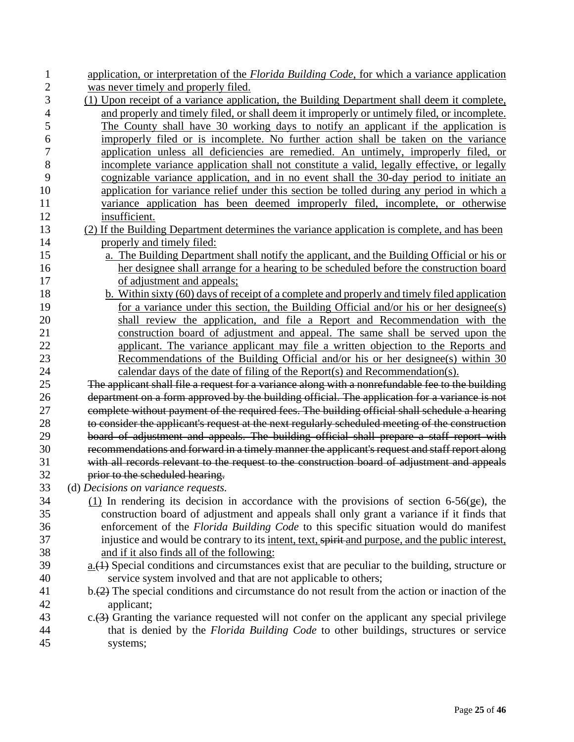| 1              | application, or interpretation of the Florida Building Code, for which a variance application                           |
|----------------|-------------------------------------------------------------------------------------------------------------------------|
| $\overline{2}$ | was never timely and properly filed.                                                                                    |
| 3              | (1) Upon receipt of a variance application, the Building Department shall deem it complete,                             |
| $\overline{4}$ | and properly and timely filed, or shall deem it improperly or untimely filed, or incomplete.                            |
| 5              | The County shall have 30 working days to notify an applicant if the application is                                      |
| 6              | improperly filed or is incomplete. No further action shall be taken on the variance                                     |
| $\overline{7}$ | application unless all deficiencies are remedied. An untimely, improperly filed, or                                     |
| $8\,$          | incomplete variance application shall not constitute a valid, legally effective, or legally                             |
| 9              | cognizable variance application, and in no event shall the 30-day period to initiate an                                 |
| 10             | application for variance relief under this section be tolled during any period in which a                               |
| 11             | variance application has been deemed improperly filed, incomplete, or otherwise                                         |
| 12             | insufficient.                                                                                                           |
| 13             | (2) If the Building Department determines the variance application is complete, and has been                            |
| 14             | properly and timely filed:                                                                                              |
| 15             | a. The Building Department shall notify the applicant, and the Building Official or his or                              |
| 16             | her designee shall arrange for a hearing to be scheduled before the construction board                                  |
| 17             | of adjustment and appeals;                                                                                              |
| 18             | b. Within sixty (60) days of receipt of a complete and properly and timely filed application                            |
| 19             | for a variance under this section, the Building Official and/or his or her designee(s)                                  |
| 20             | shall review the application, and file a Report and Recommendation with the                                             |
| 21             | construction board of adjustment and appeal. The same shall be served upon the                                          |
| 22             | applicant. The variance applicant may file a written objection to the Reports and                                       |
| 23             | Recommendations of the Building Official and/or his or her designee(s) within 30                                        |
| 24             | calendar days of the date of filing of the Report(s) and Recommendation(s).                                             |
| 25             | The applicant shall file a request for a variance along with a nonrefundable fee to the building                        |
| 26             | department on a form approved by the building official. The application for a variance is not                           |
| 27             | complete without payment of the required fees. The building official shall schedule a hearing                           |
| 28             | to consider the applicant's request at the next regularly scheduled meeting of the construction                         |
| 29             | board of adjustment and appeals. The building official shall prepare a staff report with                                |
| 30             | recommendations and forward in a timely manner the applicant's request and staff report along                           |
| 31             | with all records relevant to the request to the construction board of adjustment and appeals                            |
| 32             | prior to the scheduled hearing.                                                                                         |
| 33             | (d) Decisions on variance requests.                                                                                     |
| 34             | $(1)$ In rendering its decision in accordance with the provisions of section 6-56(ge), the                              |
| 35             | construction board of adjustment and appeals shall only grant a variance if it finds that                               |
| 36             | enforcement of the Florida Building Code to this specific situation would do manifest                                   |
| 37             | injustice and would be contrary to its intent, text, spirit-and purpose, and the public interest,                       |
| 38             | and if it also finds all of the following:                                                                              |
| 39             | $\underline{a.}(1)$ Special conditions and circumstances exist that are peculiar to the building, structure or          |
| 40             | service system involved and that are not applicable to others;                                                          |
| 41             | $b \rightarrow (2)$ The special conditions and circumstance do not result from the action or inaction of the            |
| 42<br>43       | applicant;<br>$c.\overline{(3)}$ Granting the variance requested will not confer on the applicant any special privilege |
| 44             | that is denied by the <i>Florida Building Code</i> to other buildings, structures or service                            |
| 45             | systems;                                                                                                                |
|                |                                                                                                                         |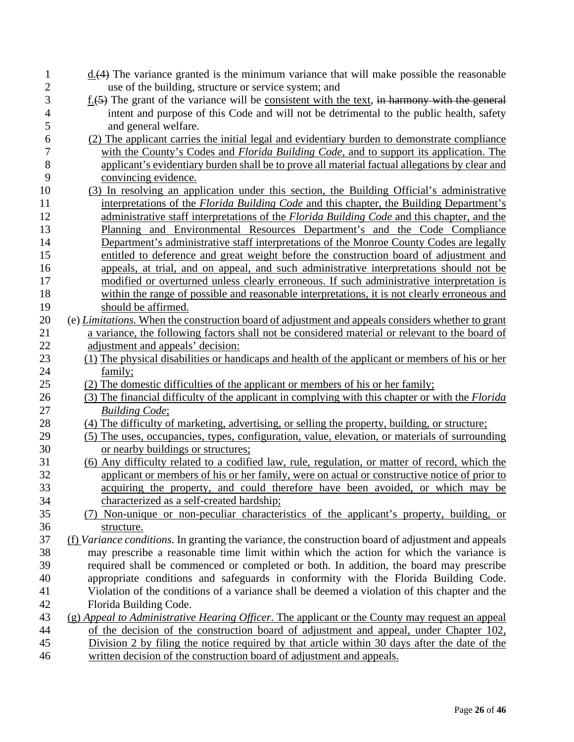| $\mathbf{1}$   | $\underline{d.}(4)$ The variance granted is the minimum variance that will make possible the reasonable     |
|----------------|-------------------------------------------------------------------------------------------------------------|
| $\overline{c}$ | use of the building, structure or service system; and                                                       |
| 3              | $\underline{f.}(5)$ The grant of the variance will be consistent with the text, in harmony with the general |
| $\overline{4}$ | intent and purpose of this Code and will not be detrimental to the public health, safety                    |
| 5              | and general welfare.                                                                                        |
| 6              | (2) The applicant carries the initial legal and evidentiary burden to demonstrate compliance                |
| 7              | with the County's Codes and <i>Florida Building Code</i> , and to support its application. The              |
| $8\,$          | applicant's evidentiary burden shall be to prove all material factual allegations by clear and              |
| 9              | convincing evidence.                                                                                        |
| 10             | (3) In resolving an application under this section, the Building Official's administrative                  |
| 11             | interpretations of the <i>Florida Building Code</i> and this chapter, the Building Department's             |
| 12             | administrative staff interpretations of the Florida Building Code and this chapter, and the                 |
| 13             | Planning and Environmental Resources Department's and the Code Compliance                                   |
| 14             | Department's administrative staff interpretations of the Monroe County Codes are legally                    |
| 15             | entitled to deference and great weight before the construction board of adjustment and                      |
| 16             | appeals, at trial, and on appeal, and such administrative interpretations should not be                     |
| 17             | modified or overturned unless clearly erroneous. If such administrative interpretation is                   |
| 18             | within the range of possible and reasonable interpretations, it is not clearly erroneous and                |
| 19             | should be affirmed.                                                                                         |
| 20             | (e) Limitations. When the construction board of adjustment and appeals considers whether to grant           |
| 21             | a variance, the following factors shall not be considered material or relevant to the board of              |
| $22\,$         | adjustment and appeals' decision:                                                                           |
| 23             | (1) The physical disabilities or handicaps and health of the applicant or members of his or her             |
| 24             | family;                                                                                                     |
| 25             | (2) The domestic difficulties of the applicant or members of his or her family;                             |
| 26             | (3) The financial difficulty of the applicant in complying with this chapter or with the Florida            |
| 27             | <b>Building Code;</b>                                                                                       |
| 28             | (4) The difficulty of marketing, advertising, or selling the property, building, or structure;              |
| 29             | (5) The uses, occupancies, types, configuration, value, elevation, or materials of surrounding              |
| 30             | or nearby buildings or structures;                                                                          |
| 31             | (6) Any difficulty related to a codified law, rule, regulation, or matter of record, which the              |
| 32             | applicant or members of his or her family, were on actual or constructive notice of prior to                |
| 33             | acquiring the property, and could therefore have been avoided, or which may be                              |
| 34             | characterized as a self-created hardship;                                                                   |
| 35             | (7) Non-unique or non-peculiar characteristics of the applicant's property, building, or                    |
| 36             | structure.                                                                                                  |
| 37             | (f) Variance conditions. In granting the variance, the construction board of adjustment and appeals         |
| 38             | may prescribe a reasonable time limit within which the action for which the variance is                     |
| 39             | required shall be commenced or completed or both. In addition, the board may prescribe                      |
| 40             | appropriate conditions and safeguards in conformity with the Florida Building Code.                         |
| 41             | Violation of the conditions of a variance shall be deemed a violation of this chapter and the               |
| 42             | Florida Building Code.                                                                                      |
| 43             | (g) Appeal to Administrative Hearing Officer. The applicant or the County may request an appeal             |
| 44             | of the decision of the construction board of adjustment and appeal, under Chapter 102,                      |
| 45             | Division 2 by filing the notice required by that article within 30 days after the date of the               |
| 46             | written decision of the construction board of adjustment and appeals.                                       |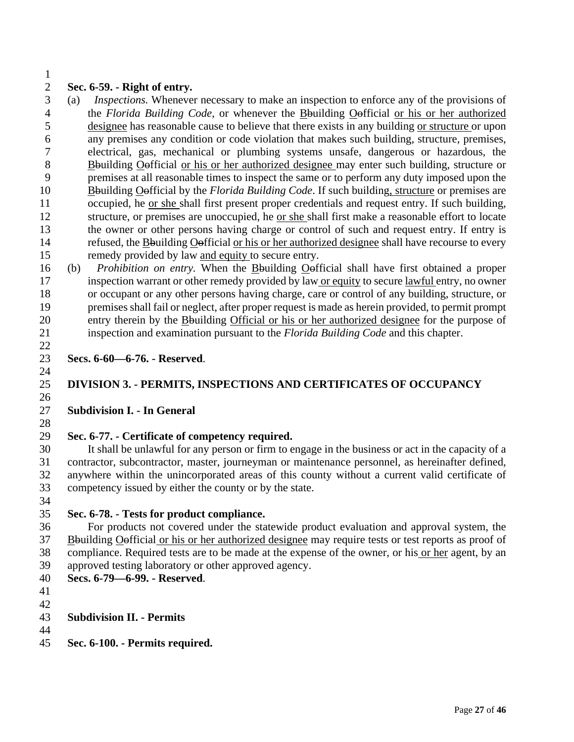### **Sec. 6-59. - Right of entry.**

 (a) *Inspections.* Whenever necessary to make an inspection to enforce any of the provisions of the *Florida Building Code*, or whenever the Bbuilding Oofficial or his or her authorized designee has reasonable cause to believe that there exists in any building or structure or upon any premises any condition or code violation that makes such building, structure, premises, electrical, gas, mechanical or plumbing systems unsafe, dangerous or hazardous, the Bbuilding Oofficial or his or her authorized designee may enter such building, structure or premises at all reasonable times to inspect the same or to perform any duty imposed upon the Bbuilding Oofficial by the *Florida Building Code*. If such building, structure or premises are occupied, he or she shall first present proper credentials and request entry. If such building, structure, or premises are unoccupied, he or she shall first make a reasonable effort to locate the owner or other persons having charge or control of such and request entry. If entry is refused, the Bbuilding Oofficial or his or her authorized designee shall have recourse to every remedy provided by law and equity to secure entry.

 (b) *Prohibition on entry.* When the Bbuilding Oofficial shall have first obtained a proper inspection warrant or other remedy provided by law or equity to secure lawful entry, no owner or occupant or any other persons having charge, care or control of any building, structure, or premises shall fail or neglect, after proper request is made as herein provided, to permit prompt entry therein by the Bbuilding Official or his or her authorized designee for the purpose of inspection and examination pursuant to the *Florida Building Code* and this chapter. 

 **Secs. 6-60—6-76. - Reserved**. 

## **DIVISION 3. - PERMITS, INSPECTIONS AND CERTIFICATES OF OCCUPANCY**

#### **Subdivision I. - In General**

## **Sec. 6-77. - Certificate of competency required.**

 It shall be unlawful for any person or firm to engage in the business or act in the capacity of a contractor, subcontractor, master, journeyman or maintenance personnel, as hereinafter defined, anywhere within the unincorporated areas of this county without a current valid certificate of competency issued by either the county or by the state.

#### **Sec. 6-78. - Tests for product compliance.**

 For products not covered under the statewide product evaluation and approval system, the Bbuilding Oofficial or his or her authorized designee may require tests or test reports as proof of compliance. Required tests are to be made at the expense of the owner, or his or her agent, by an approved testing laboratory or other approved agency.

- **Secs. 6-79—6-99. - Reserved**.
- 
- 

#### **Subdivision II. - Permits**

**Sec. 6-100. - Permits required.**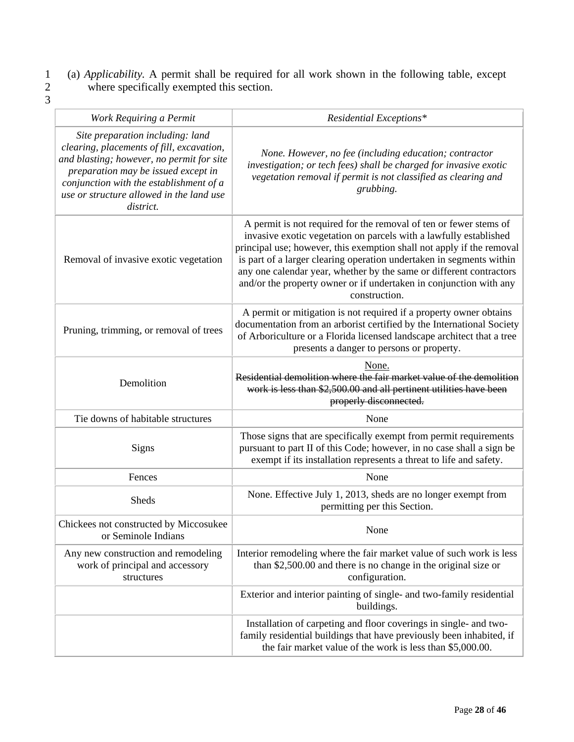- 1 (a) *Applicability.* A permit shall be required for all work shown in the following table, except 2 where specifically exempted this section.  $\begin{array}{c} 1 \\ 2 \\ 3 \end{array}$
- 

| Work Requiring a Permit                                                                                                                                                                                                                                               | Residential Exceptions*                                                                                                                                                                                                                                                                                                                                                                                                                               |
|-----------------------------------------------------------------------------------------------------------------------------------------------------------------------------------------------------------------------------------------------------------------------|-------------------------------------------------------------------------------------------------------------------------------------------------------------------------------------------------------------------------------------------------------------------------------------------------------------------------------------------------------------------------------------------------------------------------------------------------------|
| Site preparation including: land<br>clearing, placements of fill, excavation,<br>and blasting; however, no permit for site<br>preparation may be issued except in<br>conjunction with the establishment of a<br>use or structure allowed in the land use<br>district. | None. However, no fee (including education; contractor<br>investigation; or tech fees) shall be charged for invasive exotic<br>vegetation removal if permit is not classified as clearing and<br>grubbing.                                                                                                                                                                                                                                            |
| Removal of invasive exotic vegetation                                                                                                                                                                                                                                 | A permit is not required for the removal of ten or fewer stems of<br>invasive exotic vegetation on parcels with a lawfully established<br>principal use; however, this exemption shall not apply if the removal<br>is part of a larger clearing operation undertaken in segments within<br>any one calendar year, whether by the same or different contractors<br>and/or the property owner or if undertaken in conjunction with any<br>construction. |
| Pruning, trimming, or removal of trees                                                                                                                                                                                                                                | A permit or mitigation is not required if a property owner obtains<br>documentation from an arborist certified by the International Society<br>of Arboriculture or a Florida licensed landscape architect that a tree<br>presents a danger to persons or property.                                                                                                                                                                                    |
| Demolition                                                                                                                                                                                                                                                            | None.<br>Residential demolition where the fair market value of the demolition<br>work is less than \$2,500.00 and all pertinent utilities have been<br>properly disconnected.                                                                                                                                                                                                                                                                         |
| Tie downs of habitable structures                                                                                                                                                                                                                                     | None                                                                                                                                                                                                                                                                                                                                                                                                                                                  |
| <b>Signs</b>                                                                                                                                                                                                                                                          | Those signs that are specifically exempt from permit requirements<br>pursuant to part II of this Code; however, in no case shall a sign be<br>exempt if its installation represents a threat to life and safety.                                                                                                                                                                                                                                      |
| Fences                                                                                                                                                                                                                                                                | None                                                                                                                                                                                                                                                                                                                                                                                                                                                  |
| Sheds                                                                                                                                                                                                                                                                 | None. Effective July 1, 2013, sheds are no longer exempt from<br>permitting per this Section.                                                                                                                                                                                                                                                                                                                                                         |
| Chickees not constructed by Miccosukee<br>or Seminole Indians                                                                                                                                                                                                         | None                                                                                                                                                                                                                                                                                                                                                                                                                                                  |
| Any new construction and remodeling<br>work of principal and accessory<br>structures                                                                                                                                                                                  | Interior remodeling where the fair market value of such work is less<br>than \$2,500.00 and there is no change in the original size or<br>configuration.                                                                                                                                                                                                                                                                                              |
|                                                                                                                                                                                                                                                                       | Exterior and interior painting of single- and two-family residential<br>buildings.                                                                                                                                                                                                                                                                                                                                                                    |
|                                                                                                                                                                                                                                                                       | Installation of carpeting and floor coverings in single- and two-<br>family residential buildings that have previously been inhabited, if<br>the fair market value of the work is less than \$5,000.00.                                                                                                                                                                                                                                               |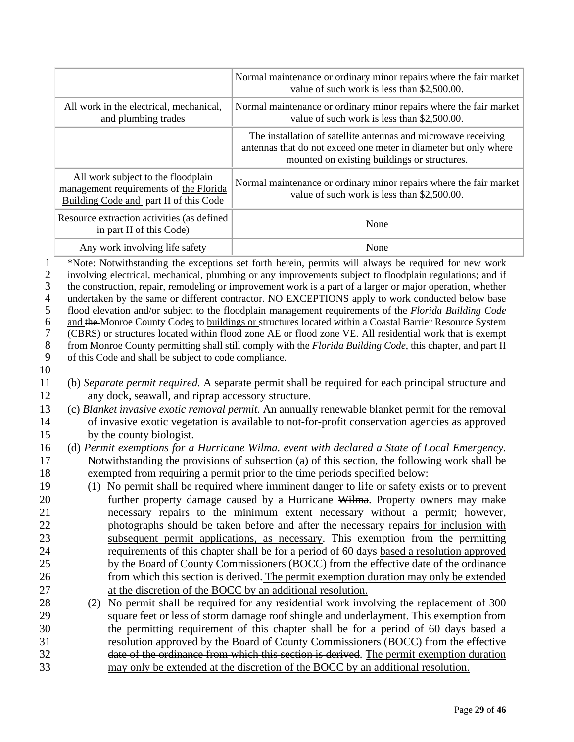|                                                                                                                 |                                                                                                                        | Normal maintenance or ordinary minor repairs where the fair market<br>value of such work is less than \$2,500.00.                                                                                                                                                                                                                                                                                                                                                                                                                                                                                                                                                                                                                                                                                                                                                               |
|-----------------------------------------------------------------------------------------------------------------|------------------------------------------------------------------------------------------------------------------------|---------------------------------------------------------------------------------------------------------------------------------------------------------------------------------------------------------------------------------------------------------------------------------------------------------------------------------------------------------------------------------------------------------------------------------------------------------------------------------------------------------------------------------------------------------------------------------------------------------------------------------------------------------------------------------------------------------------------------------------------------------------------------------------------------------------------------------------------------------------------------------|
|                                                                                                                 | All work in the electrical, mechanical,<br>and plumbing trades                                                         | Normal maintenance or ordinary minor repairs where the fair market<br>value of such work is less than \$2,500.00.                                                                                                                                                                                                                                                                                                                                                                                                                                                                                                                                                                                                                                                                                                                                                               |
|                                                                                                                 |                                                                                                                        | The installation of satellite antennas and microwave receiving<br>antennas that do not exceed one meter in diameter but only where<br>mounted on existing buildings or structures.                                                                                                                                                                                                                                                                                                                                                                                                                                                                                                                                                                                                                                                                                              |
|                                                                                                                 | All work subject to the floodplain<br>management requirements of the Florida<br>Building Code and part II of this Code | Normal maintenance or ordinary minor repairs where the fair market<br>value of such work is less than \$2,500.00.                                                                                                                                                                                                                                                                                                                                                                                                                                                                                                                                                                                                                                                                                                                                                               |
|                                                                                                                 | Resource extraction activities (as defined<br>in part II of this Code)                                                 | None                                                                                                                                                                                                                                                                                                                                                                                                                                                                                                                                                                                                                                                                                                                                                                                                                                                                            |
|                                                                                                                 | Any work involving life safety                                                                                         | None                                                                                                                                                                                                                                                                                                                                                                                                                                                                                                                                                                                                                                                                                                                                                                                                                                                                            |
| $\mathbf{1}$<br>$\sqrt{2}$<br>3<br>$\overline{4}$<br>$\mathfrak s$<br>6<br>$\boldsymbol{7}$<br>$8\,$<br>9<br>10 | of this Code and shall be subject to code compliance.                                                                  | *Note: Notwithstanding the exceptions set forth herein, permits will always be required for new work<br>involving electrical, mechanical, plumbing or any improvements subject to floodplain regulations; and if<br>the construction, repair, remodeling or improvement work is a part of a larger or major operation, whether<br>undertaken by the same or different contractor. NO EXCEPTIONS apply to work conducted below base<br>flood elevation and/or subject to the floodplain management requirements of the Florida Building Code<br>and the Monroe County Codes to buildings or structures located within a Coastal Barrier Resource System<br>(CBRS) or structures located within flood zone AE or flood zone VE. All residential work that is exempt<br>from Monroe County permitting shall still comply with the Florida Building Code, this chapter, and part II |
| 11<br>12                                                                                                        | any dock, seawall, and riprap accessory structure.                                                                     | (b) Separate permit required. A separate permit shall be required for each principal structure and                                                                                                                                                                                                                                                                                                                                                                                                                                                                                                                                                                                                                                                                                                                                                                              |
| 13                                                                                                              |                                                                                                                        | (c) Blanket invasive exotic removal permit. An annually renewable blanket permit for the removal                                                                                                                                                                                                                                                                                                                                                                                                                                                                                                                                                                                                                                                                                                                                                                                |
| 14                                                                                                              |                                                                                                                        | of invasive exotic vegetation is available to not-for-profit conservation agencies as approved                                                                                                                                                                                                                                                                                                                                                                                                                                                                                                                                                                                                                                                                                                                                                                                  |
| 15                                                                                                              | by the county biologist.                                                                                               |                                                                                                                                                                                                                                                                                                                                                                                                                                                                                                                                                                                                                                                                                                                                                                                                                                                                                 |
| 16                                                                                                              |                                                                                                                        | (d) Permit exemptions for a Hurricane Wilma. event with declared a State of Local Emergency.                                                                                                                                                                                                                                                                                                                                                                                                                                                                                                                                                                                                                                                                                                                                                                                    |
| 17<br>18                                                                                                        |                                                                                                                        | Notwithstanding the provisions of subsection (a) of this section, the following work shall be<br>exempted from requiring a permit prior to the time periods specified below:                                                                                                                                                                                                                                                                                                                                                                                                                                                                                                                                                                                                                                                                                                    |
| 19                                                                                                              |                                                                                                                        | (1) No permit shall be required where imminent danger to life or safety exists or to prevent                                                                                                                                                                                                                                                                                                                                                                                                                                                                                                                                                                                                                                                                                                                                                                                    |
| 20                                                                                                              |                                                                                                                        | further property damage caused by a Hurricane Wilma. Property owners may make                                                                                                                                                                                                                                                                                                                                                                                                                                                                                                                                                                                                                                                                                                                                                                                                   |
| 21                                                                                                              |                                                                                                                        | necessary repairs to the minimum extent necessary without a permit; however,                                                                                                                                                                                                                                                                                                                                                                                                                                                                                                                                                                                                                                                                                                                                                                                                    |
| 22                                                                                                              |                                                                                                                        | photographs should be taken before and after the necessary repairs for inclusion with                                                                                                                                                                                                                                                                                                                                                                                                                                                                                                                                                                                                                                                                                                                                                                                           |
| 23                                                                                                              |                                                                                                                        | subsequent permit applications, as necessary. This exemption from the permitting                                                                                                                                                                                                                                                                                                                                                                                                                                                                                                                                                                                                                                                                                                                                                                                                |
| 24                                                                                                              |                                                                                                                        | requirements of this chapter shall be for a period of 60 days based a resolution approved                                                                                                                                                                                                                                                                                                                                                                                                                                                                                                                                                                                                                                                                                                                                                                                       |
| 25                                                                                                              |                                                                                                                        | by the Board of County Commissioners (BOCC) from the effective date of the ordinance                                                                                                                                                                                                                                                                                                                                                                                                                                                                                                                                                                                                                                                                                                                                                                                            |
| 26                                                                                                              |                                                                                                                        | from which this section is derived. The permit exemption duration may only be extended                                                                                                                                                                                                                                                                                                                                                                                                                                                                                                                                                                                                                                                                                                                                                                                          |
| 27                                                                                                              |                                                                                                                        | at the discretion of the BOCC by an additional resolution.                                                                                                                                                                                                                                                                                                                                                                                                                                                                                                                                                                                                                                                                                                                                                                                                                      |
| 28<br>29                                                                                                        |                                                                                                                        | (2) No permit shall be required for any residential work involving the replacement of 300<br>square feet or less of storm damage roof shingle and underlayment. This exemption from                                                                                                                                                                                                                                                                                                                                                                                                                                                                                                                                                                                                                                                                                             |
|                                                                                                                 |                                                                                                                        |                                                                                                                                                                                                                                                                                                                                                                                                                                                                                                                                                                                                                                                                                                                                                                                                                                                                                 |

29 square feet or less of storm damage roof shingle and underlayment. This exemption from 30 the permitting requirement of this chapter shall be for a period of 60 days based a 31 resolution approved by the Board of County Commissioners (BOCC) from the effective 32 date of the ordinance from which this section is derived. The permit exemption duration<br>33 may only be extended at the discretion of the BOCC by an additional resolution. may only be extended at the discretion of the BOCC by an additional resolution.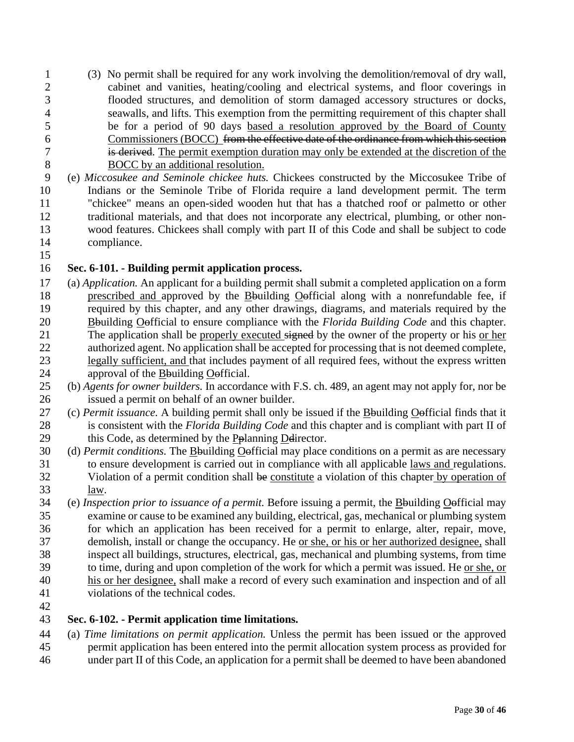- (3) No permit shall be required for any work involving the demolition/removal of dry wall, cabinet and vanities, heating/cooling and electrical systems, and floor coverings in flooded structures, and demolition of storm damaged accessory structures or docks, seawalls, and lifts. This exemption from the permitting requirement of this chapter shall be for a period of 90 days based a resolution approved by the Board of County Commissioners (BOCC) from the effective date of the ordinance from which this section is derived. The permit exemption duration may only be extended at the discretion of the BOCC by an additional resolution.
- (e) *Miccosukee and Seminole chickee huts.* Chickees constructed by the Miccosukee Tribe of Indians or the Seminole Tribe of Florida require a land development permit. The term "chickee" means an open-sided wooden hut that has a thatched roof or palmetto or other traditional materials, and that does not incorporate any electrical, plumbing, or other non- wood features. Chickees shall comply with part II of this Code and shall be subject to code compliance.
- 

## **Sec. 6-101. - Building permit application process.**

- (a) *Application.* An applicant for a building permit shall submit a completed application on a form prescribed and approved by the Bbuilding Oofficial along with a nonrefundable fee, if required by this chapter, and any other drawings, diagrams, and materials required by the Bbuilding Oofficial to ensure compliance with the *Florida Building Code* and this chapter. 21 The application shall be properly executed signed by the owner of the property or his or her authorized agent. No application shall be accepted for processing that is not deemed complete, legally sufficient, and that includes payment of all required fees, without the express written approval of the Bbuilding Oofficial.
- (b) *Agents for owner builders.* In accordance with F.S. ch. 489, an agent may not apply for, nor be issued a permit on behalf of an owner builder.
- (c) *Permit issuance.* A building permit shall only be issued if the Bbuilding Oofficial finds that it is consistent with the *Florida Building Code* and this chapter and is compliant with part II of 29 this Code, as determined by the Pplanning Delirector.
- (d) *Permit conditions.* The Bbuilding Oofficial may place conditions on a permit as are necessary to ensure development is carried out in compliance with all applicable laws and regulations. Violation of a permit condition shall be constitute a violation of this chapter by operation of law.
- (e) *Inspection prior to issuance of a permit.* Before issuing a permit, the Bbuilding Oofficial may examine or cause to be examined any building, electrical, gas, mechanical or plumbing system 36 for which an application has been received for a permit to enlarge, alter, repair, move, demolish, install or change the occupancy. He or she, or his or her authorized designee, shall inspect all buildings, structures, electrical, gas, mechanical and plumbing systems, from time to time, during and upon completion of the work for which a permit was issued. He or she, or his or her designee, shall make a record of every such examination and inspection and of all violations of the technical codes.
- 

## **Sec. 6-102. - Permit application time limitations.**

 (a) *Time limitations on permit application.* Unless the permit has been issued or the approved permit application has been entered into the permit allocation system process as provided for under part II of this Code, an application for a permit shall be deemed to have been abandoned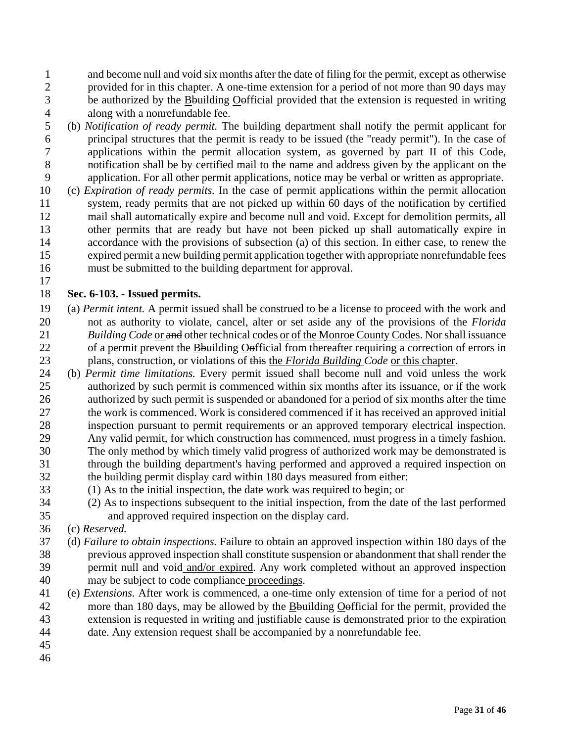and become null and void six months after the date of filing for the permit, except as otherwise 2 provided for in this chapter. A one-time extension for a period of not more than 90 days may<br>3 be authorized by the Bouilding Oofficial provided that the extension is requested in writing be authorized by the Bbuilding Oofficial provided that the extension is requested in writing along with a nonrefundable fee.

- (b) *Notification of ready permit.* The building department shall notify the permit applicant for principal structures that the permit is ready to be issued (the "ready permit"). In the case of applications within the permit allocation system, as governed by part II of this Code, notification shall be by certified mail to the name and address given by the applicant on the application. For all other permit applications, notice may be verbal or written as appropriate.
- (c) *Expiration of ready permits.* In the case of permit applications within the permit allocation system, ready permits that are not picked up within 60 days of the notification by certified mail shall automatically expire and become null and void. Except for demolition permits, all other permits that are ready but have not been picked up shall automatically expire in accordance with the provisions of subsection (a) of this section. In either case, to renew the expired permit a new building permit application together with appropriate nonrefundable fees must be submitted to the building department for approval.

## **Sec. 6-103. - Issued permits.**

- (a) *Permit intent.* A permit issued shall be construed to be a license to proceed with the work and not as authority to violate, cancel, alter or set aside any of the provisions of the *Florida Building Code* or and other technical codes or of the Monroe County Codes. Nor shall issuance of a permit prevent the Bbuilding Oofficial from thereafter requiring a correction of errors in plans, construction, or violations of this the *Florida Building Code* or this chapter.
- (b) *Permit time limitations.* Every permit issued shall become null and void unless the work authorized by such permit is commenced within six months after its issuance, or if the work authorized by such permit is suspended or abandoned for a period of six months after the time the work is commenced. Work is considered commenced if it has received an approved initial inspection pursuant to permit requirements or an approved temporary electrical inspection.
- Any valid permit, for which construction has commenced, must progress in a timely fashion. The only method by which timely valid progress of authorized work may be demonstrated is through the building department's having performed and approved a required inspection on the building permit display card within 180 days measured from either:
- (1) As to the initial inspection, the date work was required to begin; or
- (2) As to inspections subsequent to the initial inspection, from the date of the last performed and approved required inspection on the display card.
- (c) *Reserved.*
- (d) *Failure to obtain inspections.* Failure to obtain an approved inspection within 180 days of the previous approved inspection shall constitute suspension or abandonment that shall render the permit null and void and/or expired. Any work completed without an approved inspection may be subject to code compliance proceedings.
- (e) *Extensions.* After work is commenced, a one-time only extension of time for a period of not 42 more than 180 days, may be allowed by the **B**building **O**efficial for the permit, provided the extension is requested in writing and justifiable cause is demonstrated prior to the expiration date. Any extension request shall be accompanied by a nonrefundable fee.
-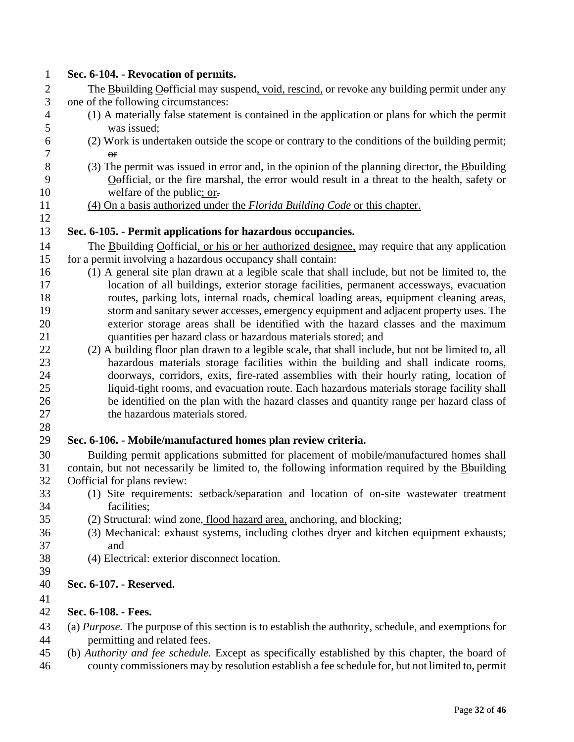| $\mathbf{1}$     | Sec. 6-104. - Revocation of permits.                                                                                 |
|------------------|----------------------------------------------------------------------------------------------------------------------|
| $\mathbf{2}$     | The Bouilding Oofficial may suspend, void, rescind, or revoke any building permit under any                          |
| 3                | one of the following circumstances:                                                                                  |
| $\overline{4}$   | (1) A materially false statement is contained in the application or plans for which the permit                       |
| 5<br>6           | was issued;                                                                                                          |
| $\boldsymbol{7}$ | (2) Work is undertaken outside the scope or contrary to the conditions of the building permit;                       |
| $8\,$            | $\Theta$ <b>F</b><br>(3) The permit was issued in error and, in the opinion of the planning director, the B-building |
| 9                | Oefficial, or the fire marshal, the error would result in a threat to the health, safety or                          |
| 10               | welfare of the public; or-                                                                                           |
| 11               | (4) On a basis authorized under the Florida Building Code or this chapter.                                           |
| 12               |                                                                                                                      |
| 13               | Sec. 6-105. - Permit applications for hazardous occupancies.                                                         |
| 14               | The Bouilding Oefficial, or his or her authorized designee, may require that any application                         |
| 15               | for a permit involving a hazardous occupancy shall contain:                                                          |
| 16               | (1) A general site plan drawn at a legible scale that shall include, but not be limited to, the                      |
| 17               | location of all buildings, exterior storage facilities, permanent accessways, evacuation                             |
| 18               | routes, parking lots, internal roads, chemical loading areas, equipment cleaning areas,                              |
| 19               | storm and sanitary sewer accesses, emergency equipment and adjacent property uses. The                               |
| 20               | exterior storage areas shall be identified with the hazard classes and the maximum                                   |
| 21               | quantities per hazard class or hazardous materials stored; and                                                       |
| 22               | (2) A building floor plan drawn to a legible scale, that shall include, but not be limited to, all                   |
| 23               | hazardous materials storage facilities within the building and shall indicate rooms,                                 |
| 24               | doorways, corridors, exits, fire-rated assemblies with their hourly rating, location of                              |
| 25               | liquid-tight rooms, and evacuation route. Each hazardous materials storage facility shall                            |
| 26               | be identified on the plan with the hazard classes and quantity range per hazard class of                             |
| 27               | the hazardous materials stored.                                                                                      |
| 28               |                                                                                                                      |
| 29               | Sec. 6-106. - Mobile/manufactured homes plan review criteria.                                                        |
| 30               | Building permit applications submitted for placement of mobile/manufactured homes shall                              |
| 31               | contain, but not necessarily be limited to, the following information required by the Bouilding                      |
| 32               | Oefficial for plans review:                                                                                          |
| 33               | (1) Site requirements: setback/separation and location of on-site wastewater treatment                               |
| 34               | facilities;                                                                                                          |
| 35               | (2) Structural: wind zone, flood hazard area, anchoring, and blocking;                                               |
| 36               | (3) Mechanical: exhaust systems, including clothes dryer and kitchen equipment exhausts;                             |
| 37               | and                                                                                                                  |
| 38               | (4) Electrical: exterior disconnect location.                                                                        |
| 39               |                                                                                                                      |
| 40               | Sec. 6-107. - Reserved.                                                                                              |
| 41               |                                                                                                                      |
| 42               | Sec. 6-108. - Fees.                                                                                                  |
| 43               | (a) Purpose. The purpose of this section is to establish the authority, schedule, and exemptions for                 |
| 44               | permitting and related fees.                                                                                         |
| 45               | (b) Authority and fee schedule. Except as specifically established by this chapter, the board of                     |
| 46               | county commissioners may by resolution establish a fee schedule for, but not limited to, permit                      |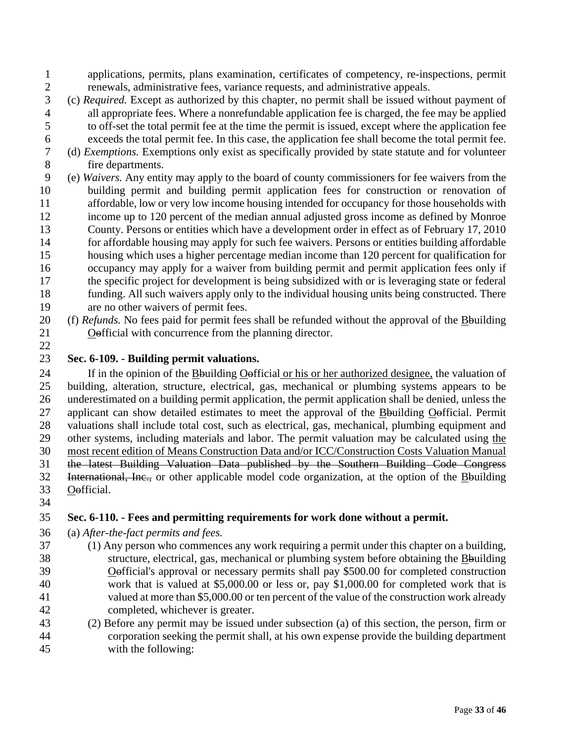applications, permits, plans examination, certificates of competency, re-inspections, permit 2 renewals, administrative fees, variance requests, and administrative appeals.<br>3 (c) Required. Except as authorized by this chapter, no permit shall be issued wit

- (c) *Required.* Except as authorized by this chapter, no permit shall be issued without payment of all appropriate fees. Where a nonrefundable application fee is charged, the fee may be applied to off-set the total permit fee at the time the permit is issued, except where the application fee exceeds the total permit fee. In this case, the application fee shall become the total permit fee.
- (d) *Exemptions.* Exemptions only exist as specifically provided by state statute and for volunteer fire departments.
- (e) *Waivers.* Any entity may apply to the board of county commissioners for fee waivers from the building permit and building permit application fees for construction or renovation of affordable, low or very low income housing intended for occupancy for those households with income up to 120 percent of the median annual adjusted gross income as defined by Monroe County. Persons or entities which have a development order in effect as of February 17, 2010 for affordable housing may apply for such fee waivers. Persons or entities building affordable housing which uses a higher percentage median income than 120 percent for qualification for occupancy may apply for a waiver from building permit and permit application fees only if the specific project for development is being subsidized with or is leveraging state or federal funding. All such waivers apply only to the individual housing units being constructed. There are no other waivers of permit fees.
- (f) *Refunds.* No fees paid for permit fees shall be refunded without the approval of the Bbuilding Oofficial with concurrence from the planning director.
- 

## **Sec. 6-109. - Building permit valuations.**

24 If in the opinion of the Bouilding Oefficial or his or her authorized designee, the valuation of building, alteration, structure, electrical, gas, mechanical or plumbing systems appears to be underestimated on a building permit application, the permit application shall be denied, unless the 27 applicant can show detailed estimates to meet the approval of the Bouilding Oofficial. Permit valuations shall include total cost, such as electrical, gas, mechanical, plumbing equipment and other systems, including materials and labor. The permit valuation may be calculated using the most recent edition of Means Construction Data and/or ICC/Construction Costs Valuation Manual the latest Building Valuation Data published by the Southern Building Code Congress International, Inc., or other applicable model code organization, at the option of the Bbuilding Oofficial.

## **Sec. 6-110. - Fees and permitting requirements for work done without a permit.**

(a) *After-the-fact permits and fees.*

- (1) Any person who commences any work requiring a permit under this chapter on a building, structure, electrical, gas, mechanical or plumbing system before obtaining the Bbuilding Oofficial's approval or necessary permits shall pay \$500.00 for completed construction work that is valued at \$5,000.00 or less or, pay \$1,000.00 for completed work that is valued at more than \$5,000.00 or ten percent of the value of the construction work already completed, whichever is greater.
- (2) Before any permit may be issued under subsection (a) of this section, the person, firm or corporation seeking the permit shall, at his own expense provide the building department with the following: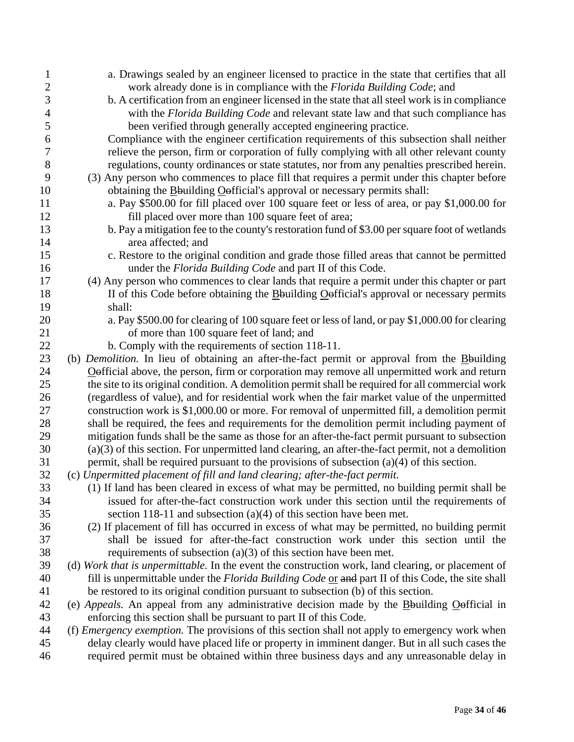| 1                | a. Drawings sealed by an engineer licensed to practice in the state that certifies that all            |
|------------------|--------------------------------------------------------------------------------------------------------|
| $\mathbf{2}$     | work already done is in compliance with the Florida Building Code; and                                 |
| $\mathfrak{Z}$   | b. A certification from an engineer licensed in the state that all steel work is in compliance         |
| $\overline{4}$   | with the Florida Building Code and relevant state law and that such compliance has                     |
| 5                | been verified through generally accepted engineering practice.                                         |
| 6                | Compliance with the engineer certification requirements of this subsection shall neither               |
| $\boldsymbol{7}$ | relieve the person, firm or corporation of fully complying with all other relevant county              |
| $8\,$            | regulations, county ordinances or state statutes, nor from any penalties prescribed herein.            |
| 9                | (3) Any person who commences to place fill that requires a permit under this chapter before            |
| 10               | obtaining the <b>B</b> building <b>O</b> efficial's approval or necessary permits shall:               |
| 11               | a. Pay \$500.00 for fill placed over 100 square feet or less of area, or pay \$1,000.00 for            |
| 12               | fill placed over more than 100 square feet of area;                                                    |
| 13               | b. Pay a mitigation fee to the county's restoration fund of \$3.00 per square foot of wetlands         |
| 14               | area affected; and                                                                                     |
| 15               | c. Restore to the original condition and grade those filled areas that cannot be permitted             |
| 16               | under the <i>Florida Building Code</i> and part II of this Code.                                       |
| 17               | (4) Any person who commences to clear lands that require a permit under this chapter or part           |
| 18               | II of this Code before obtaining the Bouilding Oefficial's approval or necessary permits               |
| 19               | shall:                                                                                                 |
| 20               | a. Pay \$500.00 for clearing of 100 square feet or less of land, or pay \$1,000.00 for clearing        |
| 21               | of more than 100 square feet of land; and                                                              |
| 22               | b. Comply with the requirements of section 118-11.                                                     |
| 23               | (b) Demolition. In lieu of obtaining an after-the-fact permit or approval from the Bouilding           |
| 24               | Oefficial above, the person, firm or corporation may remove all unpermitted work and return            |
| 25               | the site to its original condition. A demolition permit shall be required for all commercial work      |
| 26               | (regardless of value), and for residential work when the fair market value of the unpermitted          |
| 27               | construction work is \$1,000.00 or more. For removal of unpermitted fill, a demolition permit          |
| 28               | shall be required, the fees and requirements for the demolition permit including payment of            |
| 29               | mitigation funds shall be the same as those for an after-the-fact permit pursuant to subsection        |
| 30               | $(a)(3)$ of this section. For unpermitted land clearing, an after-the-fact permit, not a demolition    |
| 31               | permit, shall be required pursuant to the provisions of subsection $(a)(4)$ of this section.           |
| 32               | (c) Unpermitted placement of fill and land clearing; after-the-fact permit.                            |
| 33               | (1) If land has been cleared in excess of what may be permitted, no building permit shall be           |
| 34               | issued for after-the-fact construction work under this section until the requirements of               |
| 35               | section 118-11 and subsection $(a)(4)$ of this section have been met.                                  |
| 36               | (2) If placement of fill has occurred in excess of what may be permitted, no building permit           |
| 37               | shall be issued for after-the-fact construction work under this section until the                      |
| 38               | requirements of subsection $(a)(3)$ of this section have been met.                                     |
| 39               | (d) Work that is unpermittable. In the event the construction work, land clearing, or placement of     |
| 40               | fill is unpermittable under the Florida Building Code or and part II of this Code, the site shall      |
| 41               | be restored to its original condition pursuant to subsection (b) of this section.                      |
| 42               | (e) Appeals. An appeal from any administrative decision made by the Bouilding Oefficial in             |
| 43               | enforcing this section shall be pursuant to part II of this Code.                                      |
| 44               | (f) <i>Emergency exemption</i> . The provisions of this section shall not apply to emergency work when |
| 45               | delay clearly would have placed life or property in imminent danger. But in all such cases the         |
| 46               | required permit must be obtained within three business days and any unreasonable delay in              |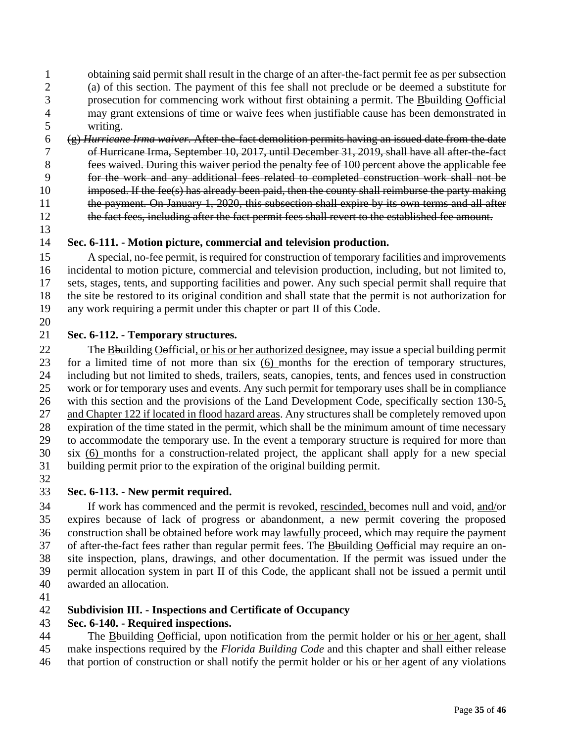obtaining said permit shall result in the charge of an after-the-fact permit fee as per subsection (a) of this section. The payment of this fee shall not preclude or be deemed a substitute for prosecution for commencing work without first obtaining a permit. The Bbuilding Oofficial may grant extensions of time or waive fees when justifiable cause has been demonstrated in writing.

- (g) *Hurricane Irma waiver.* After-the-fact demolition permits having an issued date from the date of Hurricane Irma, September 10, 2017, until December 31, 2019, shall have all after-the-fact fees waived. During this waiver period the penalty fee of 100 percent above the applicable fee for the work and any additional fees related to completed construction work shall not be 10 imposed. If the fee(s) has already been paid, then the county shall reimburse the party making the payment. On January 1, 2020, this subsection shall expire by its own terms and all after 12 the fact fees, including after the fact permit fees shall revert to the established fee amount.
- 

## **Sec. 6-111. - Motion picture, commercial and television production.**

 A special, no-fee permit, is required for construction of temporary facilities and improvements incidental to motion picture, commercial and television production, including, but not limited to, sets, stages, tents, and supporting facilities and power. Any such special permit shall require that the site be restored to its original condition and shall state that the permit is not authorization for any work requiring a permit under this chapter or part II of this Code. 

## **Sec. 6-112. - Temporary structures.**

22 The Bouilding Oefficial, or his or her authorized designee, may issue a special building permit for a limited time of not more than six (6) months for the erection of temporary structures, including but not limited to sheds, trailers, seats, canopies, tents, and fences used in construction work or for temporary uses and events. Any such permit for temporary uses shall be in compliance with this section and the provisions of the Land Development Code, specifically section 130-5, and Chapter 122 if located in flood hazard areas. Any structures shall be completely removed upon expiration of the time stated in the permit, which shall be the minimum amount of time necessary to accommodate the temporary use. In the event a temporary structure is required for more than six (6) months for a construction-related project, the applicant shall apply for a new special building permit prior to the expiration of the original building permit. 

## **Sec. 6-113. - New permit required.**

 If work has commenced and the permit is revoked, rescinded, becomes null and void, and/or expires because of lack of progress or abandonment, a new permit covering the proposed construction shall be obtained before work may lawfully proceed, which may require the payment of after-the-fact fees rather than regular permit fees. The Bbuilding Oofficial may require an on- site inspection, plans, drawings, and other documentation. If the permit was issued under the permit allocation system in part II of this Code, the applicant shall not be issued a permit until awarded an allocation.

## **Subdivision III. - Inspections and Certificate of Occupancy**

## **Sec. 6-140. - Required inspections.**

 The Bbuilding Oofficial, upon notification from the permit holder or his or her agent, shall make inspections required by the *Florida Building Code* and this chapter and shall either release that portion of construction or shall notify the permit holder or his or her agent of any violations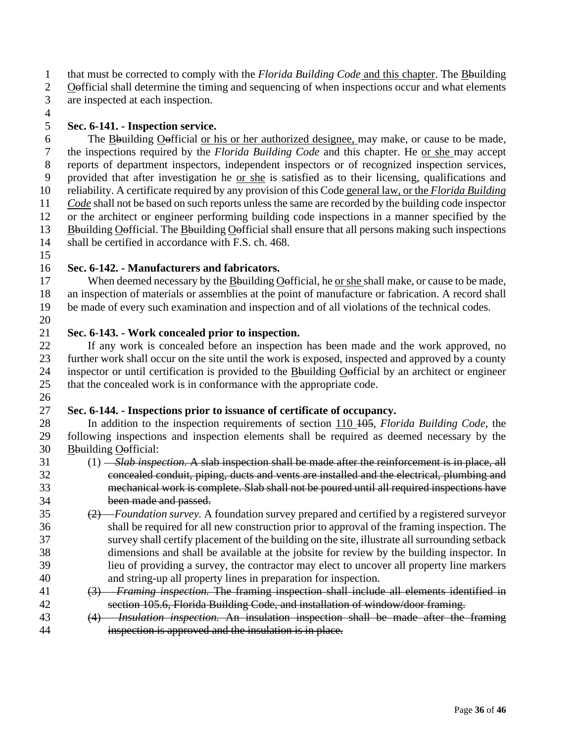that must be corrected to comply with the *Florida Building Code* and this chapter. The Bbuilding Oofficial shall determine the timing and sequencing of when inspections occur and what elements are inspected at each inspection.

## **Sec. 6-141. - Inspection service.**

 The Bbuilding Oofficial or his or her authorized designee, may make, or cause to be made, the inspections required by the *Florida Building Code* and this chapter. He or she may accept reports of department inspectors, independent inspectors or of recognized inspection services, provided that after investigation he or she is satisfied as to their licensing, qualifications and reliability. A certificate required by any provision of this Code general law, or the *Florida Building Code* shall not be based on such reports unless the same are recorded by the building code inspector or the architect or engineer performing building code inspections in a manner specified by the Bbuilding Oofficial. The Bbuilding Oofficial shall ensure that all persons making such inspections shall be certified in accordance with F.S. ch. 468.

## **Sec. 6-142. - Manufacturers and fabricators.**

 When deemed necessary by the Bbuilding Oofficial, he or she shall make, or cause to be made, an inspection of materials or assemblies at the point of manufacture or fabrication. A record shall be made of every such examination and inspection and of all violations of the technical codes. 

#### **Sec. 6-143. - Work concealed prior to inspection.**

 If any work is concealed before an inspection has been made and the work approved, no further work shall occur on the site until the work is exposed, inspected and approved by a county inspector or until certification is provided to the Bbuilding Oofficial by an architect or engineer that the concealed work is in conformance with the appropriate code. 

## **Sec. 6-144. - Inspections prior to issuance of certificate of occupancy.**

 In addition to the inspection requirements of section 110 105, *Florida Building Code*, the following inspections and inspection elements shall be required as deemed necessary by the Bbuilding Oofficial:

- (1) *Slab inspection.* A slab inspection shall be made after the reinforcement is in place, all concealed conduit, piping, ducts and vents are installed and the electrical, plumbing and mechanical work is complete. Slab shall not be poured until all required inspections have been made and passed.
- (2) *Foundation survey.* A foundation survey prepared and certified by a registered surveyor shall be required for all new construction prior to approval of the framing inspection. The survey shall certify placement of the building on the site, illustrate all surrounding setback dimensions and shall be available at the jobsite for review by the building inspector. In lieu of providing a survey, the contractor may elect to uncover all property line markers and string-up all property lines in preparation for inspection.
- (3) *Framing inspection.* The framing inspection shall include all elements identified in section 105.6, Florida Building Code, and installation of window/door framing.
- (4) *Insulation inspection.* An insulation inspection shall be made after the framing inspection is approved and the insulation is in place.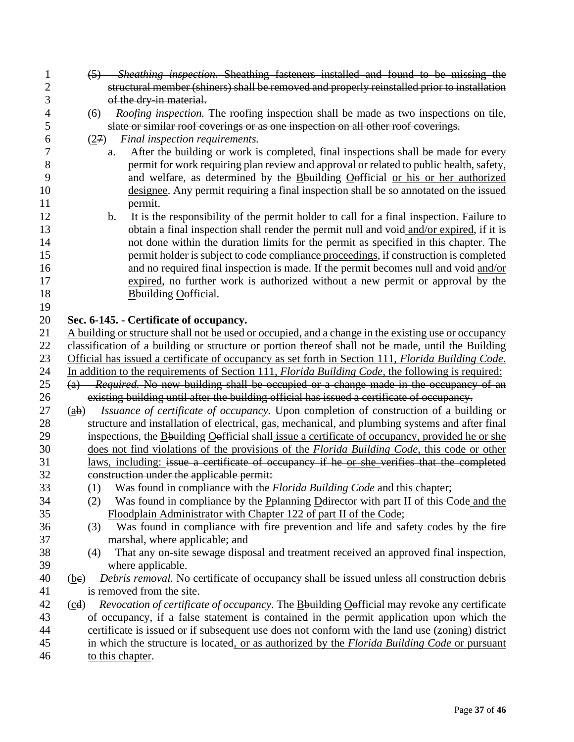| $\mathbf{1}$   | (5) Sheathing inspection. Sheathing fasteners installed and found to be missing the                                             |
|----------------|---------------------------------------------------------------------------------------------------------------------------------|
| $\overline{c}$ | structural member (shiners) shall be removed and properly reinstalled prior to installation                                     |
| 3              | of the dry-in material.                                                                                                         |
| 4              | (6) Roofing inspection. The roofing inspection shall be made as two inspections on tile,                                        |
| 5              | slate or similar roof coverings or as one inspection on all other roof coverings.                                               |
| 6              | Final inspection requirements.<br>(27)                                                                                          |
| 7              | After the building or work is completed, final inspections shall be made for every<br>a.                                        |
| 8              | permit for work requiring plan review and approval or related to public health, safety,                                         |
| 9              | and welfare, as determined by the Bouilding Oofficial or his or her authorized                                                  |
| 10             | designee. Any permit requiring a final inspection shall be so annotated on the issued                                           |
| 11             | permit.                                                                                                                         |
| 12             | It is the responsibility of the permit holder to call for a final inspection. Failure to<br>$\mathbf{b}$ .                      |
| 13             | obtain a final inspection shall render the permit null and void and/or expired, if it is                                        |
| 14             | not done within the duration limits for the permit as specified in this chapter. The                                            |
| 15             | permit holder is subject to code compliance proceedings, if construction is completed                                           |
| 16             | and no required final inspection is made. If the permit becomes null and void and/or                                            |
| 17             | expired, no further work is authorized without a new permit or approval by the                                                  |
| 18             | <b>B</b> building <b>O</b> efficial.                                                                                            |
| 19             |                                                                                                                                 |
| 20             | Sec. 6-145. - Certificate of occupancy.                                                                                         |
| 21             | A building or structure shall not be used or occupied, and a change in the existing use or occupancy                            |
| 22             | classification of a building or structure or portion thereof shall not be made, until the Building                              |
| 23             | Official has issued a certificate of occupancy as set forth in Section 111, Florida Building Code.                              |
| 24             | In addition to the requirements of Section 111, <i>Florida Building Code</i> , the following is required:                       |
| 25             | (a) Required. No new building shall be occupied or a change made in the occupancy of an                                         |
| 26             | existing building until after the building official has issued a certificate of occupancy.                                      |
| 27             | Issuance of certificate of occupancy. Upon completion of construction of a building or<br>$\left(\underline{ab}\right)$         |
| 28             | structure and installation of electrical, gas, mechanical, and plumbing systems and after final                                 |
| 29             | inspections, the Bouilding Oefficial shall issue a certificate of occupancy, provided he or she                                 |
| 30             | does not find violations of the provisions of the Florida Building Code, this code or other                                     |
| 31             | laws, including: issue a certificate of occupancy if he or she verifies that the completed                                      |
| 32             | construction under the applicable permit:                                                                                       |
| 33             | Was found in compliance with the <i>Florida Building Code</i> and this chapter;<br>(1)                                          |
| 34             | Was found in compliance by the Pplanning Delirector with part II of this Code and the<br>(2)                                    |
| 35             | Floodplain Administrator with Chapter 122 of part II of the Code;                                                               |
| 36             | Was found in compliance with fire prevention and life and safety codes by the fire<br>(3)                                       |
| 37             | marshal, where applicable; and                                                                                                  |
| 38             | That any on-site sewage disposal and treatment received an approved final inspection,<br>(4)                                    |
| 39             | where applicable.                                                                                                               |
| 40             | Debris removal. No certificate of occupancy shall be issued unless all construction debris<br>(be)<br>is removed from the site. |
| 41             | Revocation of certificate of occupancy. The Bouilding Oofficial may revoke any certificate                                      |
| 42<br>43       | (cd)<br>of occupancy, if a false statement is contained in the permit application upon which the                                |
| 44             | certificate is issued or if subsequent use does not conform with the land use (zoning) district                                 |
| 45             | in which the structure is located, or as authorized by the Florida Building Code or pursuant                                    |
| 46             | to this chapter.                                                                                                                |
|                |                                                                                                                                 |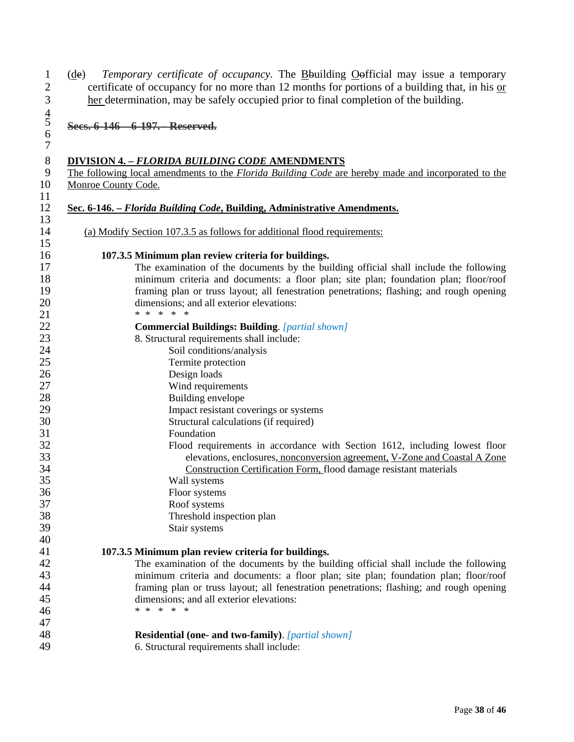1 (de) *Temporary certificate of occupancy*. The **B**building **O**efficial may issue a temporary certificate of occupancy for no more than 12 months for portions of a building that, in his <u>or</u> certificate of occupancy for no more than 12 months for portions of a building that, in his  $or$ </u> her determination, may be safely occupied prior to final completion of the building.

**Secs. 6-146—6-197. - Reserved.**

 

# 8 **DIVISION 4. –** *FLORIDA BUILDING CODE* **AMENDMENTS**<br>The following local amendments to the *Florida Building Code* are

9 The following local amendments to the *Florida Building Code* are hereby made and incorporated to the Monroe County Code. Monroe County Code.

| (a) Modify Section 107.3.5 as follows for additional flood requirements:                               |
|--------------------------------------------------------------------------------------------------------|
| 107.3.5 Minimum plan review criteria for buildings.                                                    |
| The examination of the documents by the building official shall include the following                  |
| minimum criteria and documents: a floor plan; site plan; foundation plan; floor/roof                   |
| framing plan or truss layout; all fenestration penetrations; flashing; and rough opening               |
| dimensions; and all exterior elevations:                                                               |
| * * * * *                                                                                              |
| <b>Commercial Buildings: Building.</b> [partial shown]                                                 |
| 8. Structural requirements shall include:                                                              |
| Soil conditions/analysis                                                                               |
| Termite protection                                                                                     |
| Design loads                                                                                           |
| Wind requirements<br>Building envelope                                                                 |
| Impact resistant coverings or systems                                                                  |
| Structural calculations (if required)                                                                  |
| Foundation                                                                                             |
| Flood requirements in accordance with Section 1612, including lowest floor                             |
| elevations, enclosures, nonconversion agreement, V-Zone and Coastal A Zone                             |
| Construction Certification Form, flood damage resistant materials                                      |
| Wall systems                                                                                           |
| Floor systems                                                                                          |
| Roof systems                                                                                           |
| Threshold inspection plan                                                                              |
| Stair systems                                                                                          |
|                                                                                                        |
| 107.3.5 Minimum plan review criteria for buildings.                                                    |
| The examination of the documents by the building official shall include the following                  |
| minimum criteria and documents: a floor plan; site plan; foundation plan; floor/roof                   |
| framing plan or truss layout; all fenestration penetrations; flashing; and rough opening               |
| dimensions; and all exterior elevations:<br>* * *<br>$\ast$<br>∗                                       |
|                                                                                                        |
|                                                                                                        |
| <b>Residential (one- and two-family).</b> [partial shown]<br>6. Structural requirements shall include: |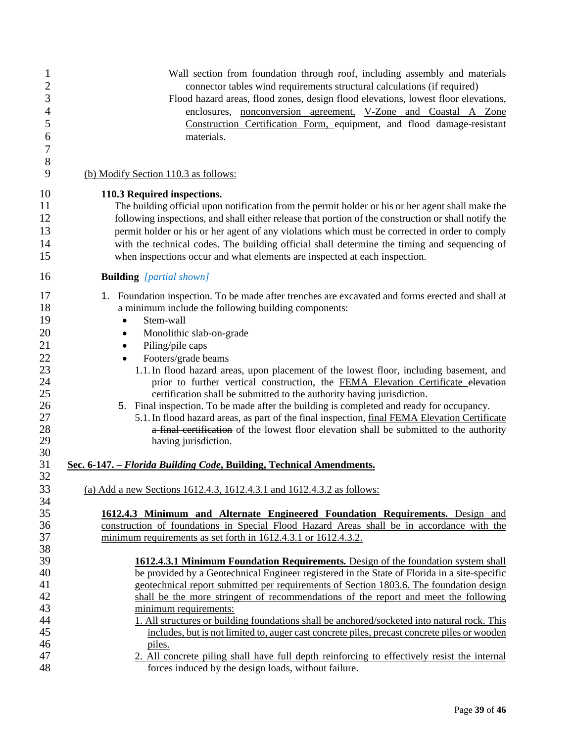| 1                    | Wall section from foundation through roof, including assembly and materials                                                                                                |
|----------------------|----------------------------------------------------------------------------------------------------------------------------------------------------------------------------|
| $\overline{c}$       | connector tables wind requirements structural calculations (if required)                                                                                                   |
| 3                    | Flood hazard areas, flood zones, design flood elevations, lowest floor elevations,                                                                                         |
| $\overline{4}$       | enclosures, nonconversion agreement, V-Zone and Coastal A Zone                                                                                                             |
| 5                    | Construction Certification Form, equipment, and flood damage-resistant                                                                                                     |
| 6                    | materials.                                                                                                                                                                 |
| 7                    |                                                                                                                                                                            |
| 8                    |                                                                                                                                                                            |
| 9                    | (b) Modify Section 110.3 as follows:                                                                                                                                       |
| 10                   | 110.3 Required inspections.                                                                                                                                                |
| 11                   | The building official upon notification from the permit holder or his or her agent shall make the                                                                          |
| 12                   | following inspections, and shall either release that portion of the construction or shall notify the                                                                       |
| 13                   | permit holder or his or her agent of any violations which must be corrected in order to comply                                                                             |
| 14                   | with the technical codes. The building official shall determine the timing and sequencing of                                                                               |
| 15                   | when inspections occur and what elements are inspected at each inspection.                                                                                                 |
| 16                   | <b>Building</b> [partial shown]                                                                                                                                            |
| 17                   | 1. Foundation inspection. To be made after trenches are excavated and forms erected and shall at                                                                           |
| 18                   | a minimum include the following building components:                                                                                                                       |
| 19                   | Stem-wall<br>٠                                                                                                                                                             |
| 20                   | Monolithic slab-on-grade<br>٠                                                                                                                                              |
| 21                   | Piling/pile caps<br>٠                                                                                                                                                      |
|                      | Footers/grade beams                                                                                                                                                        |
|                      | 1.1. In flood hazard areas, upon placement of the lowest floor, including basement, and                                                                                    |
| 22<br>23<br>24<br>25 | prior to further vertical construction, the FEMA Elevation Certificate elevation                                                                                           |
|                      | eertification shall be submitted to the authority having jurisdiction.                                                                                                     |
| 26                   | 5. Final inspection. To be made after the building is completed and ready for occupancy.                                                                                   |
| 27                   | 5.1. In flood hazard areas, as part of the final inspection, final FEMA Elevation Certificate                                                                              |
|                      | a final certification of the lowest floor elevation shall be submitted to the authority                                                                                    |
| 28<br>29             | having jurisdiction.                                                                                                                                                       |
| 30                   |                                                                                                                                                                            |
| 31                   | Sec. 6-147. - Florida Building Code, Building, Technical Amendments.                                                                                                       |
| 32                   |                                                                                                                                                                            |
| 33                   | (a) Add a new Sections 1612.4.3, 1612.4.3.1 and 1612.4.3.2 as follows:                                                                                                     |
| 34                   |                                                                                                                                                                            |
| 35<br>36             | 1612.4.3 Minimum and Alternate Engineered Foundation Requirements. Design and<br>construction of foundations in Special Flood Hazard Areas shall be in accordance with the |
| 37                   | minimum requirements as set forth in 1612.4.3.1 or 1612.4.3.2.                                                                                                             |
| 38                   |                                                                                                                                                                            |
| 39                   | 1612.4.3.1 Minimum Foundation Requirements. Design of the foundation system shall                                                                                          |
| 40                   | be provided by a Geotechnical Engineer registered in the State of Florida in a site-specific                                                                               |
| 41                   | geotechnical report submitted per requirements of Section 1803.6. The foundation design                                                                                    |
|                      | shall be the more stringent of recommendations of the report and meet the following                                                                                        |
|                      | minimum requirements:                                                                                                                                                      |
|                      | 1. All structures or building foundations shall be anchored/socketed into natural rock. This                                                                               |
| 42<br>43<br>44<br>45 | includes, but is not limited to, auger cast concrete piles, precast concrete piles or wooden                                                                               |
|                      | piles.                                                                                                                                                                     |
| 46<br>47             | 2. All concrete piling shall have full depth reinforcing to effectively resist the internal                                                                                |
| 48                   | forces induced by the design loads, without failure.                                                                                                                       |
|                      |                                                                                                                                                                            |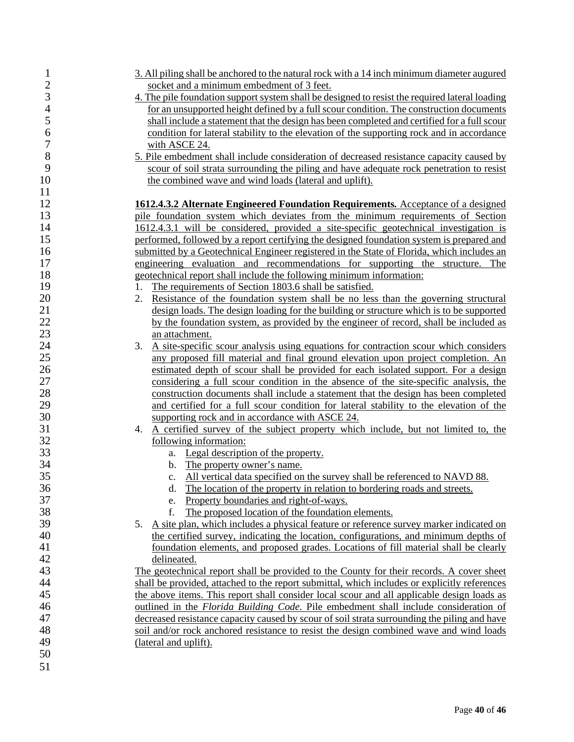| $\mathbf{1}$   | 3. All piling shall be anchored to the natural rock with a 14 inch minimum diameter augured    |
|----------------|------------------------------------------------------------------------------------------------|
| $\overline{c}$ | socket and a minimum embedment of 3 feet.                                                      |
| 3              | 4. The pile foundation support system shall be designed to resist the required lateral loading |
| $\overline{4}$ | for an unsupported height defined by a full scour condition. The construction documents        |
| 5              | shall include a statement that the design has been completed and certified for a full scour    |
| 6              | condition for lateral stability to the elevation of the supporting rock and in accordance      |
| 7              | with ASCE 24.                                                                                  |
| 8              | 5. Pile embedment shall include consideration of decreased resistance capacity caused by       |
| 9              |                                                                                                |
|                | scour of soil strata surrounding the piling and have adequate rock penetration to resist       |
| 10             | the combined wave and wind loads (lateral and uplift).                                         |
| 11             |                                                                                                |
| 12             | 1612.4.3.2 Alternate Engineered Foundation Requirements. Acceptance of a designed              |
| 13             | pile foundation system which deviates from the minimum requirements of Section                 |
| 14             | 1612.4.3.1 will be considered, provided a site-specific geotechnical investigation is          |
| 15             | performed, followed by a report certifying the designed foundation system is prepared and      |
| 16             | submitted by a Geotechnical Engineer registered in the State of Florida, which includes an     |
| 17             | engineering evaluation and recommendations for supporting the structure. The                   |
| 18             | geotechnical report shall include the following minimum information:                           |
| 19             | The requirements of Section 1803.6 shall be satisfied.<br>1.                                   |
| 20             | Resistance of the foundation system shall be no less than the governing structural<br>2.       |
| 21             | design loads. The design loading for the building or structure which is to be supported        |
| 22             | by the foundation system, as provided by the engineer of record, shall be included as          |
| 23             | an attachment.                                                                                 |
| 24             | A site-specific scour analysis using equations for contraction scour which considers<br>3.     |
| 25             | any proposed fill material and final ground elevation upon project completion. An              |
| 26             | estimated depth of scour shall be provided for each isolated support. For a design             |
| 27             | considering a full scour condition in the absence of the site-specific analysis, the           |
| 28             | construction documents shall include a statement that the design has been completed            |
| 29             | and certified for a full scour condition for lateral stability to the elevation of the         |
| 30             | supporting rock and in accordance with ASCE 24.                                                |
| 31             | A certified survey of the subject property which include, but not limited to, the<br>4.        |
| 32             | following information:                                                                         |
| 33             | a. Legal description of the property.                                                          |
| 34             | b. The property owner's name.                                                                  |
| 35             | c. All vertical data specified on the survey shall be referenced to NAVD 88.                   |
| 36             | The location of the property in relation to bordering roads and streets.<br>d.                 |
| 37             | Property boundaries and right-of-ways.<br>e.                                                   |
| 38             | The proposed location of the foundation elements.<br>f.                                        |
| 39             | A site plan, which includes a physical feature or reference survey marker indicated on<br>5.   |
| 40             | the certified survey, indicating the location, configurations, and minimum depths of           |
| 41             | foundation elements, and proposed grades. Locations of fill material shall be clearly          |
| 42             | delineated.                                                                                    |
| 43             | The geotechnical report shall be provided to the County for their records. A cover sheet       |
| 44             | shall be provided, attached to the report submittal, which includes or explicitly references   |
| 45             | the above items. This report shall consider local scour and all applicable design loads as     |
| 46             | <u>outlined in the Florida Building Code. Pile embedment shall include consideration of</u>    |
| 47             | decreased resistance capacity caused by scour of soil strata surrounding the piling and have   |
| 48             | soil and/or rock anchored resistance to resist the design combined wave and wind loads         |
| 49             |                                                                                                |
| 50             | (lateral and uplift).                                                                          |
|                |                                                                                                |
| 51             |                                                                                                |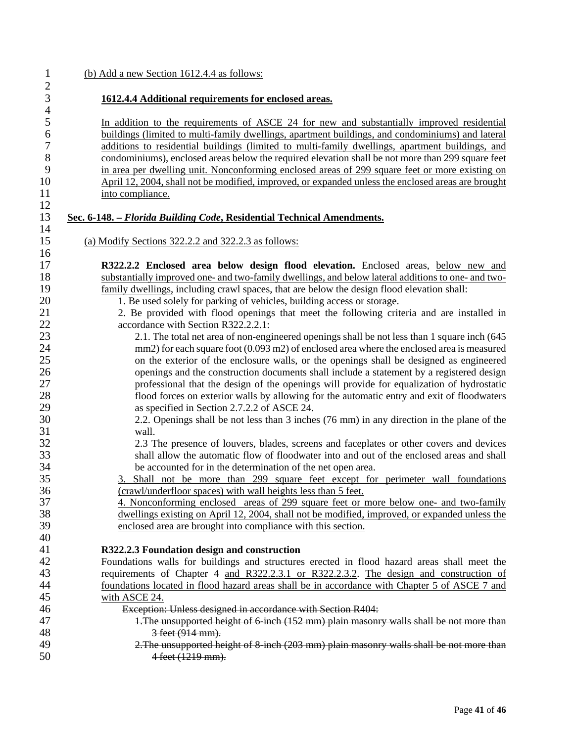#### 1 (b) Add a new Section 1612.4.4 as follows:  $\frac{2}{3}$ 3 **1612.4.4 Additional requirements for enclosed areas.**   $\frac{4}{5}$ 5 In addition to the requirements of ASCE 24 for new and substantially improved residential<br>6 buildings (limited to multi-family dwellings, apartment buildings, and condominiums) and lateral 6 buildings (limited to multi-family dwellings, apartment buildings, and condominiums) and lateral 2 additions to residential buildings (limited to multi-family dwellings, apartment buildings, and<br>8 condominiums), enclosed areas below the required elevation shall be not more than 299 square feet 8 condominiums), enclosed areas below the required elevation shall be not more than 299 square feet<br>9 in area per dwelling unit. Nonconforming enclosed areas of 299 square feet or more existing on 9 in area per dwelling unit. Nonconforming enclosed areas of 299 square feet or more existing on April 12, 2004, shall not be modified, improved, or expanded unless the enclosed areas are brought April 12, 2004, shall not be modified, improved, or expanded unless the enclosed areas are brought 11 into compliance.  $\frac{12}{13}$ 13 **Sec. 6-148. –** *Florida Building Code***, Residential Technical Amendments.** 14 15 (a) Modify Sections 322.2.2 and 322.2.3 as follows: 16 17 **R322.2.2 Enclosed area below design flood elevation.** Enclosed areas, below new and 18 substantially improved one- and two-family dwellings, and below lateral additions to one- and two-<br>19 family dwellings, including crawl spaces, that are below the design flood elevation shall: 19 family dwellings, including crawl spaces, that are below the design flood elevation shall:<br>20 1 Be used solely for parking of vehicles building access or storage 20 1. Be used solely for parking of vehicles, building access or storage.<br>21 2. Be provided with flood openings that meet the following crit 21 2. Be provided with flood openings that meet the following criteria and are installed in 22 accordance with Section R322.2.2.1:<br>23 2.1. The total net area of non-eng 2.1. The total net area of non-engineered openings shall be not less than 1 square inch (645) 24 mm2) for each square foot (0.093 m2) of enclosed area where the enclosed area is measured 25 on the exterior of the enclosure walls, or the openings shall be designed as engineered 26 openings and the construction documents shall include a statement by a registered design 27 professional that the design of the openings will provide for equalization of hydrostatic 128 flood forces on exterior walls by allowing for the automatic entry and exit of floodwaters 28 flood forces on exterior walls by allowing for the automatic entry and exit of floodwaters<br>29 as specified in Section 2.7.2.2 of ASCE 24. as specified in Section 2.7.2.2 of ASCE 24. 30 2.2. Openings shall be not less than 3 inches (76 mm) in any direction in the plane of the 31 wall. 32 2.3 The presence of louvers, blades, screens and faceplates or other covers and devices<br>33 shall allow the automatic flow of floodwater into and out of the enclosed areas and shall shall allow the automatic flow of floodwater into and out of the enclosed areas and shall 34 be accounted for in the determination of the net open area.<br>35 3. Shall not be more than 299 square feet except for 35 3. Shall not be more than 299 square feet except for perimeter wall foundations (crawl/underfloor spaces) with wall heights less than 5 feet 36 (crawl/underfloor spaces) with wall heights less than 5 feet.<br>37 4. Nonconforming enclosed areas of 299 square feet or r 37 4. Nonconforming enclosed areas of 299 square feet or more below one- and two-family 38 dwellings existing on April 12, 2004, shall not be modified, improved, or expanded unless the enclosed area are brought into compliance with this section. enclosed area are brought into compliance with this section. 40 41 **R322.2.3 Foundation design and construction** 42 Foundations walls for buildings and structures erected in flood hazard areas shall meet the requirements of Chapter 4 and R322.2.3.1 or R322.2.3.2. The design and construction of 43 requirements of Chapter 4 <u>and R322.2.3.1 or R322.2.3.2</u>. The design and construction of foundations located in flood hazard areas shall be in accordance with Chapter 5 of ASCE 7 and foundations located in flood hazard areas shall be in accordance with Chapter 5 of ASCE 7 and 45 with ASCE 24. 46 Exception: Unless designed in accordance with Section R404: 47 1.The unsupported height of 6-inch (152 mm) plain masonry walls shall be not more than 48 3 feet (914 mm).<br>49 2. The unsupported he

49 2.The unsupported height of 8-inch (203 mm) plain masonry walls shall be not more than<br>50 4 feet (1219 mm) 4 feet (1219 mm).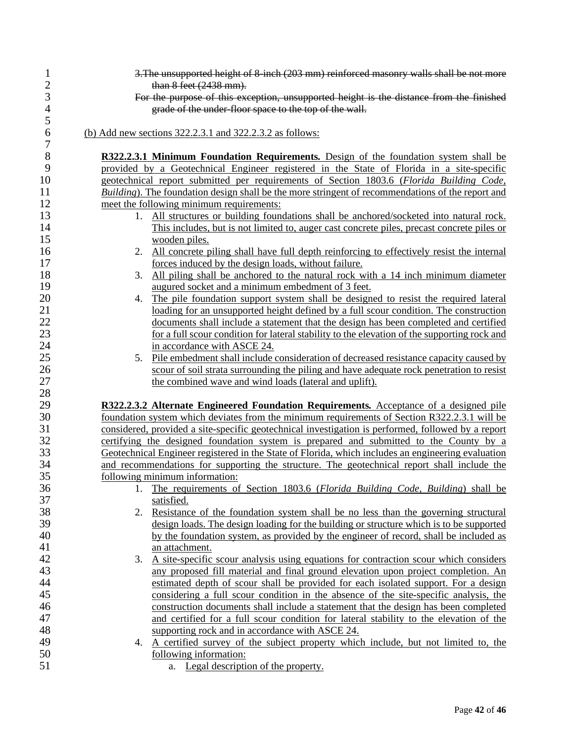| $\mathbf{1}$   | 3. The unsupported height of 8-inch (203 mm) reinforced masonry walls shall be not more            |
|----------------|----------------------------------------------------------------------------------------------------|
| $\frac{2}{3}$  | than 8 feet (2438 mm).                                                                             |
|                | For the purpose of this exception, unsupported height is the distance from the finished            |
| $\overline{4}$ | grade of the under-floor space to the top of the wall.                                             |
| 5              |                                                                                                    |
| 6<br>7         | (b) Add new sections $322.2.3.1$ and $322.2.3.2$ as follows:                                       |
| 8              | R322.2.3.1 Minimum Foundation Requirements. Design of the foundation system shall be               |
| 9              | provided by a Geotechnical Engineer registered in the State of Florida in a site-specific          |
| 10             | geotechnical report submitted per requirements of Section 1803.6 (Florida Building Code,           |
| 11             | Building). The foundation design shall be the more stringent of recommendations of the report and  |
| 12             | meet the following minimum requirements:                                                           |
| 13             | 1. All structures or building foundations shall be anchored/socketed into natural rock.            |
| 14             | This includes, but is not limited to, auger cast concrete piles, precast concrete piles or         |
| 15             | wooden piles.                                                                                      |
| 16             | 2. All concrete piling shall have full depth reinforcing to effectively resist the internal        |
| 17             | forces induced by the design loads, without failure.                                               |
| 18             | All piling shall be anchored to the natural rock with a 14 inch minimum diameter<br>3.             |
| 19             | augured socket and a minimum embedment of 3 feet.                                                  |
| 20             | The pile foundation support system shall be designed to resist the required lateral<br>4.          |
| 21             | loading for an unsupported height defined by a full scour condition. The construction              |
| 22             | documents shall include a statement that the design has been completed and certified               |
| 23             | for a full scour condition for lateral stability to the elevation of the supporting rock and       |
| 24             | in accordance with ASCE 24.                                                                        |
| 25             | 5. Pile embedment shall include consideration of decreased resistance capacity caused by           |
| 26             | scour of soil strata surrounding the piling and have adequate rock penetration to resist           |
| 27             | the combined wave and wind loads (lateral and uplift).                                             |
| 28             |                                                                                                    |
| 29             | R322.2.3.2 Alternate Engineered Foundation Requirements. Acceptance of a designed pile             |
| 30             | foundation system which deviates from the minimum requirements of Section R322.2.3.1 will be       |
| 31             | considered, provided a site-specific geotechnical investigation is performed, followed by a report |
| 32             | certifying the designed foundation system is prepared and submitted to the County by a             |
| 33             |                                                                                                    |
| 34             | Geotechnical Engineer registered in the State of Florida, which includes an engineering evaluation |
| 35             | and recommendations for supporting the structure. The geotechnical report shall include the        |
|                | following minimum information:                                                                     |
| 36<br>37       | 1. The requirements of Section 1803.6 (Florida Building Code, Building) shall be                   |
| 38             | satisfied.                                                                                         |
|                | 2. Resistance of the foundation system shall be no less than the governing structural              |
| 39             | design loads. The design loading for the building or structure which is to be supported            |
| 40             | by the foundation system, as provided by the engineer of record, shall be included as              |
| 41<br>42       | an attachment.                                                                                     |
|                | A site-specific scour analysis using equations for contraction scour which considers<br>3.         |
| 43<br>44       | any proposed fill material and final ground elevation upon project completion. An                  |
|                | estimated depth of scour shall be provided for each isolated support. For a design                 |
| 45             | considering a full scour condition in the absence of the site-specific analysis, the               |
| 46             | construction documents shall include a statement that the design has been completed                |
| 47             | and certified for a full scour condition for lateral stability to the elevation of the             |
| 48             | supporting rock and in accordance with ASCE 24.                                                    |
| 49             | A certified survey of the subject property which include, but not limited to, the<br>4.            |
| 50             | following information:                                                                             |
| 51             | a. Legal description of the property.                                                              |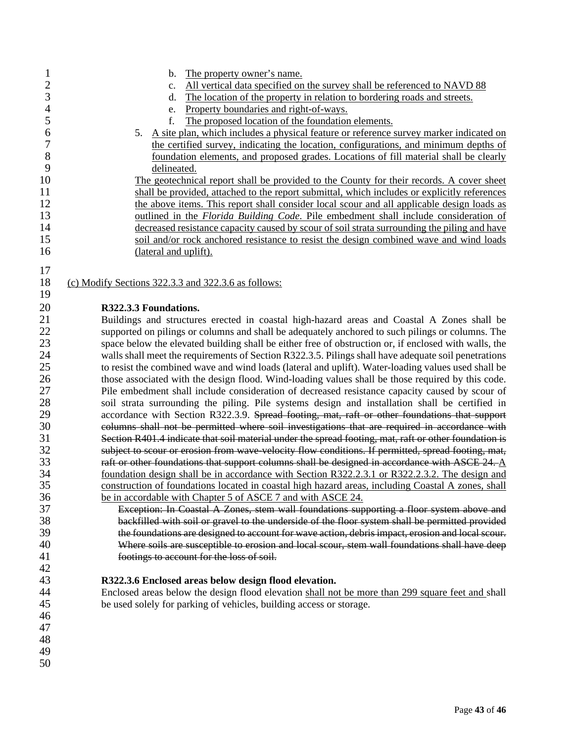| $\mathbf{1}$             | The property owner's name.<br>b.                                                                      |  |  |
|--------------------------|-------------------------------------------------------------------------------------------------------|--|--|
| $\overline{c}$           | All vertical data specified on the survey shall be referenced to NAVD 88<br>c.                        |  |  |
| 3                        | The location of the property in relation to bordering roads and streets.<br>d.                        |  |  |
| $\overline{\mathcal{A}}$ | Property boundaries and right-of-ways.<br>e.                                                          |  |  |
| 5                        | The proposed location of the foundation elements.<br>f.                                               |  |  |
| 6                        | A site plan, which includes a physical feature or reference survey marker indicated on<br>5.          |  |  |
| $\overline{7}$           | the certified survey, indicating the location, configurations, and minimum depths of                  |  |  |
| $8\,$                    | foundation elements, and proposed grades. Locations of fill material shall be clearly                 |  |  |
| 9                        | delineated.                                                                                           |  |  |
| 10                       | The geotechnical report shall be provided to the County for their records. A cover sheet              |  |  |
| 11                       | shall be provided, attached to the report submittal, which includes or explicitly references          |  |  |
| 12                       | the above items. This report shall consider local scour and all applicable design loads as            |  |  |
| 13                       | outlined in the <i>Florida Building Code</i> . Pile embedment shall include consideration of          |  |  |
| 14                       | decreased resistance capacity caused by scour of soil strata surrounding the piling and have          |  |  |
| 15                       | soil and/or rock anchored resistance to resist the design combined wave and wind loads                |  |  |
| 16                       | (lateral and uplift).                                                                                 |  |  |
|                          |                                                                                                       |  |  |
| 17                       |                                                                                                       |  |  |
| 18                       | (c) Modify Sections 322.3.3 and 322.3.6 as follows:                                                   |  |  |
| 19                       |                                                                                                       |  |  |
| 20                       | R322.3.3 Foundations.                                                                                 |  |  |
| 21                       | Buildings and structures erected in coastal high-hazard areas and Coastal A Zones shall be            |  |  |
| 22                       | supported on pilings or columns and shall be adequately anchored to such pilings or columns. The      |  |  |
| 23                       | space below the elevated building shall be either free of obstruction or, if enclosed with walls, the |  |  |
| 24                       | walls shall meet the requirements of Section R322.3.5. Pilings shall have adequate soil penetrations  |  |  |
| 25                       | to resist the combined wave and wind loads (lateral and uplift). Water-loading values used shall be   |  |  |
| 26                       | those associated with the design flood. Wind-loading values shall be those required by this code.     |  |  |
| 27                       | Pile embedment shall include consideration of decreased resistance capacity caused by scour of        |  |  |
| 28                       | soil strata surrounding the piling. Pile systems design and installation shall be certified in        |  |  |
| 29                       | accordance with Section R322.3.9. Spread footing, mat, raft or other foundations that support         |  |  |
| 30                       | columns shall not be permitted where soil investigations that are required in accordance with         |  |  |
| 31                       | Section R401.4 indicate that soil material under the spread footing, mat, raft or other foundation is |  |  |
| 32                       | subject to scour or erosion from wave-velocity flow conditions. If permitted, spread footing, mat,    |  |  |
| 33                       | raft or other foundations that support columns shall be designed in accordance with ASCE 24. $\Delta$ |  |  |
| 34                       | foundation design shall be in accordance with Section R322.2.3.1 or R322.2.3.2. The design and        |  |  |
| 35                       | construction of foundations located in coastal high hazard areas, including Coastal A zones, shall    |  |  |
| 36                       | be in accordable with Chapter 5 of ASCE 7 and with ASCE 24.                                           |  |  |
| 37                       | Exception: In Coastal A Zones, stem wall foundations supporting a floor system above and              |  |  |
| 38                       | backfilled with soil or gravel to the underside of the floor system shall be permitted provided       |  |  |
| 39                       | the foundations are designed to account for wave action, debris impact, erosion and local scour.      |  |  |
| 40                       | Where soils are susceptible to erosion and local scour, stem wall foundations shall have deep         |  |  |
| 41                       | footings to account for the loss of soil.                                                             |  |  |
| 42                       |                                                                                                       |  |  |
| 43                       | R322.3.6 Enclosed areas below design flood elevation.                                                 |  |  |
| 44                       | Enclosed areas below the design flood elevation shall not be more than 299 square feet and shall      |  |  |
| 45                       | be used solely for parking of vehicles, building access or storage.                                   |  |  |
| 46                       |                                                                                                       |  |  |
| 47                       |                                                                                                       |  |  |
| 48                       |                                                                                                       |  |  |
| 49                       |                                                                                                       |  |  |
| 50                       |                                                                                                       |  |  |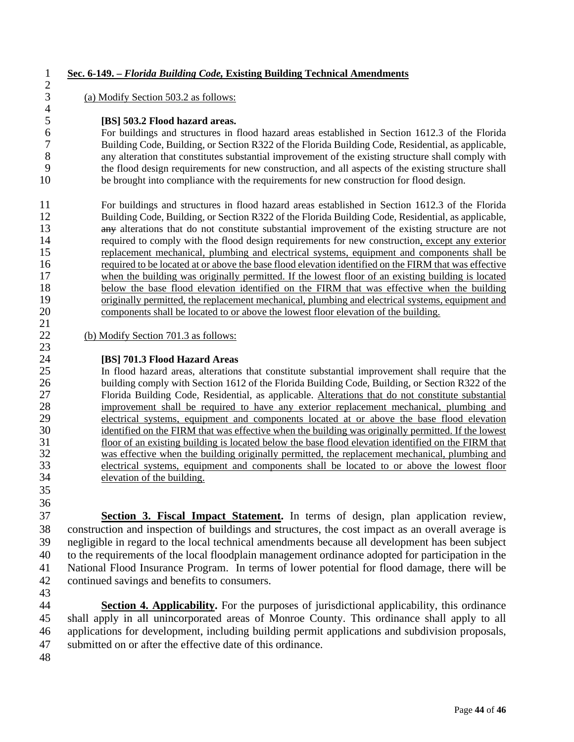#### **Sec. 6-149. –** *Florida Building Code,* **Existing Building Technical Amendments**

(a) Modify Section 503.2 as follows:

#### **[BS] 503.2 Flood hazard areas.**

 For buildings and structures in flood hazard areas established in Section 1612.3 of the Florida Building Code, Building, or Section R322 of the Florida Building Code, Residential, as applicable, any alteration that constitutes substantial improvement of the existing structure shall comply with 9 the flood design requirements for new construction, and all aspects of the existing structure shall<br>10 be brought into compliance with the requirements for new construction for flood design. be brought into compliance with the requirements for new construction for flood design.

 For buildings and structures in flood hazard areas established in Section 1612.3 of the Florida Building Code, Building, or Section R322 of the Florida Building Code, Residential, as applicable, 13 any alterations that do not constitute substantial improvement of the existing structure are not 14 required to comply with the flood design requirements for new construction, except any exterior<br>15 replacement mechanical, plumbing and electrical systems, equipment and components shall be 15 replacement mechanical, plumbing and electrical systems, equipment and components shall be required to be located at or above the base flood elevation identified on the FIRM that was effective required to be located at or above the base flood elevation identified on the FIRM that was effective 17 when the building was originally permitted. If the lowest floor of an existing building is located below the base flood elevation identified on the FIRM that was effective when the building originally permitted, the replacement mechanical, plumbing and electrical systems, equipment and components shall be located to or above the lowest floor elevation of the building.

 $(b)$  Modify Section 701.3 as follows:

**[BS] 701.3 Flood Hazard Areas**<br>25 **In flood hazard areas**, alterations In flood hazard areas, alterations that constitute substantial improvement shall require that the building comply with Section 1612 of the Florida Building Code, Building, or Section R322 of the Florida Building Code, Residential, as applicable. Alterations that do not constitute substantial improvement shall be required to have any exterior replacement mechanical, plumbing and 29 electrical systems, equipment and components located at or above the base flood elevation<br>30 identified on the FIRM that was effective when the building was originally permitted. If the lowest 30 identified on the FIRM that was effective when the building was originally permitted. If the lowest 31 floor of an existing building is located below the base flood elevation identified on the FIRM that floor of an existing building is located below the base flood elevation identified on the FIRM that was effective when the building originally permitted, the replacement mechanical, plumbing and electrical systems, equipment and components shall be located to or above the lowest floor elevation of the building.

 

 $\frac{21}{22}$ 

 $\frac{2}{3}$ 

 $\frac{4}{5}$ 

 **Section 3. Fiscal Impact Statement.** In terms of design, plan application review, construction and inspection of buildings and structures, the cost impact as an overall average is negligible in regard to the local technical amendments because all development has been subject to the requirements of the local floodplain management ordinance adopted for participation in the National Flood Insurance Program. In terms of lower potential for flood damage, there will be continued savings and benefits to consumers.

 **Section 4. Applicability.** For the purposes of jurisdictional applicability, this ordinance shall apply in all unincorporated areas of Monroe County. This ordinance shall apply to all applications for development, including building permit applications and subdivision proposals, submitted on or after the effective date of this ordinance.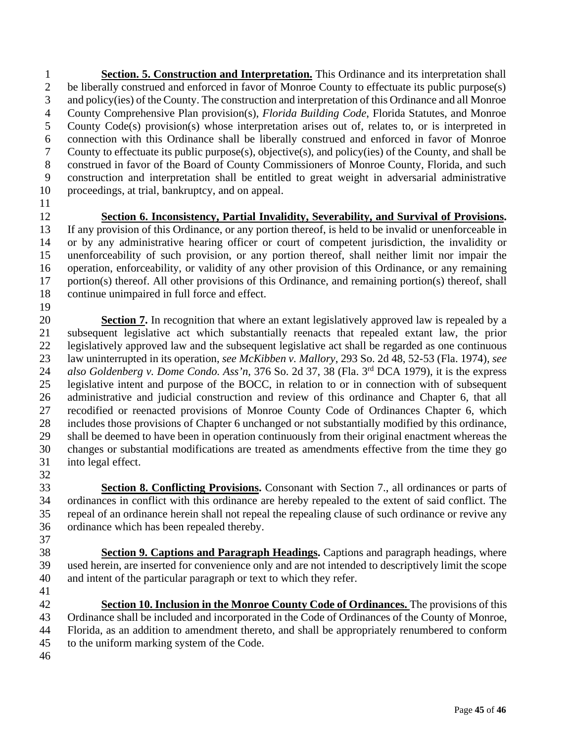**Section. 5. Construction and Interpretation.** This Ordinance and its interpretation shall be liberally construed and enforced in favor of Monroe County to effectuate its public purpose(s) and policy(ies) of the County. The construction and interpretation of this Ordinance and all Monroe County Comprehensive Plan provision(s), *Florida Building Code*, Florida Statutes, and Monroe County Code(s) provision(s) whose interpretation arises out of, relates to, or is interpreted in connection with this Ordinance shall be liberally construed and enforced in favor of Monroe County to effectuate its public purpose(s), objective(s), and policy(ies) of the County, and shall be construed in favor of the Board of County Commissioners of Monroe County, Florida, and such construction and interpretation shall be entitled to great weight in adversarial administrative proceedings, at trial, bankruptcy, and on appeal.

## **Section 6. Inconsistency, Partial Invalidity, Severability, and Survival of Provisions.**

 If any provision of this Ordinance, or any portion thereof, is held to be invalid or unenforceable in or by any administrative hearing officer or court of competent jurisdiction, the invalidity or unenforceability of such provision, or any portion thereof, shall neither limit nor impair the operation, enforceability, or validity of any other provision of this Ordinance, or any remaining portion(s) thereof. All other provisions of this Ordinance, and remaining portion(s) thereof, shall continue unimpaired in full force and effect.

 **Section 7.** In recognition that where an extant legislatively approved law is repealed by a subsequent legislative act which substantially reenacts that repealed extant law, the prior legislatively approved law and the subsequent legislative act shall be regarded as one continuous law uninterrupted in its operation, *see McKibben v. Mallory*, 293 So. 2d 48, 52-53 (Fla. 1974), *see also Goldenberg v. Dome Condo. Ass'n,* 376 So. 2d 37, 38 (Fla. 3<sup>rd</sup> DCA 1979), it is the express legislative intent and purpose of the BOCC, in relation to or in connection with of subsequent administrative and judicial construction and review of this ordinance and Chapter 6, that all recodified or reenacted provisions of Monroe County Code of Ordinances Chapter 6, which includes those provisions of Chapter 6 unchanged or not substantially modified by this ordinance, shall be deemed to have been in operation continuously from their original enactment whereas the changes or substantial modifications are treated as amendments effective from the time they go into legal effect.

 **Section 8. Conflicting Provisions.** Consonant with Section 7., all ordinances or parts of ordinances in conflict with this ordinance are hereby repealed to the extent of said conflict. The repeal of an ordinance herein shall not repeal the repealing clause of such ordinance or revive any ordinance which has been repealed thereby. 

 **Section 9. Captions and Paragraph Headings.** Captions and paragraph headings, where used herein, are inserted for convenience only and are not intended to descriptively limit the scope and intent of the particular paragraph or text to which they refer.

 **Section 10. Inclusion in the Monroe County Code of Ordinances.** The provisions of this Ordinance shall be included and incorporated in the Code of Ordinances of the County of Monroe, Florida, as an addition to amendment thereto, and shall be appropriately renumbered to conform to the uniform marking system of the Code.